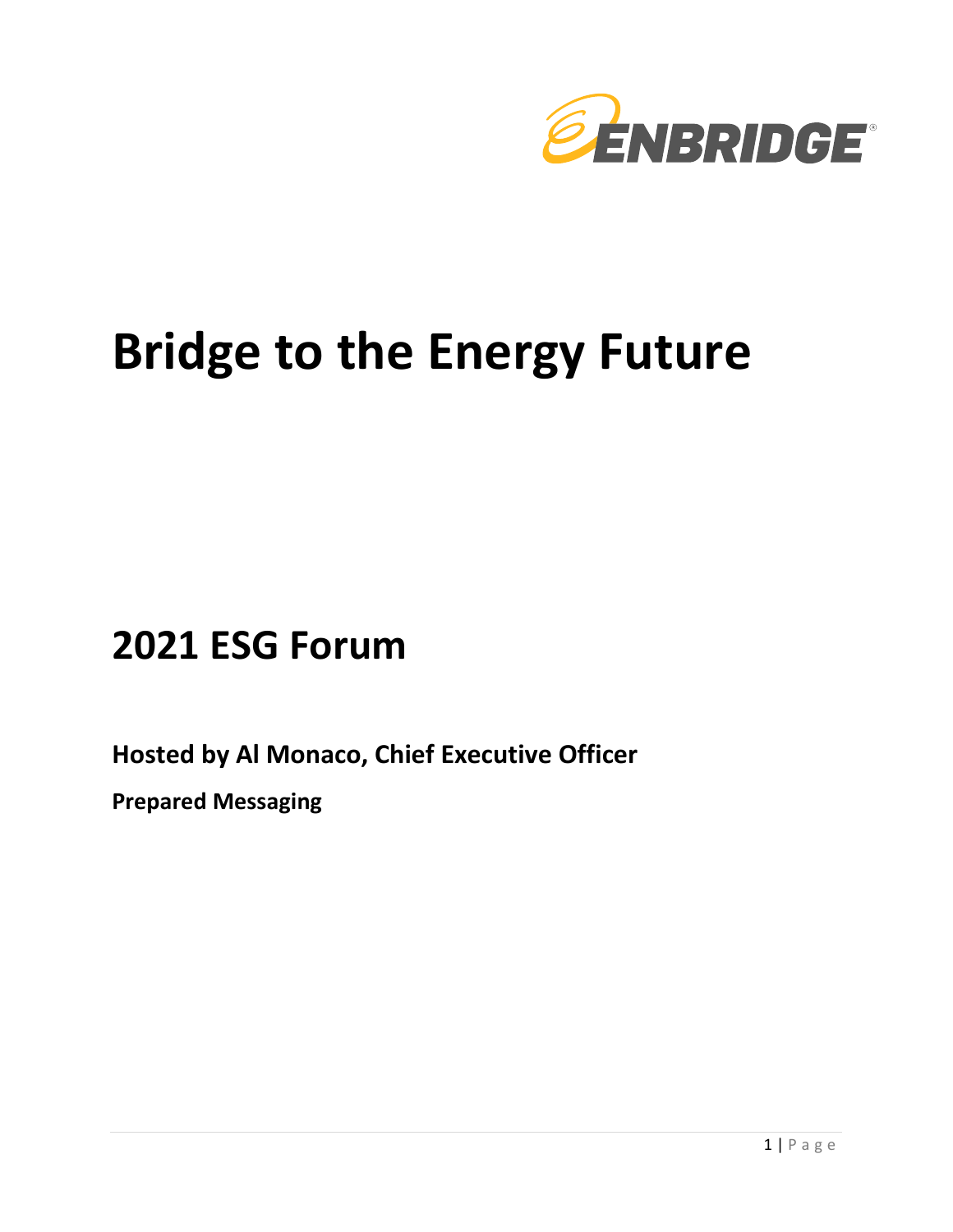

# **Bridge to the Energy Future**

# **2021 ESG Forum**

**Hosted by Al Monaco, Chief Executive Officer** 

**Prepared Messaging**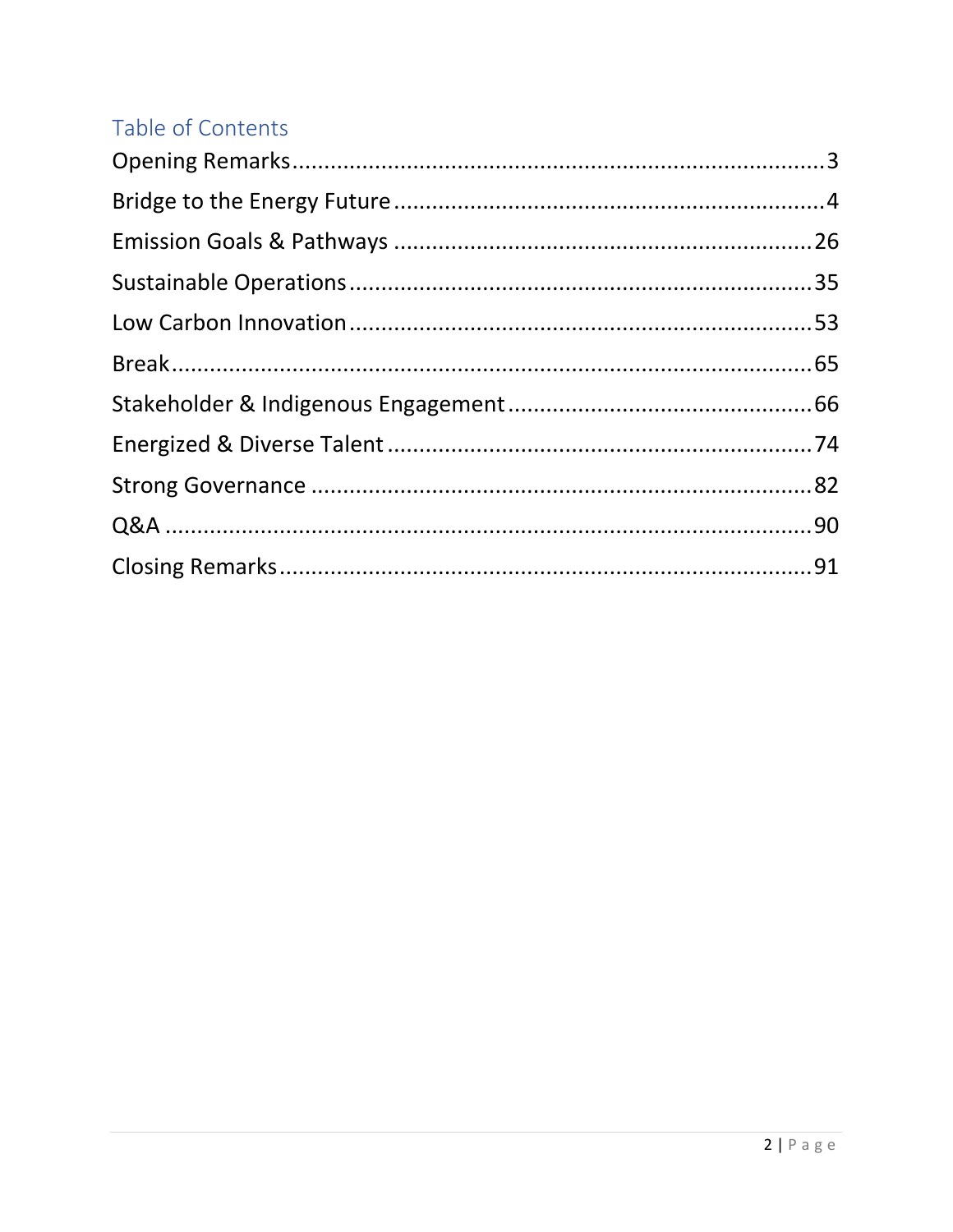# Table of Contents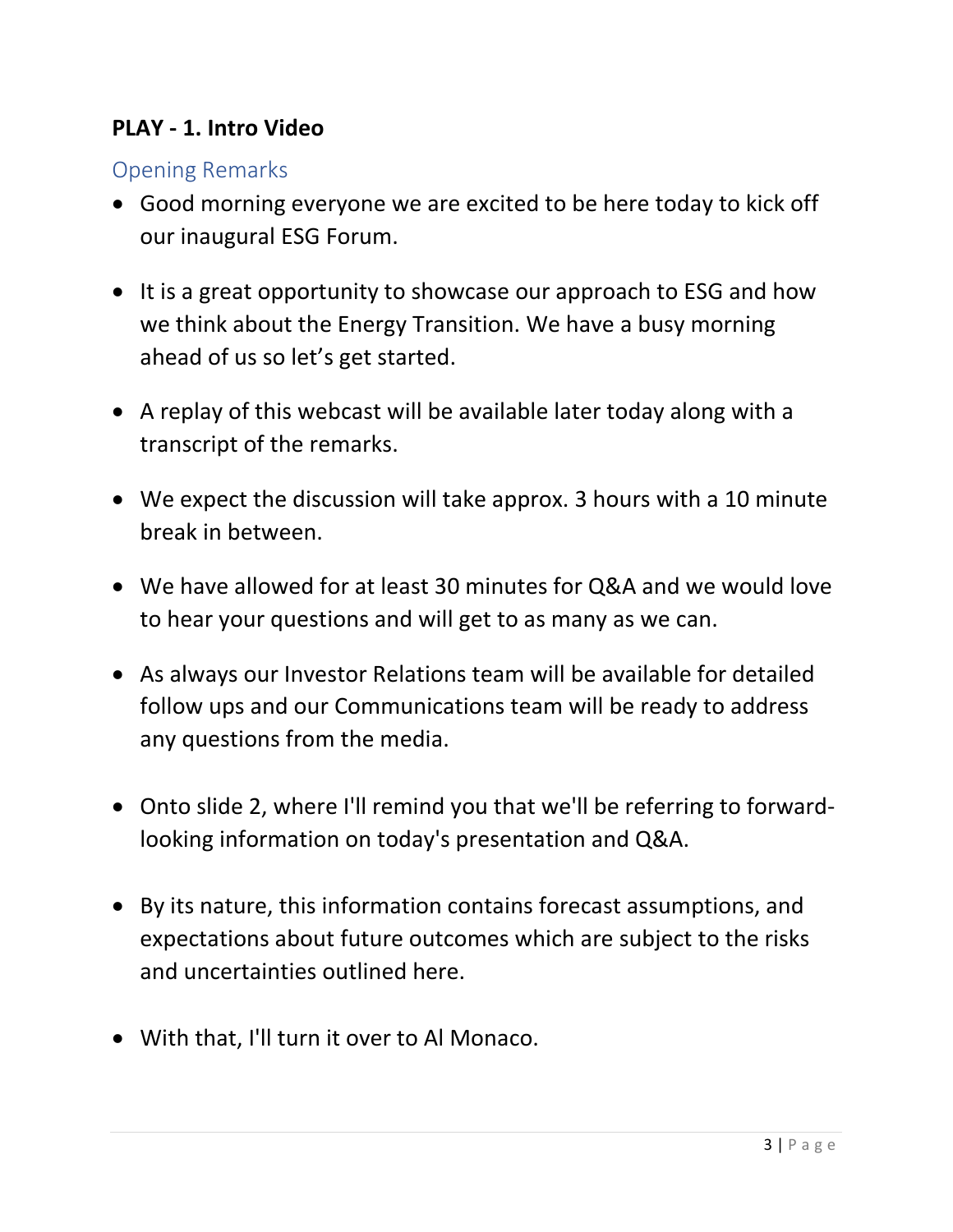#### **PLAY - 1. Intro Video**

#### <span id="page-2-0"></span>Opening Remarks

- Good morning everyone we are excited to be here today to kick off our inaugural ESG Forum.
- It is a great opportunity to showcase our approach to ESG and how we think about the Energy Transition. We have a busy morning ahead of us so let's get started.
- A replay of this webcast will be available later today along with a transcript of the remarks.
- We expect the discussion will take approx. 3 hours with a 10 minute break in between.
- We have allowed for at least 30 minutes for Q&A and we would love to hear your questions and will get to as many as we can.
- As always our Investor Relations team will be available for detailed follow ups and our Communications team will be ready to address any questions from the media.
- Onto slide 2, where I'll remind you that we'll be referring to forwardlooking information on today's presentation and Q&A.
- By its nature, this information contains forecast assumptions, and expectations about future outcomes which are subject to the risks and uncertainties outlined here.
- With that, I'll turn it over to Al Monaco.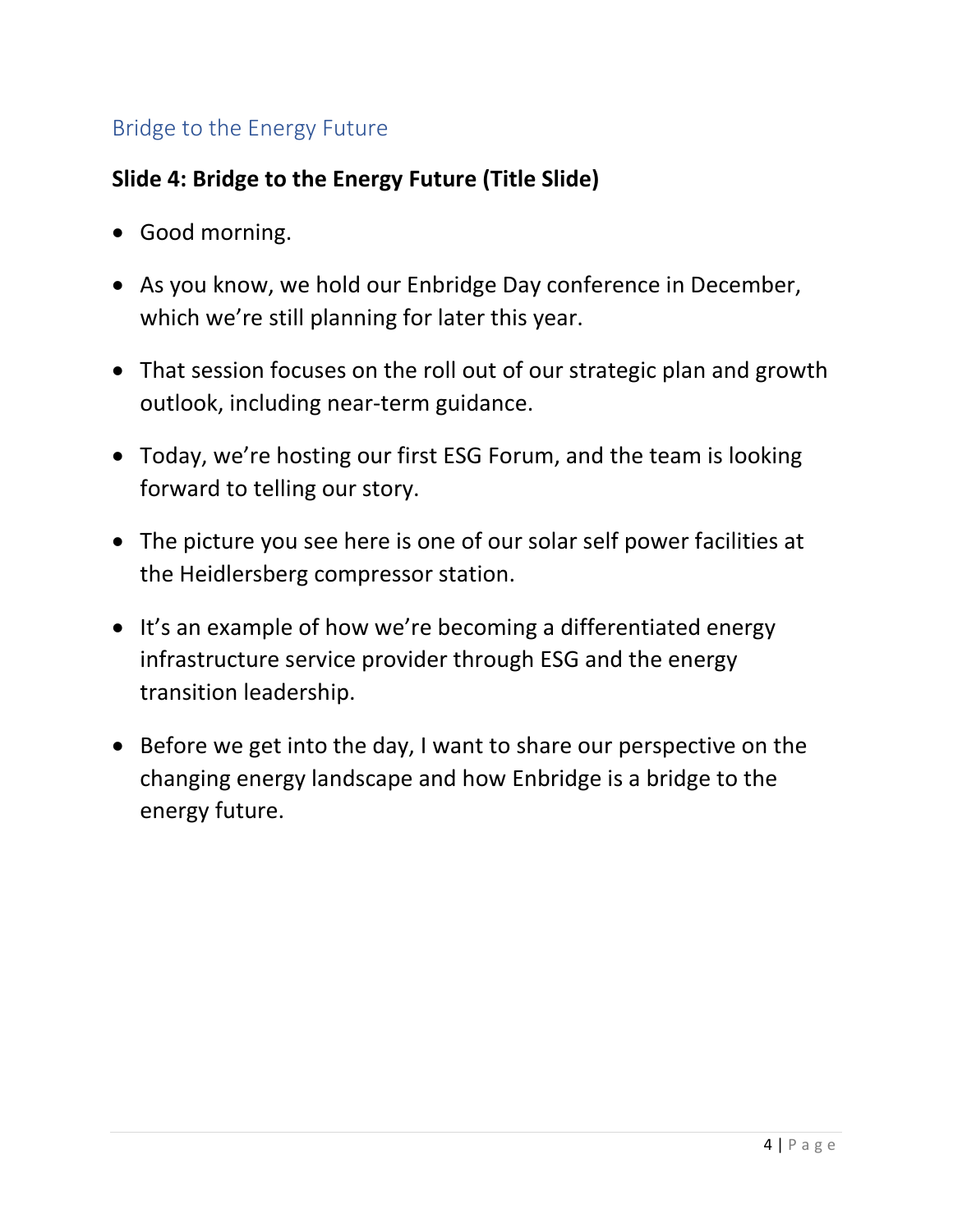# <span id="page-3-0"></span>Bridge to the Energy Future

# **Slide 4: Bridge to the Energy Future (Title Slide)**

- Good morning.
- As you know, we hold our Enbridge Day conference in December, which we're still planning for later this year.
- That session focuses on the roll out of our strategic plan and growth outlook, including near-term guidance.
- Today, we're hosting our first ESG Forum, and the team is looking forward to telling our story.
- The picture you see here is one of our solar self power facilities at the Heidlersberg compressor station.
- It's an example of how we're becoming a differentiated energy infrastructure service provider through ESG and the energy transition leadership.
- Before we get into the day, I want to share our perspective on the changing energy landscape and how Enbridge is a bridge to the energy future.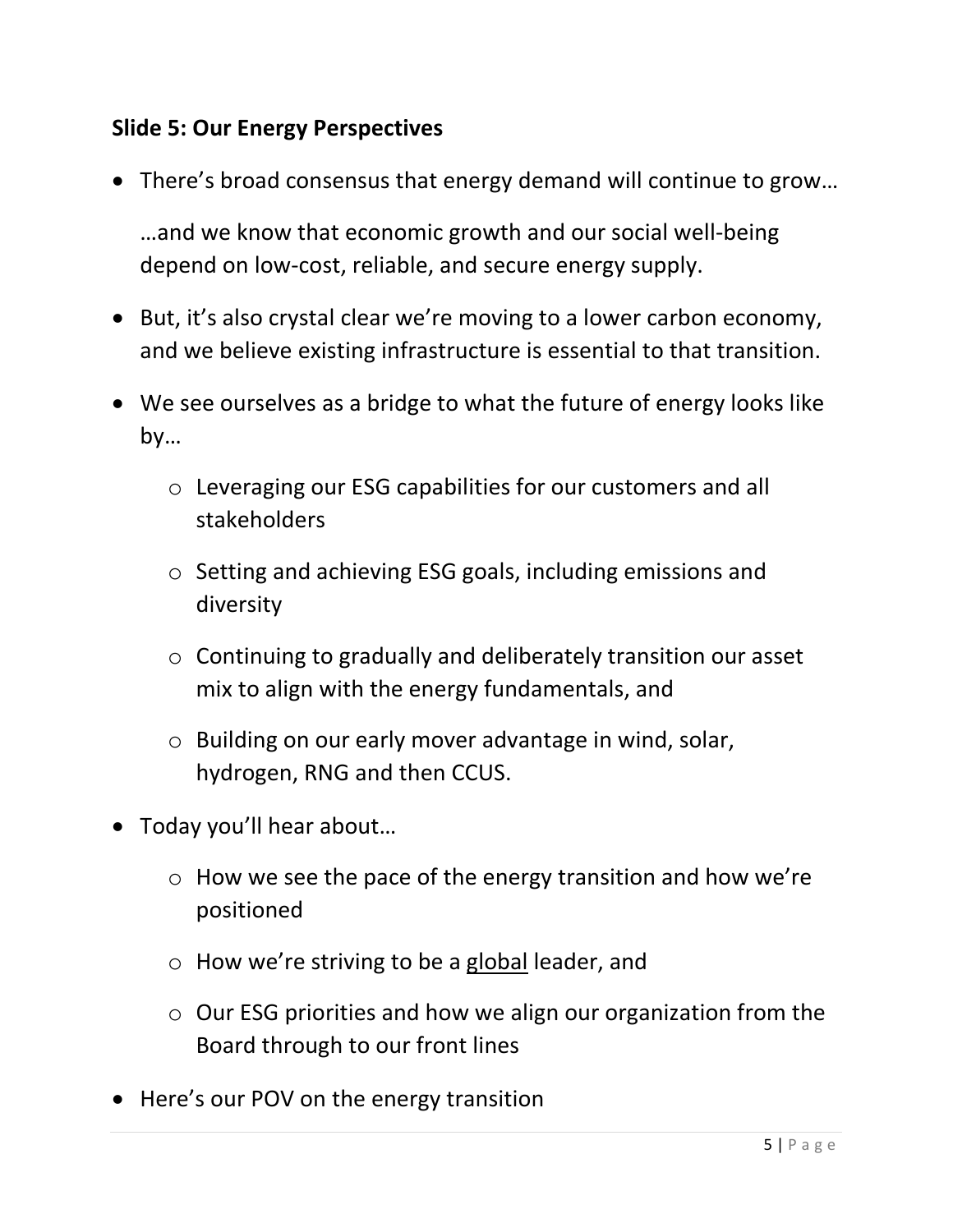# **Slide 5: Our Energy Perspectives**

• There's broad consensus that energy demand will continue to grow…

…and we know that economic growth and our social well-being depend on low-cost, reliable, and secure energy supply.

- But, it's also crystal clear we're moving to a lower carbon economy, and we believe existing infrastructure is essential to that transition.
- We see ourselves as a bridge to what the future of energy looks like by…
	- o Leveraging our ESG capabilities for our customers and all stakeholders
	- o Setting and achieving ESG goals, including emissions and diversity
	- o Continuing to gradually and deliberately transition our asset mix to align with the energy fundamentals, and
	- o Building on our early mover advantage in wind, solar, hydrogen, RNG and then CCUS.
- Today you'll hear about…
	- o How we see the pace of the energy transition and how we're positioned
	- o How we're striving to be a global leader, and
	- o Our ESG priorities and how we align our organization from the Board through to our front lines
- Here's our POV on the energy transition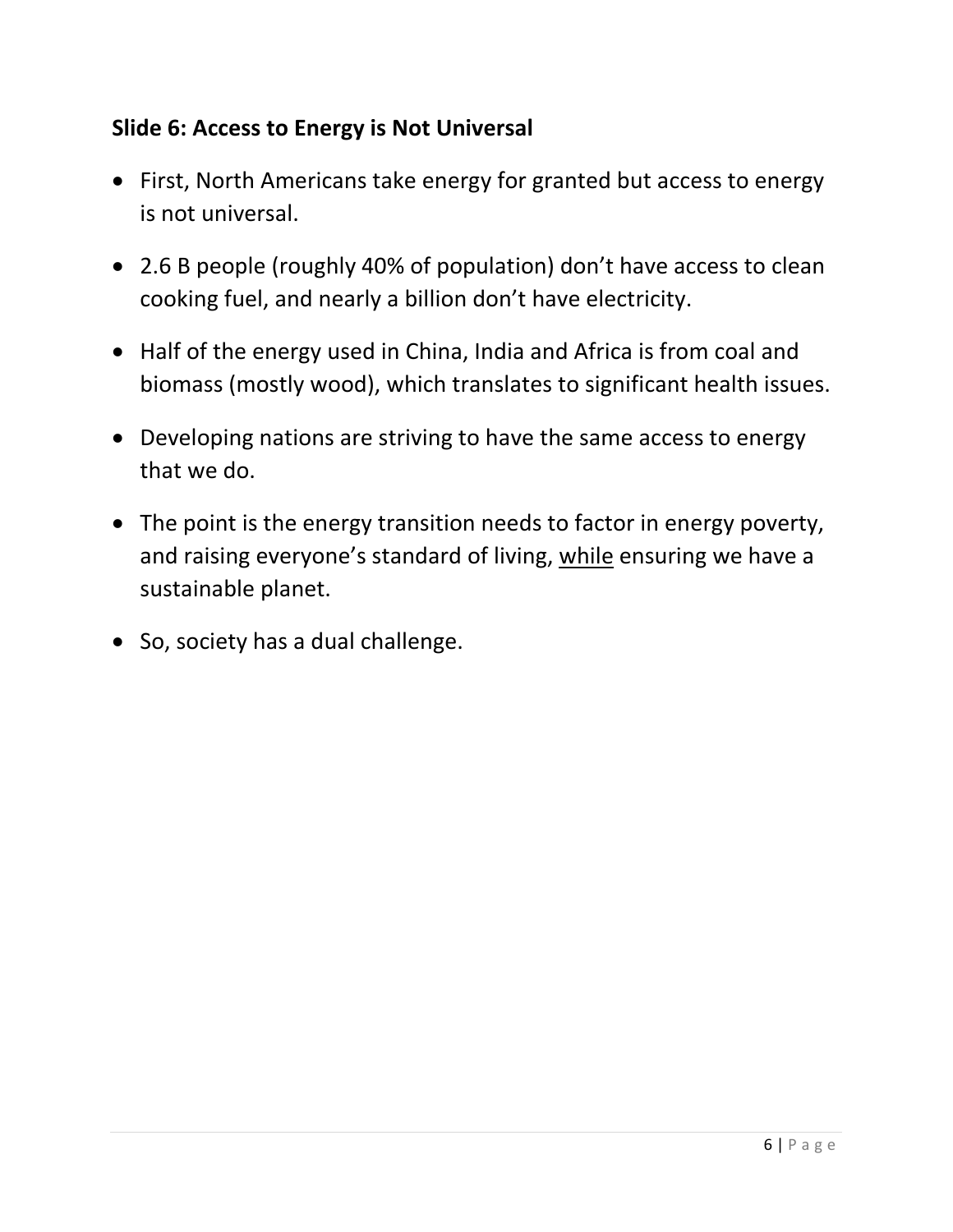# **Slide 6: Access to Energy is Not Universal**

- First, North Americans take energy for granted but access to energy is not universal.
- 2.6 B people (roughly 40% of population) don't have access to clean cooking fuel, and nearly a billion don't have electricity.
- Half of the energy used in China, India and Africa is from coal and biomass (mostly wood), which translates to significant health issues.
- Developing nations are striving to have the same access to energy that we do.
- The point is the energy transition needs to factor in energy poverty, and raising everyone's standard of living, while ensuring we have a sustainable planet.
- So, society has a dual challenge.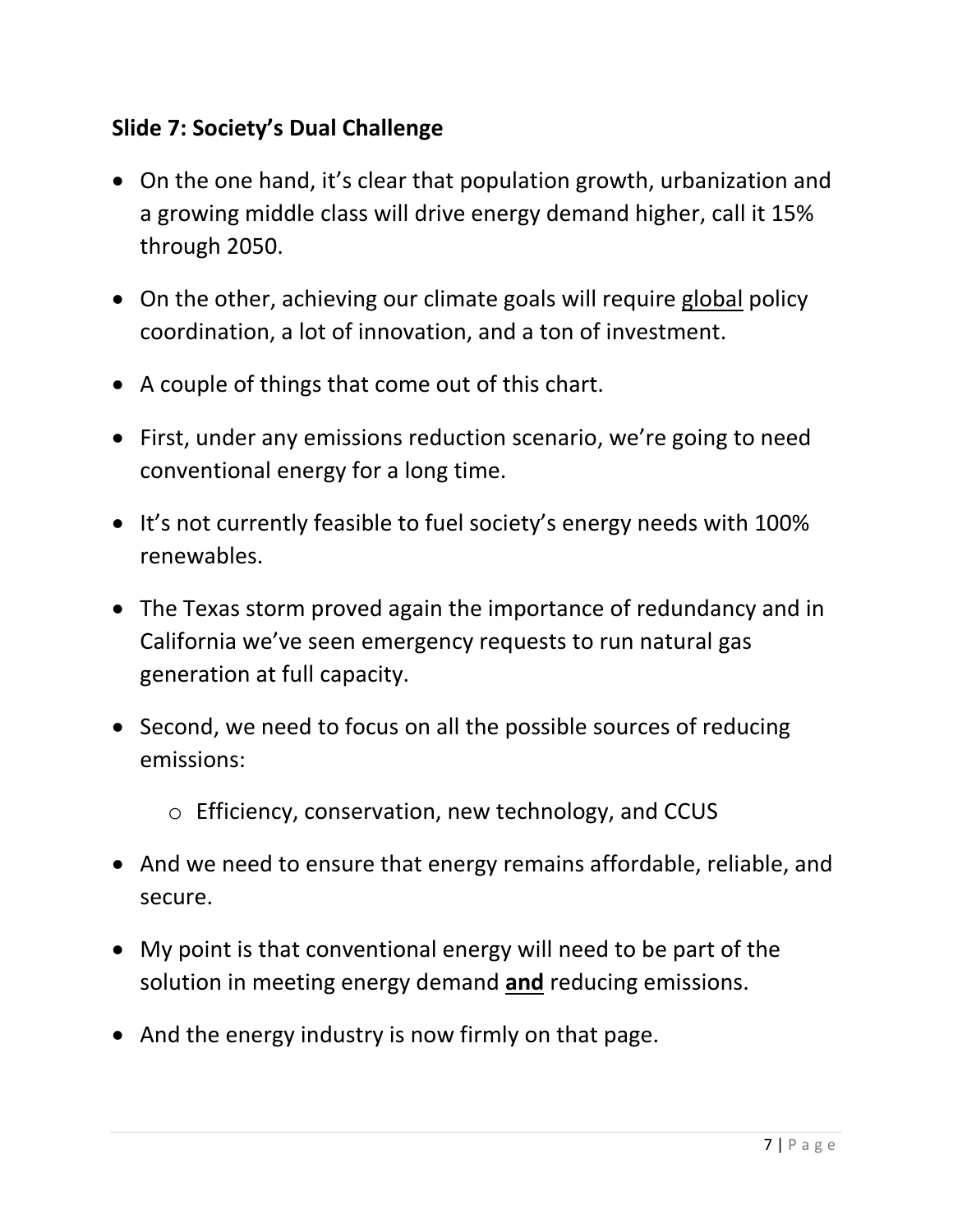#### **Slide 7: Society's Dual Challenge**

- On the one hand, it's clear that population growth, urbanization and a growing middle class will drive energy demand higher, call it 15% through 2050.
- On the other, achieving our climate goals will require global policy coordination, a lot of innovation, and a ton of investment.
- A couple of things that come out of this chart.
- First, under any emissions reduction scenario, we're going to need conventional energy for a long time.
- It's not currently feasible to fuel society's energy needs with 100% renewables.
- The Texas storm proved again the importance of redundancy and in California we've seen emergency requests to run natural gas generation at full capacity.
- Second, we need to focus on all the possible sources of reducing emissions:
	- o Efficiency, conservation, new technology, and CCUS
- And we need to ensure that energy remains affordable, reliable, and secure.
- My point is that conventional energy will need to be part of the solution in meeting energy demand **and** reducing emissions.
- And the energy industry is now firmly on that page.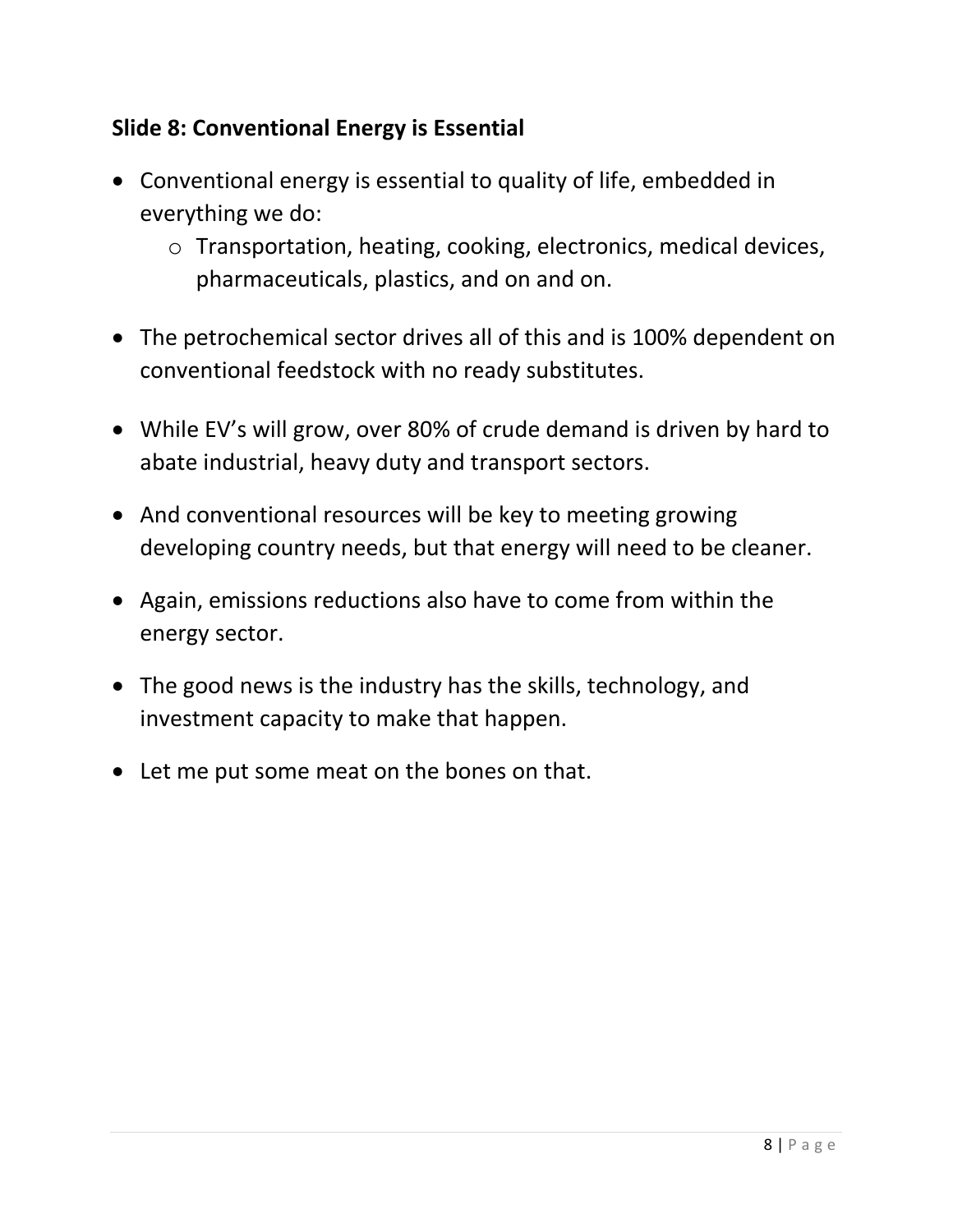# **Slide 8: Conventional Energy is Essential**

- Conventional energy is essential to quality of life, embedded in everything we do:
	- o Transportation, heating, cooking, electronics, medical devices, pharmaceuticals, plastics, and on and on.
- The petrochemical sector drives all of this and is 100% dependent on conventional feedstock with no ready substitutes.
- While EV's will grow, over 80% of crude demand is driven by hard to abate industrial, heavy duty and transport sectors.
- And conventional resources will be key to meeting growing developing country needs, but that energy will need to be cleaner.
- Again, emissions reductions also have to come from within the energy sector.
- The good news is the industry has the skills, technology, and investment capacity to make that happen.
- Let me put some meat on the bones on that.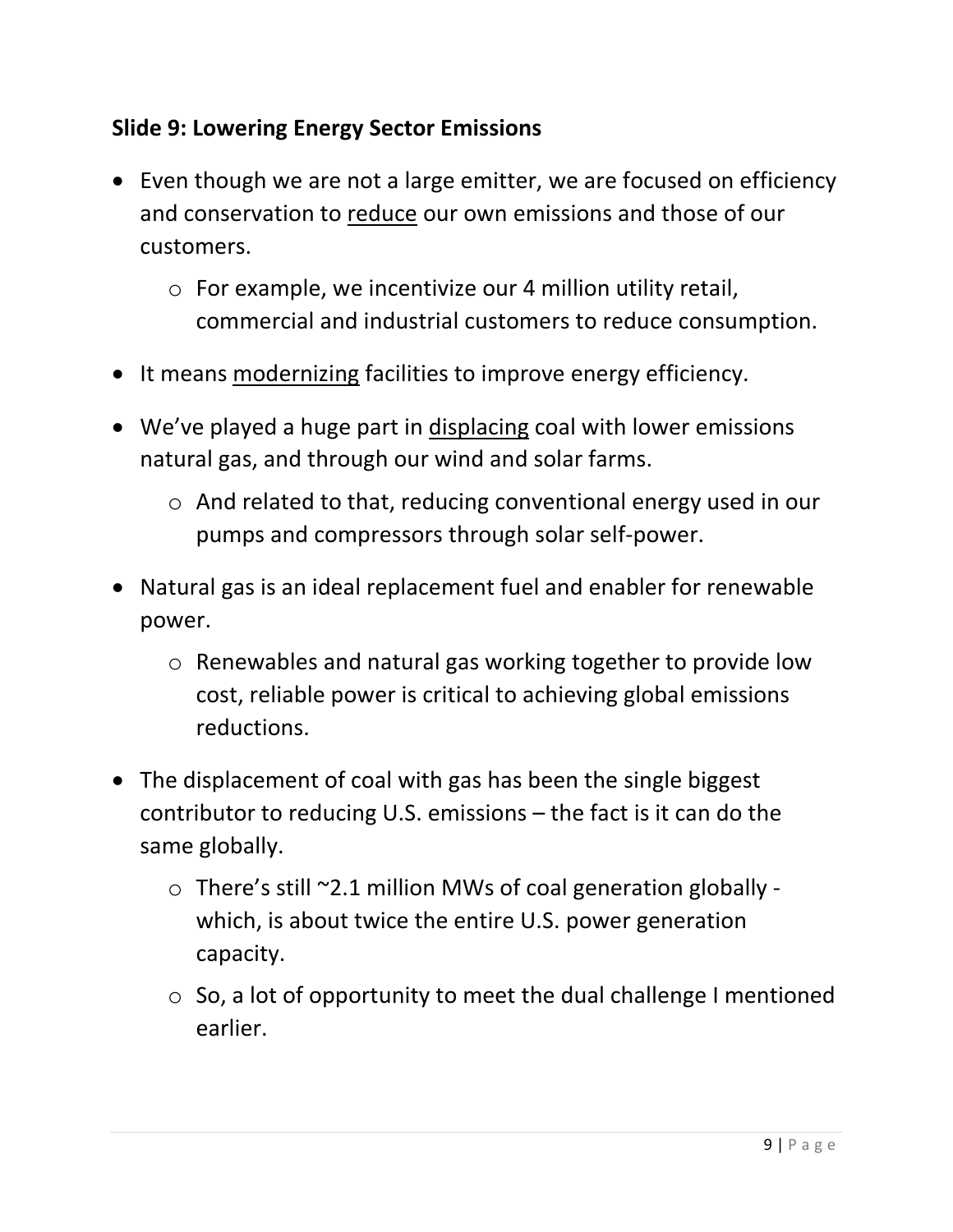# **Slide 9: Lowering Energy Sector Emissions**

- Even though we are not a large emitter, we are focused on efficiency and conservation to reduce our own emissions and those of our customers.
	- o For example, we incentivize our 4 million utility retail, commercial and industrial customers to reduce consumption.
- It means modernizing facilities to improve energy efficiency.
- We've played a huge part in displacing coal with lower emissions natural gas, and through our wind and solar farms.
	- o And related to that, reducing conventional energy used in our pumps and compressors through solar self-power.
- Natural gas is an ideal replacement fuel and enabler for renewable power.
	- o Renewables and natural gas working together to provide low cost, reliable power is critical to achieving global emissions reductions.
- The displacement of coal with gas has been the single biggest contributor to reducing U.S. emissions – the fact is it can do the same globally.
	- o There's still ~2.1 million MWs of coal generation globally which, is about twice the entire U.S. power generation capacity.
	- $\circ$  So, a lot of opportunity to meet the dual challenge I mentioned earlier.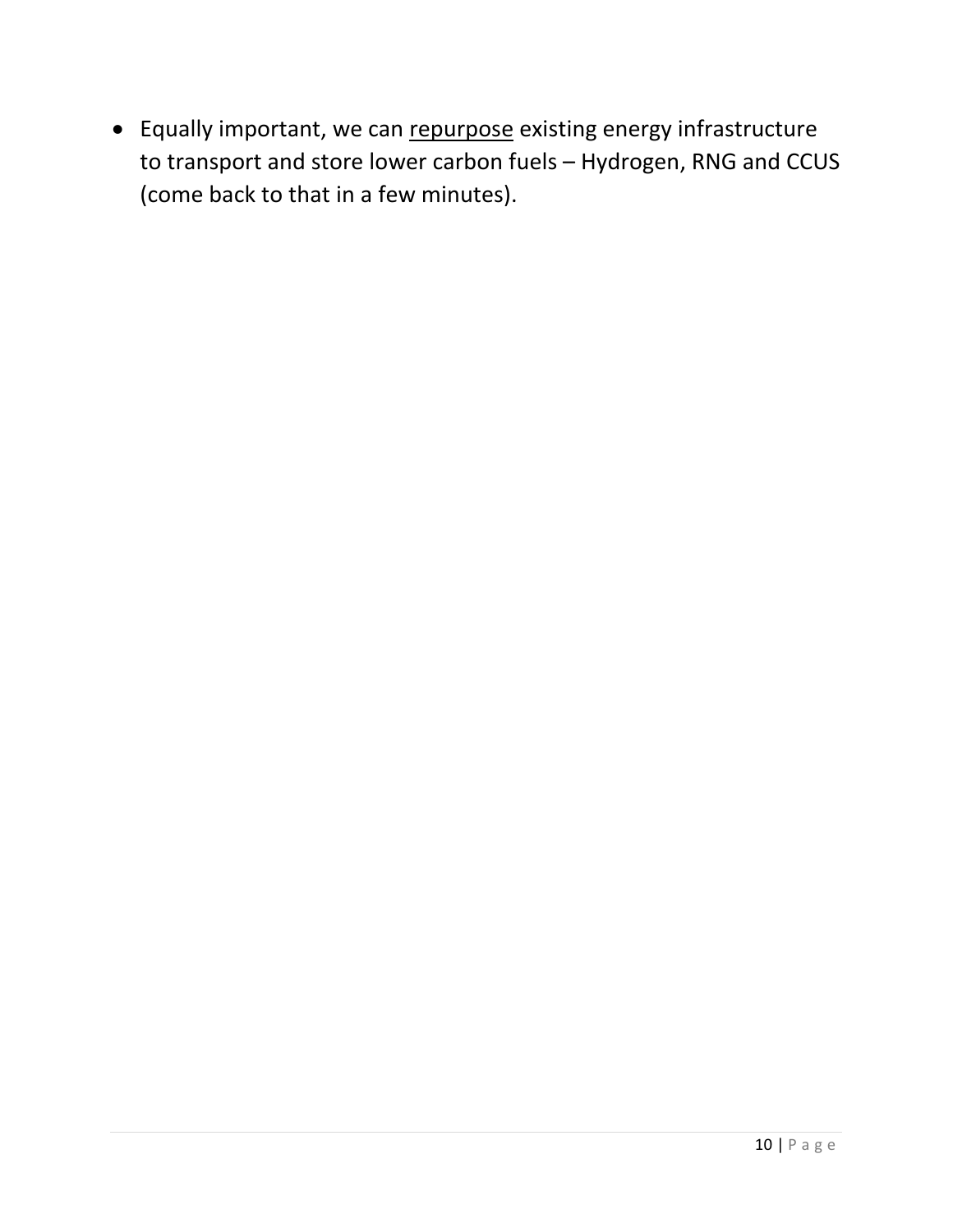• Equally important, we can repurpose existing energy infrastructure to transport and store lower carbon fuels – Hydrogen, RNG and CCUS (come back to that in a few minutes).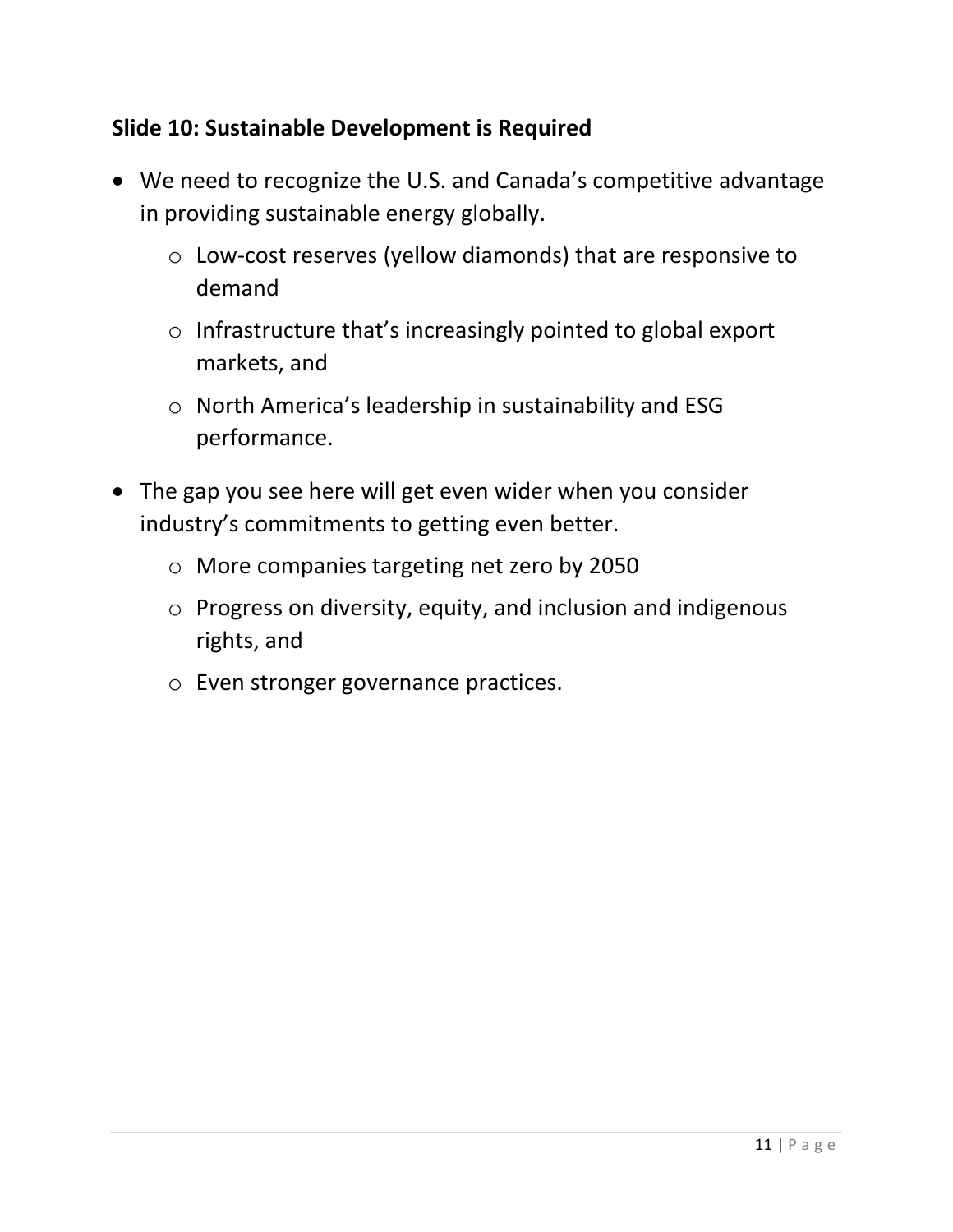#### **Slide 10: Sustainable Development is Required**

- We need to recognize the U.S. and Canada's competitive advantage in providing sustainable energy globally.
	- o Low-cost reserves (yellow diamonds) that are responsive to demand
	- o Infrastructure that's increasingly pointed to global export markets, and
	- o North America's leadership in sustainability and ESG performance.
- The gap you see here will get even wider when you consider industry's commitments to getting even better.
	- o More companies targeting net zero by 2050
	- o Progress on diversity, equity, and inclusion and indigenous rights, and
	- o Even stronger governance practices.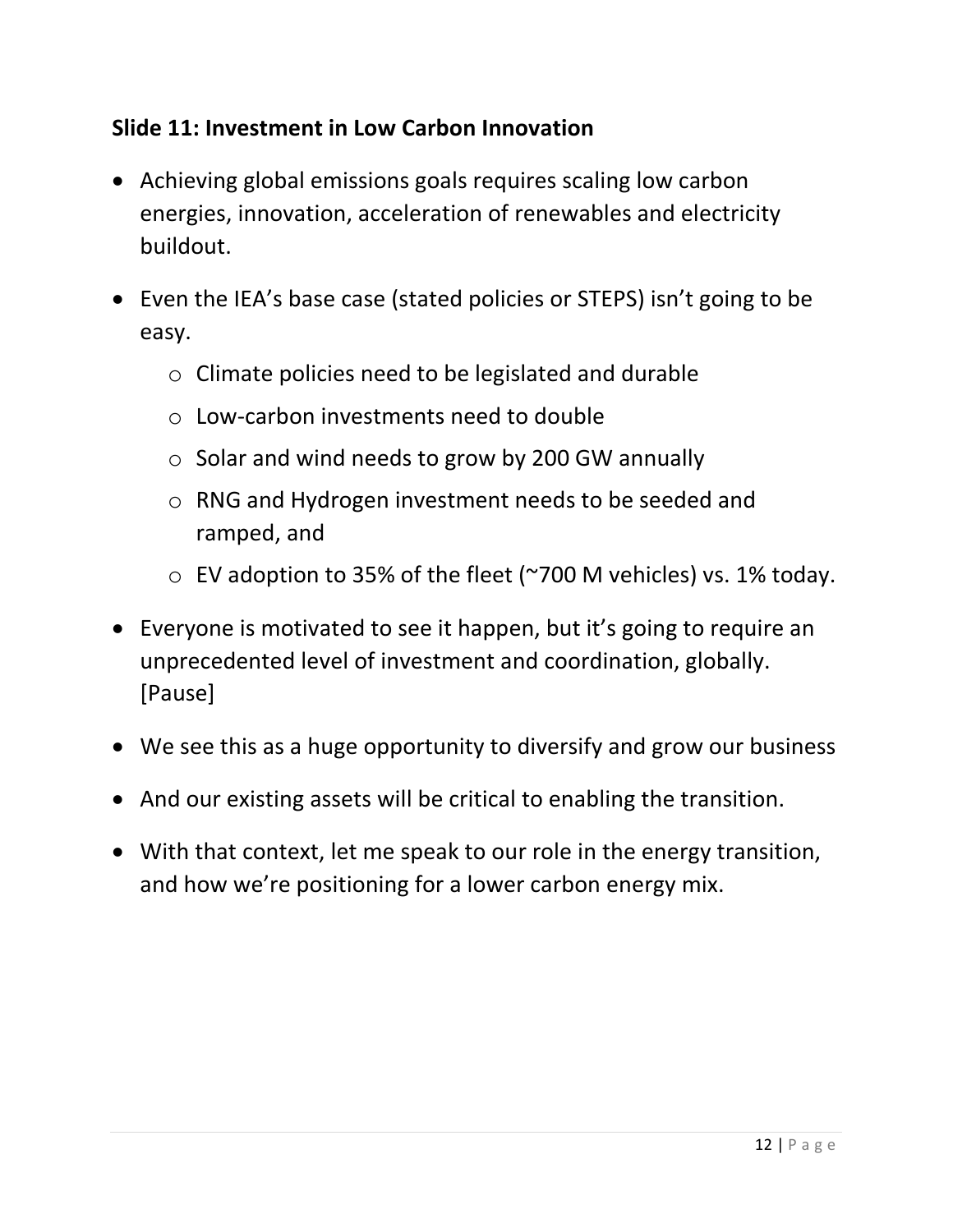# **Slide 11: Investment in Low Carbon Innovation**

- Achieving global emissions goals requires scaling low carbon energies, innovation, acceleration of renewables and electricity buildout.
- Even the IEA's base case (stated policies or STEPS) isn't going to be easy.
	- o Climate policies need to be legislated and durable
	- o Low-carbon investments need to double
	- o Solar and wind needs to grow by 200 GW annually
	- o RNG and Hydrogen investment needs to be seeded and ramped, and
	- o EV adoption to 35% of the fleet (~700 M vehicles) vs. 1% today.
- Everyone is motivated to see it happen, but it's going to require an unprecedented level of investment and coordination, globally. [Pause]
- We see this as a huge opportunity to diversify and grow our business
- And our existing assets will be critical to enabling the transition.
- With that context, let me speak to our role in the energy transition, and how we're positioning for a lower carbon energy mix.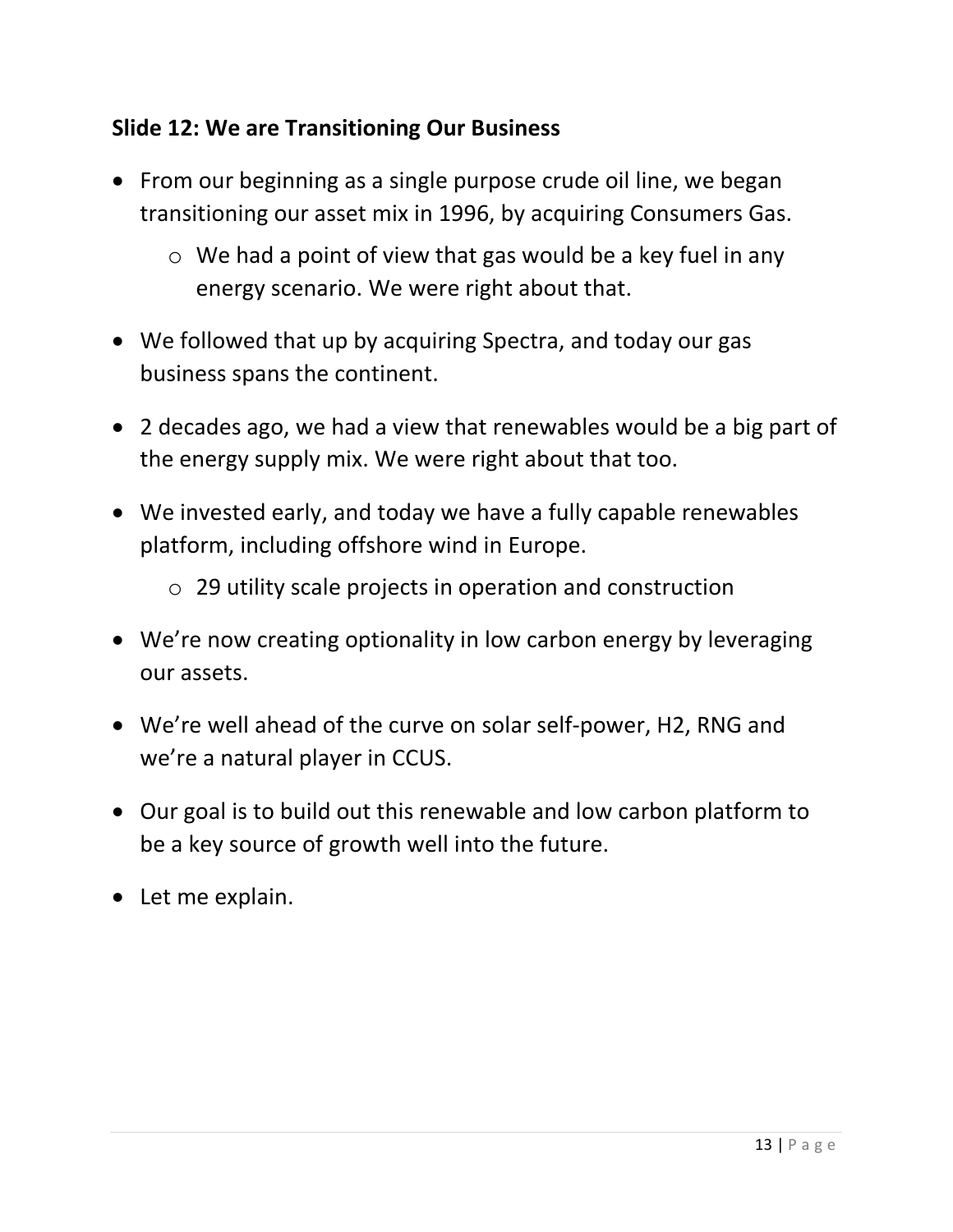# **Slide 12: We are Transitioning Our Business**

- From our beginning as a single purpose crude oil line, we began transitioning our asset mix in 1996, by acquiring Consumers Gas.
	- $\circ$  We had a point of view that gas would be a key fuel in any energy scenario. We were right about that.
- We followed that up by acquiring Spectra, and today our gas business spans the continent.
- 2 decades ago, we had a view that renewables would be a big part of the energy supply mix. We were right about that too.
- We invested early, and today we have a fully capable renewables platform, including offshore wind in Europe.
	- o 29 utility scale projects in operation and construction
- We're now creating optionality in low carbon energy by leveraging our assets.
- We're well ahead of the curve on solar self-power, H2, RNG and we're a natural player in CCUS.
- Our goal is to build out this renewable and low carbon platform to be a key source of growth well into the future.
- Let me explain.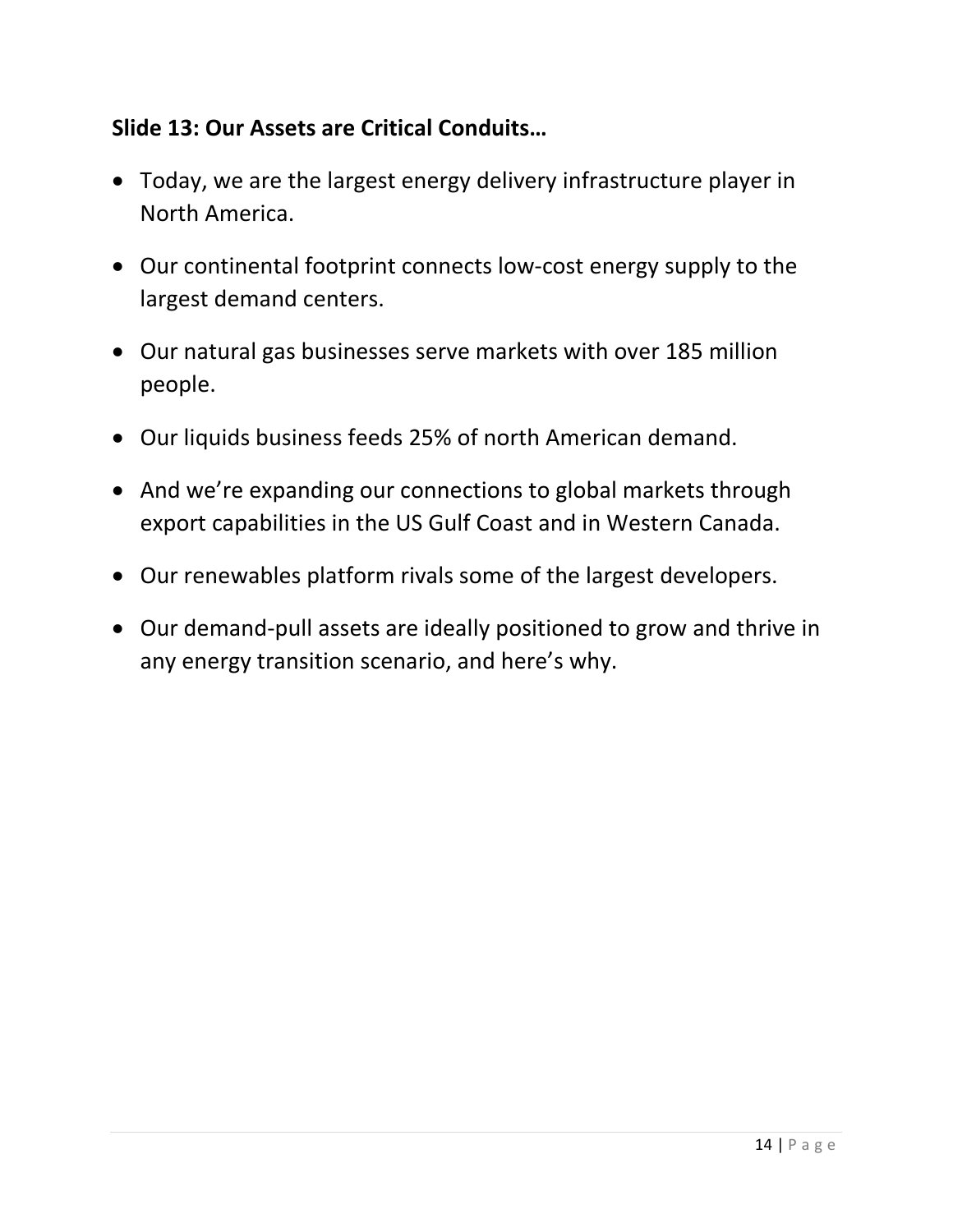#### **Slide 13: Our Assets are Critical Conduits…**

- Today, we are the largest energy delivery infrastructure player in North America.
- Our continental footprint connects low-cost energy supply to the largest demand centers.
- Our natural gas businesses serve markets with over 185 million people.
- Our liquids business feeds 25% of north American demand.
- And we're expanding our connections to global markets through export capabilities in the US Gulf Coast and in Western Canada.
- Our renewables platform rivals some of the largest developers.
- Our demand-pull assets are ideally positioned to grow and thrive in any energy transition scenario, and here's why.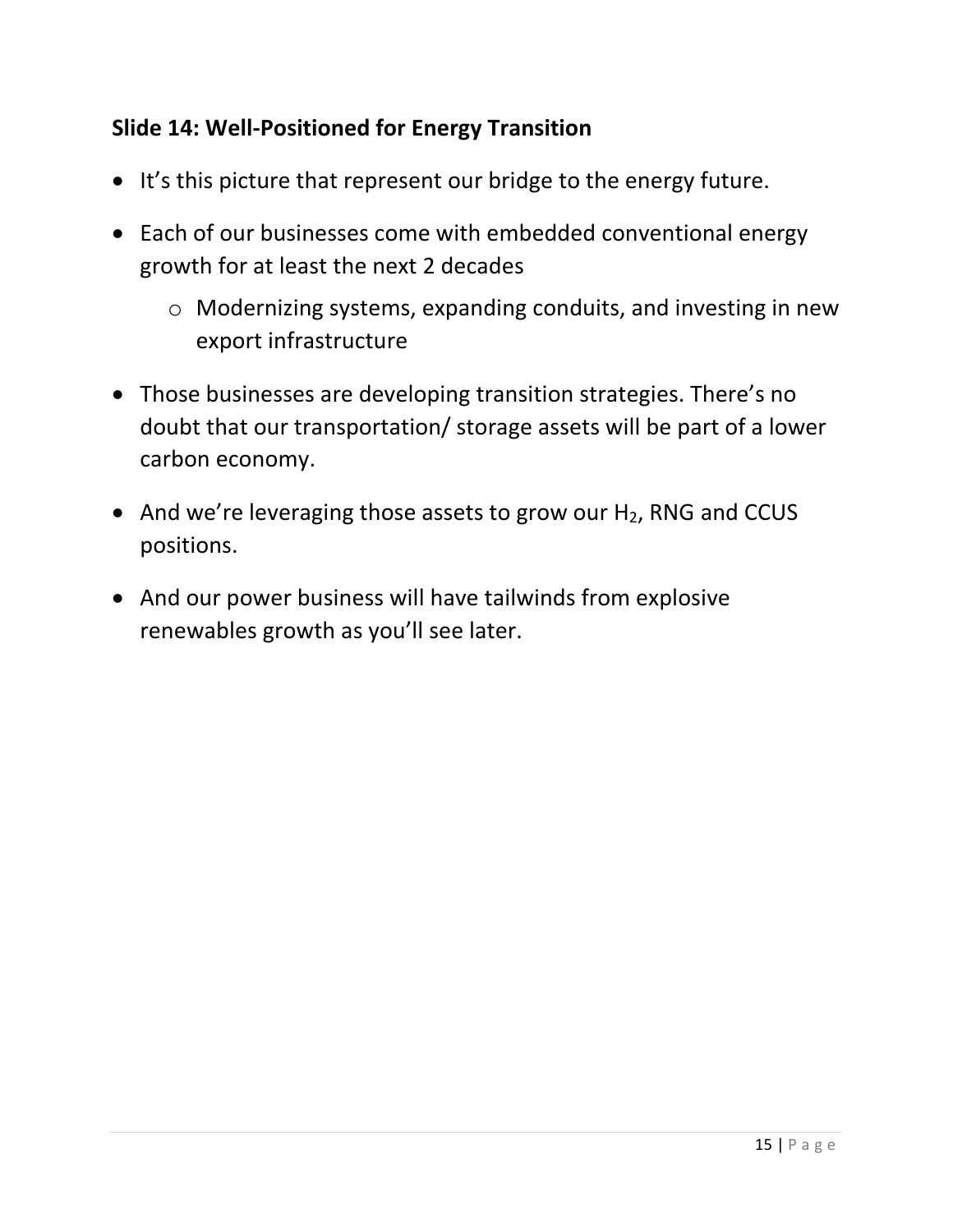# **Slide 14: Well-Positioned for Energy Transition**

- It's this picture that represent our bridge to the energy future.
- Each of our businesses come with embedded conventional energy growth for at least the next 2 decades
	- o Modernizing systems, expanding conduits, and investing in new export infrastructure
- Those businesses are developing transition strategies. There's no doubt that our transportation/ storage assets will be part of a lower carbon economy.
- And we're leveraging those assets to grow our H<sub>2</sub>, RNG and CCUS positions.
- And our power business will have tailwinds from explosive renewables growth as you'll see later.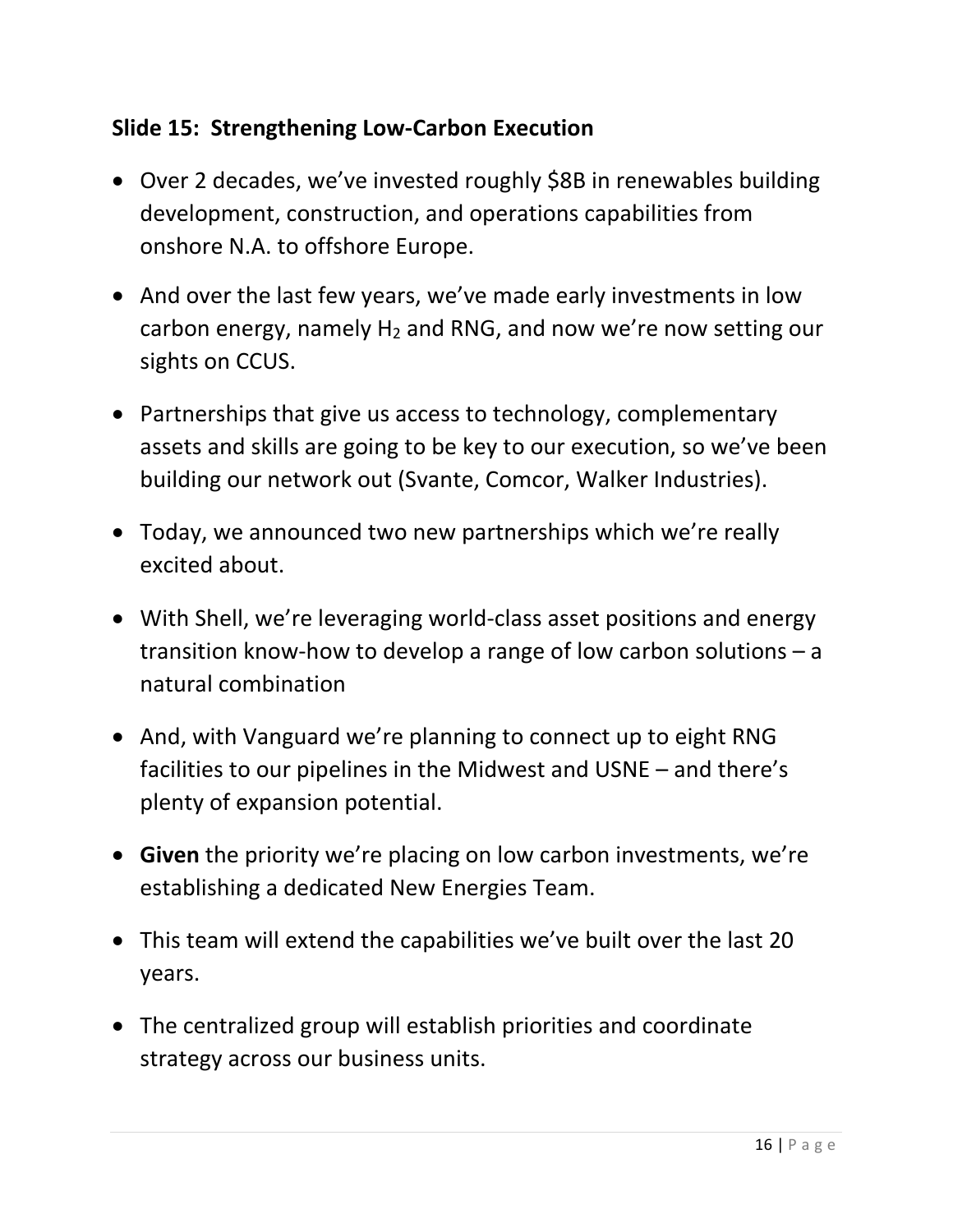# **Slide 15: Strengthening Low-Carbon Execution**

- Over 2 decades, we've invested roughly \$8B in renewables building development, construction, and operations capabilities from onshore N.A. to offshore Europe.
- And over the last few years, we've made early investments in low carbon energy, namely  $H_2$  and RNG, and now we're now setting our sights on CCUS.
- Partnerships that give us access to technology, complementary assets and skills are going to be key to our execution, so we've been building our network out (Svante, Comcor, Walker Industries).
- Today, we announced two new partnerships which we're really excited about.
- With Shell, we're leveraging world-class asset positions and energy transition know-how to develop a range of low carbon solutions – a natural combination
- And, with Vanguard we're planning to connect up to eight RNG facilities to our pipelines in the Midwest and USNE – and there's plenty of expansion potential.
- **Given** the priority we're placing on low carbon investments, we're establishing a dedicated New Energies Team.
- This team will extend the capabilities we've built over the last 20 years.
- The centralized group will establish priorities and coordinate strategy across our business units.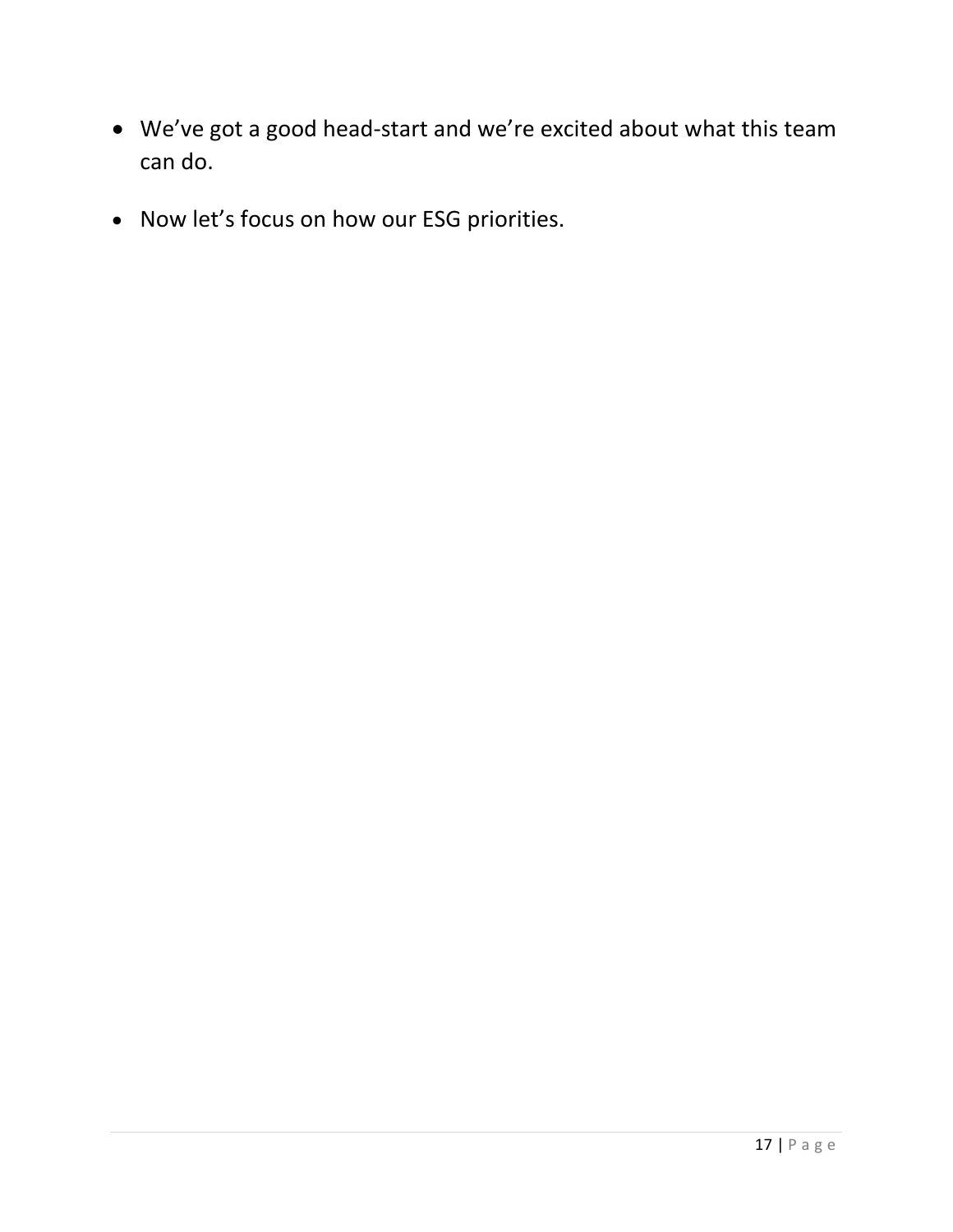- We've got a good head-start and we're excited about what this team can do.
- Now let's focus on how our ESG priorities.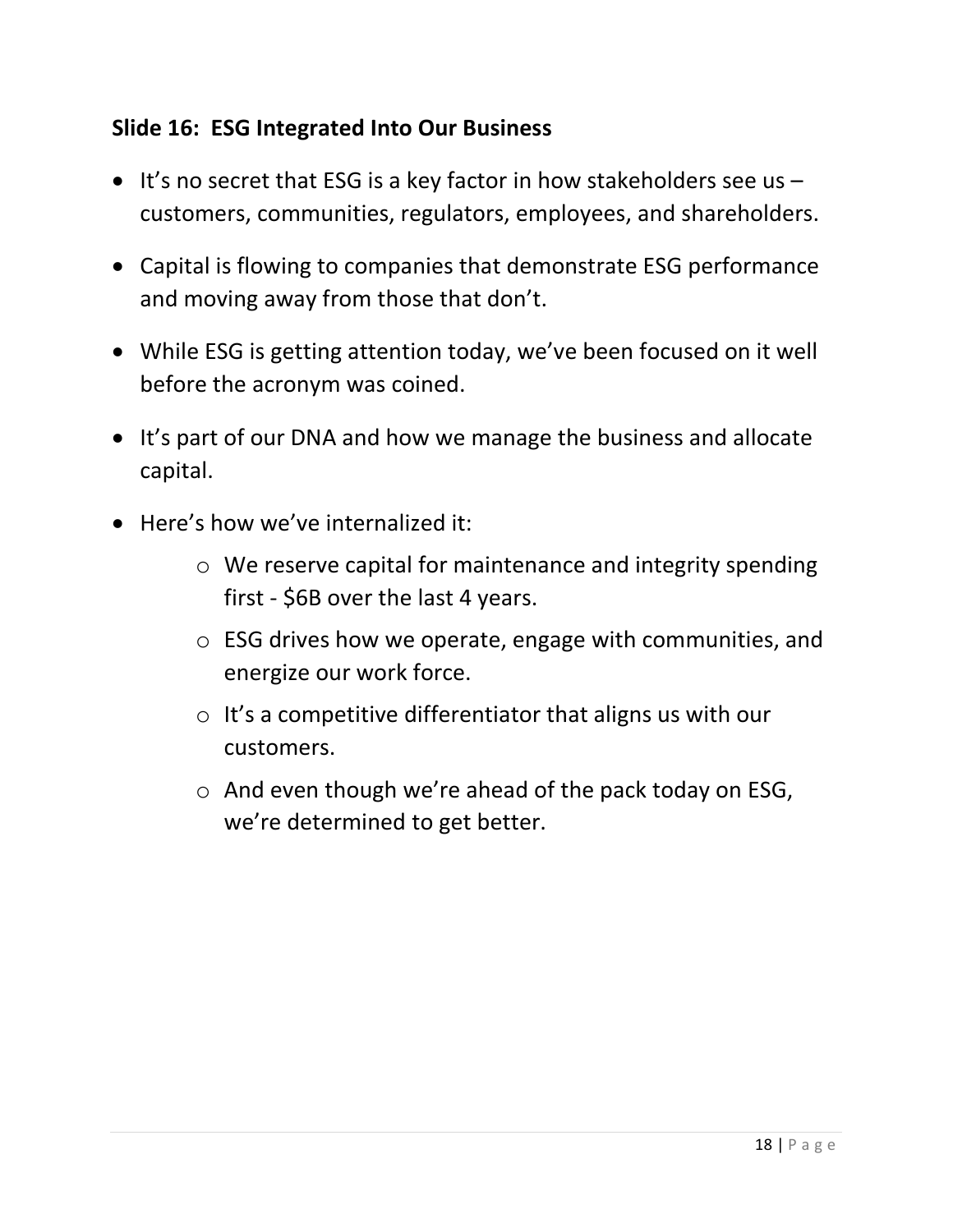#### **Slide 16: ESG Integrated Into Our Business**

- It's no secret that ESG is a key factor in how stakeholders see us customers, communities, regulators, employees, and shareholders.
- Capital is flowing to companies that demonstrate ESG performance and moving away from those that don't.
- While ESG is getting attention today, we've been focused on it well before the acronym was coined.
- It's part of our DNA and how we manage the business and allocate capital.
- Here's how we've internalized it:
	- o We reserve capital for maintenance and integrity spending first - \$6B over the last 4 years.
	- o ESG drives how we operate, engage with communities, and energize our work force.
	- $\circ$  It's a competitive differentiator that aligns us with our customers.
	- o And even though we're ahead of the pack today on ESG, we're determined to get better.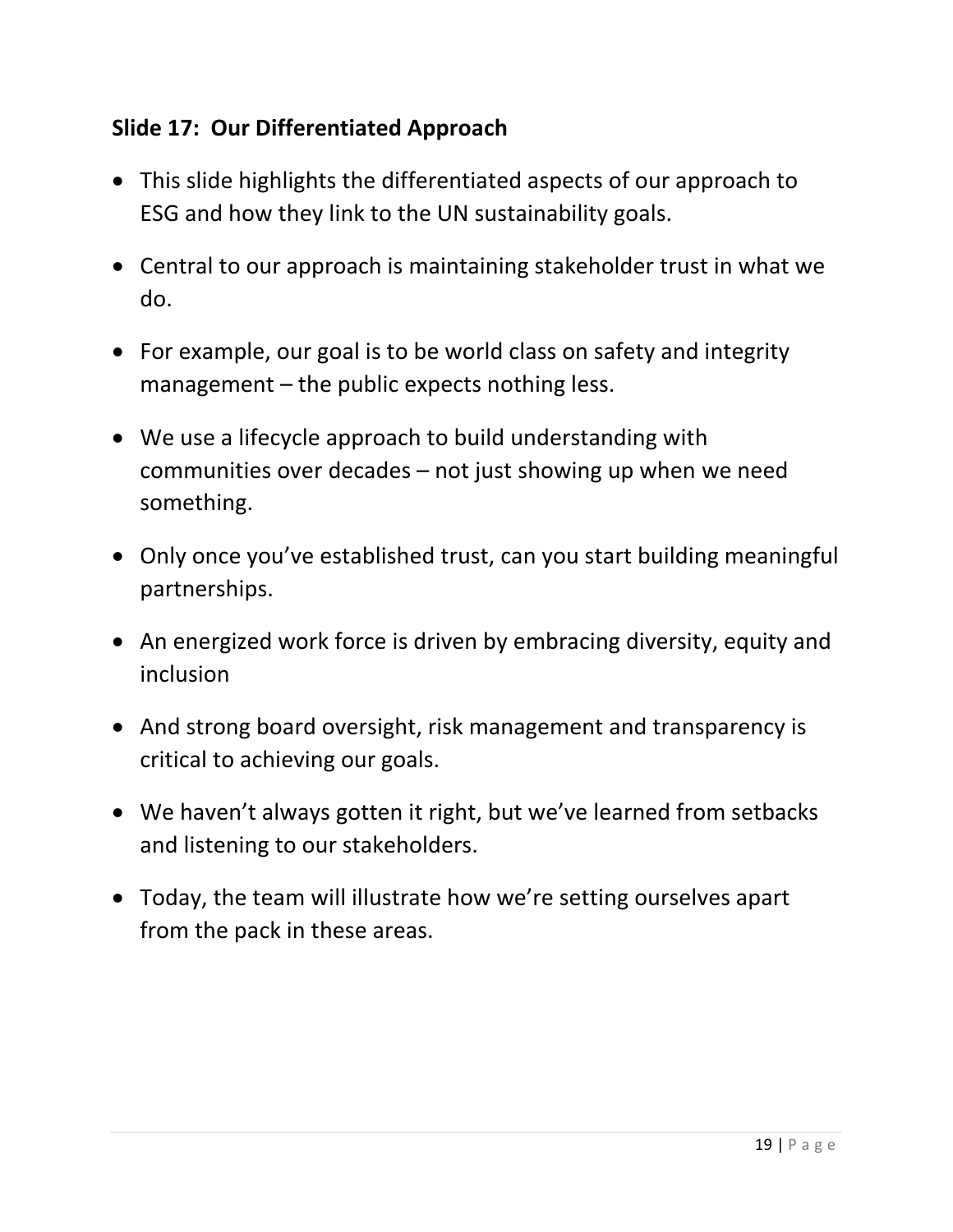# **Slide 17: Our Differentiated Approach**

- This slide highlights the differentiated aspects of our approach to ESG and how they link to the UN sustainability goals.
- Central to our approach is maintaining stakeholder trust in what we do.
- For example, our goal is to be world class on safety and integrity management – the public expects nothing less.
- We use a lifecycle approach to build understanding with communities over decades – not just showing up when we need something.
- Only once you've established trust, can you start building meaningful partnerships.
- An energized work force is driven by embracing diversity, equity and inclusion
- And strong board oversight, risk management and transparency is critical to achieving our goals.
- We haven't always gotten it right, but we've learned from setbacks and listening to our stakeholders.
- Today, the team will illustrate how we're setting ourselves apart from the pack in these areas.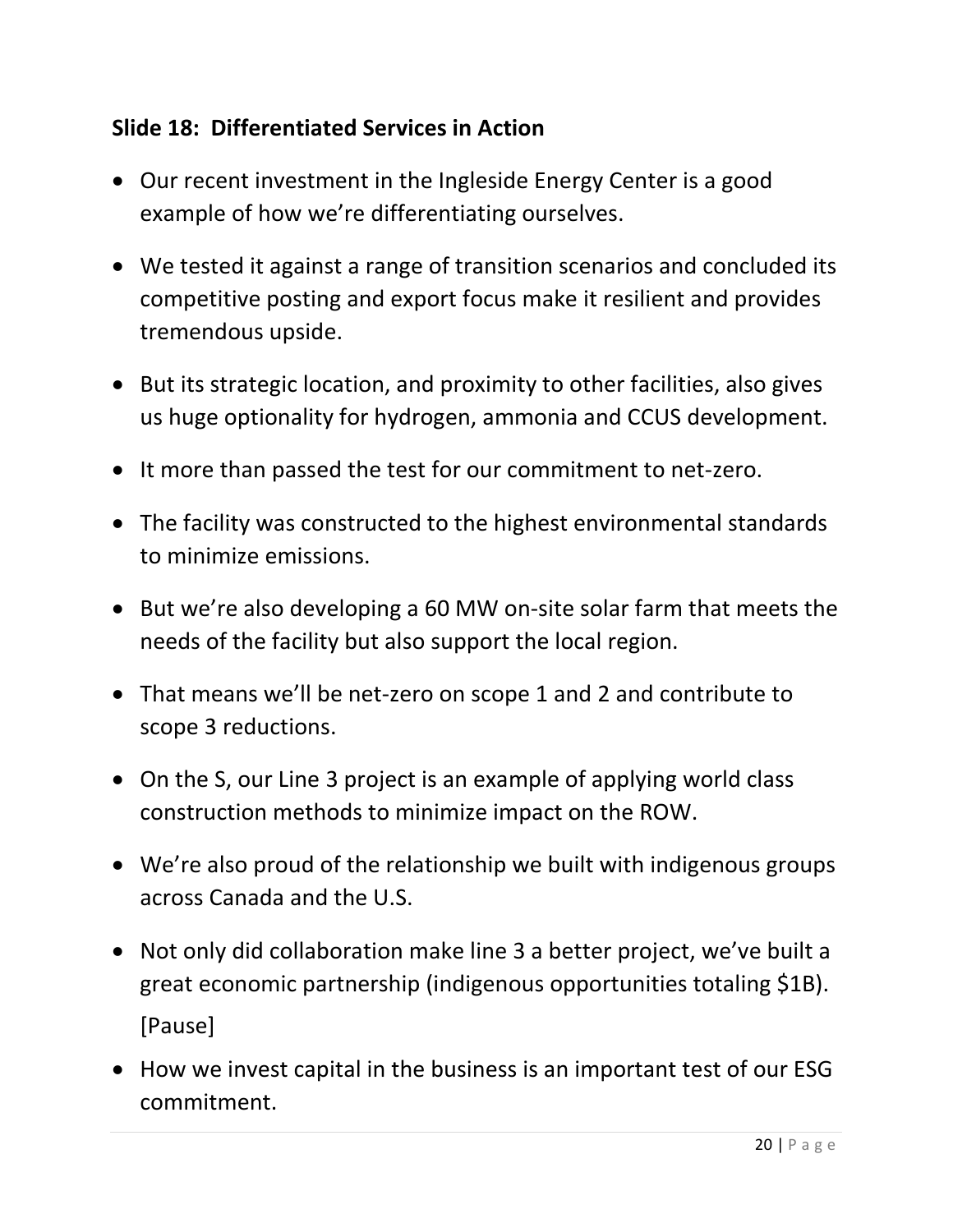# **Slide 18: Differentiated Services in Action**

- Our recent investment in the Ingleside Energy Center is a good example of how we're differentiating ourselves.
- We tested it against a range of transition scenarios and concluded its competitive posting and export focus make it resilient and provides tremendous upside.
- But its strategic location, and proximity to other facilities, also gives us huge optionality for hydrogen, ammonia and CCUS development.
- It more than passed the test for our commitment to net-zero.
- The facility was constructed to the highest environmental standards to minimize emissions.
- But we're also developing a 60 MW on-site solar farm that meets the needs of the facility but also support the local region.
- That means we'll be net-zero on scope 1 and 2 and contribute to scope 3 reductions.
- On the S, our Line 3 project is an example of applying world class construction methods to minimize impact on the ROW.
- We're also proud of the relationship we built with indigenous groups across Canada and the U.S.
- Not only did collaboration make line 3 a better project, we've built a great economic partnership (indigenous opportunities totaling \$1B). [Pause]
- How we invest capital in the business is an important test of our ESG commitment.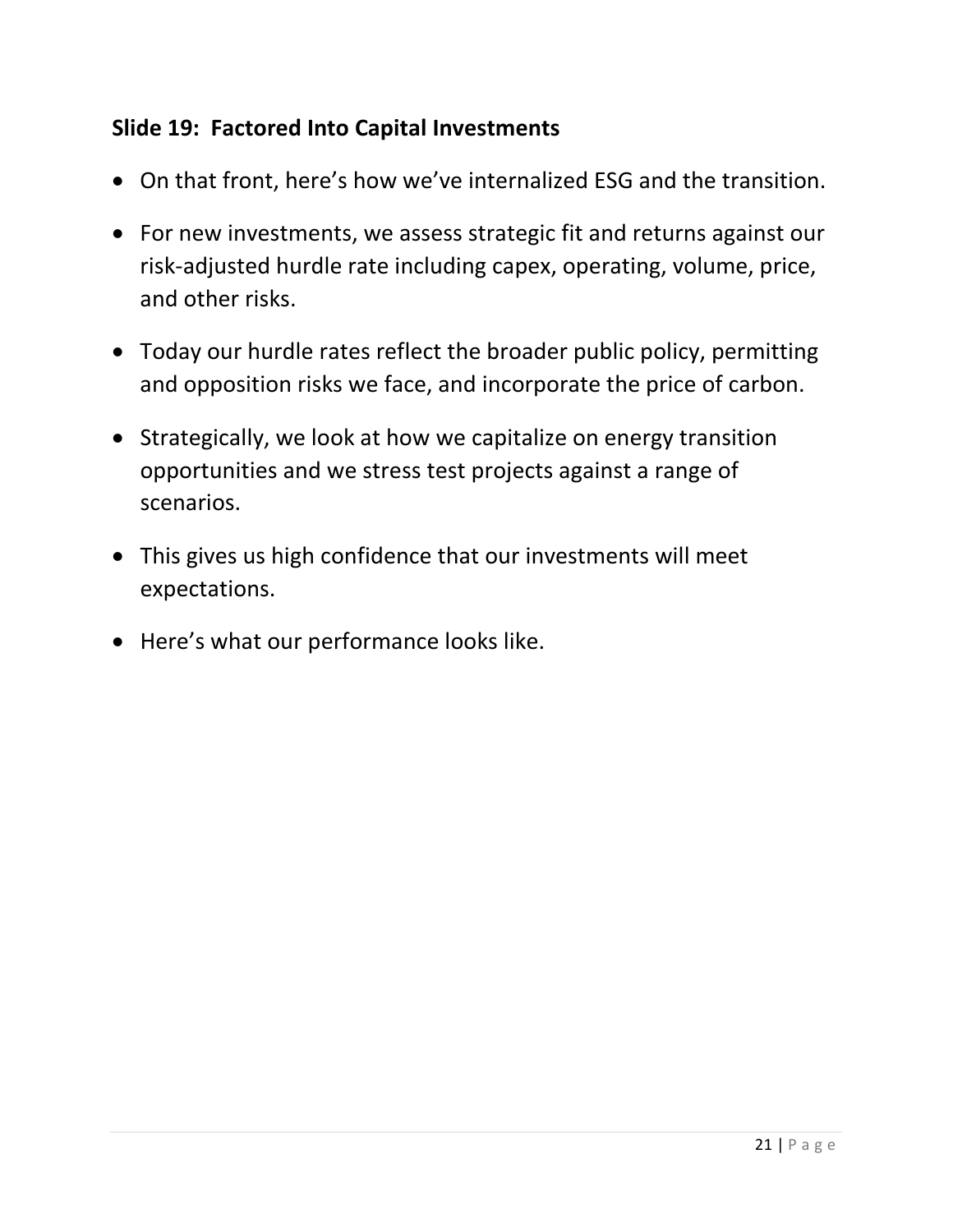#### **Slide 19: Factored Into Capital Investments**

- On that front, here's how we've internalized ESG and the transition.
- For new investments, we assess strategic fit and returns against our risk-adjusted hurdle rate including capex, operating, volume, price, and other risks.
- Today our hurdle rates reflect the broader public policy, permitting and opposition risks we face, and incorporate the price of carbon.
- Strategically, we look at how we capitalize on energy transition opportunities and we stress test projects against a range of scenarios.
- This gives us high confidence that our investments will meet expectations.
- Here's what our performance looks like.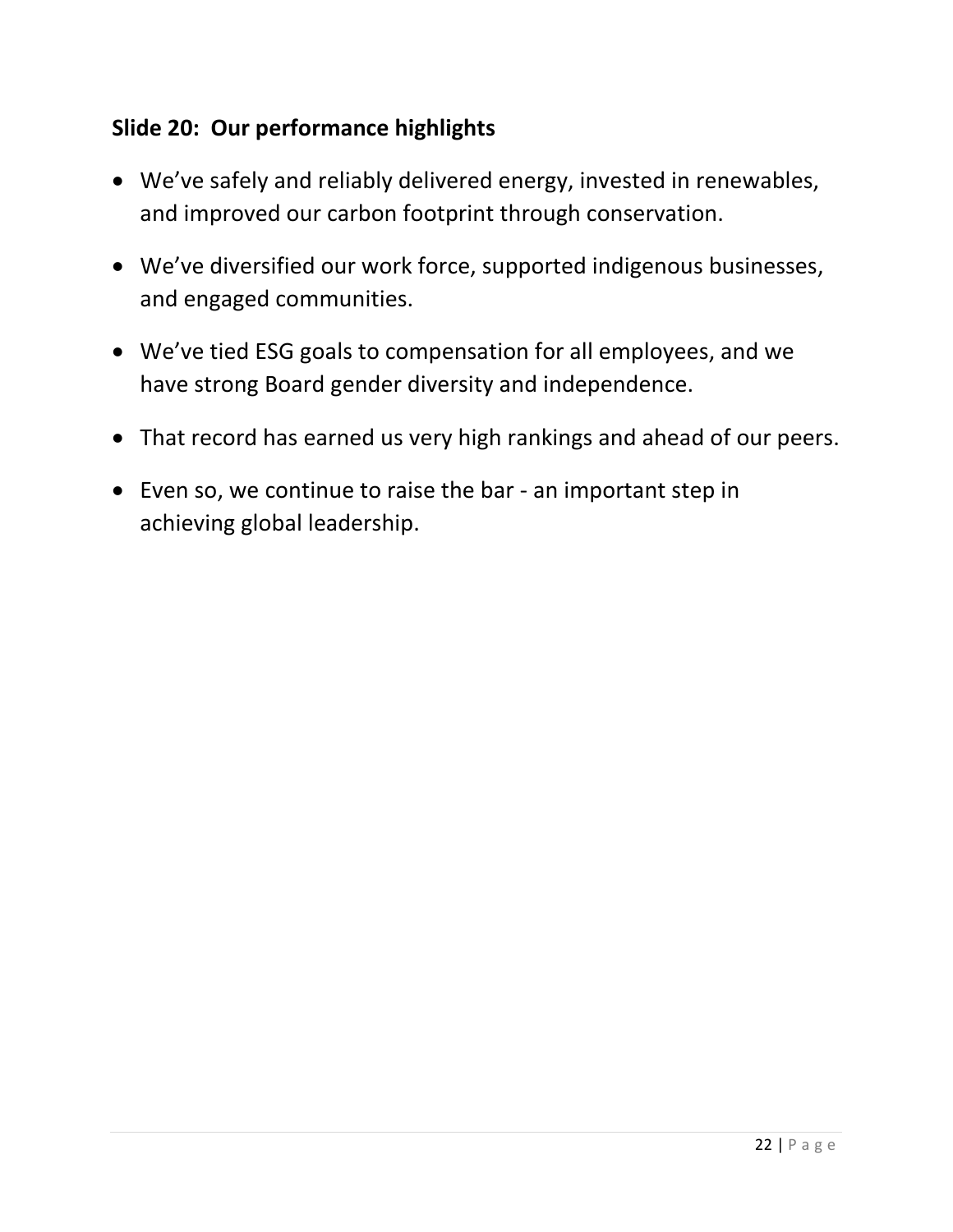# **Slide 20: Our performance highlights**

- We've safely and reliably delivered energy, invested in renewables, and improved our carbon footprint through conservation.
- We've diversified our work force, supported indigenous businesses, and engaged communities.
- We've tied ESG goals to compensation for all employees, and we have strong Board gender diversity and independence.
- That record has earned us very high rankings and ahead of our peers.
- Even so, we continue to raise the bar an important step in achieving global leadership.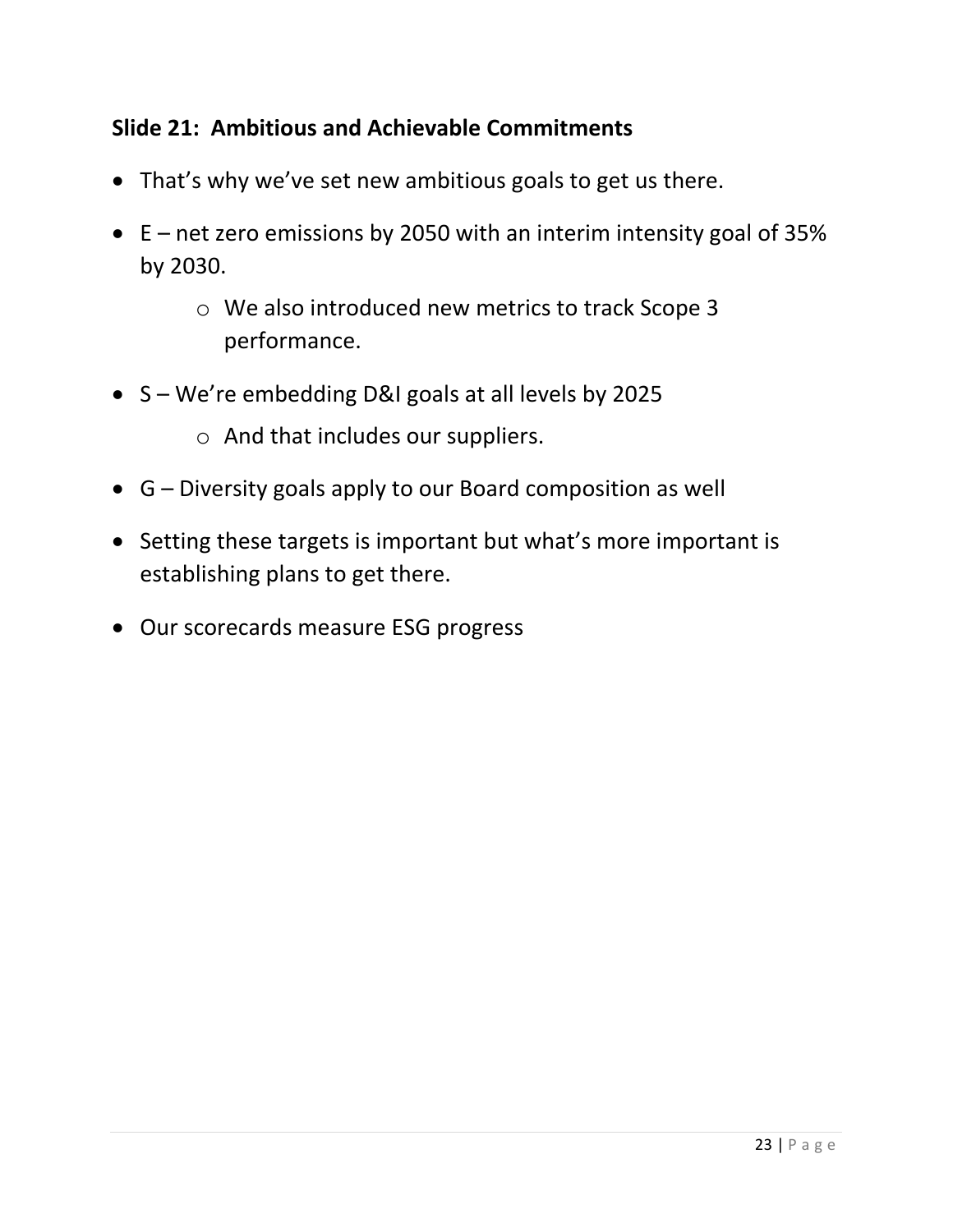# **Slide 21: Ambitious and Achievable Commitments**

- That's why we've set new ambitious goals to get us there.
- E net zero emissions by 2050 with an interim intensity goal of 35% by 2030.
	- o We also introduced new metrics to track Scope 3 performance.
- S We're embedding D&I goals at all levels by 2025
	- o And that includes our suppliers.
- G Diversity goals apply to our Board composition as well
- Setting these targets is important but what's more important is establishing plans to get there.
- Our scorecards measure ESG progress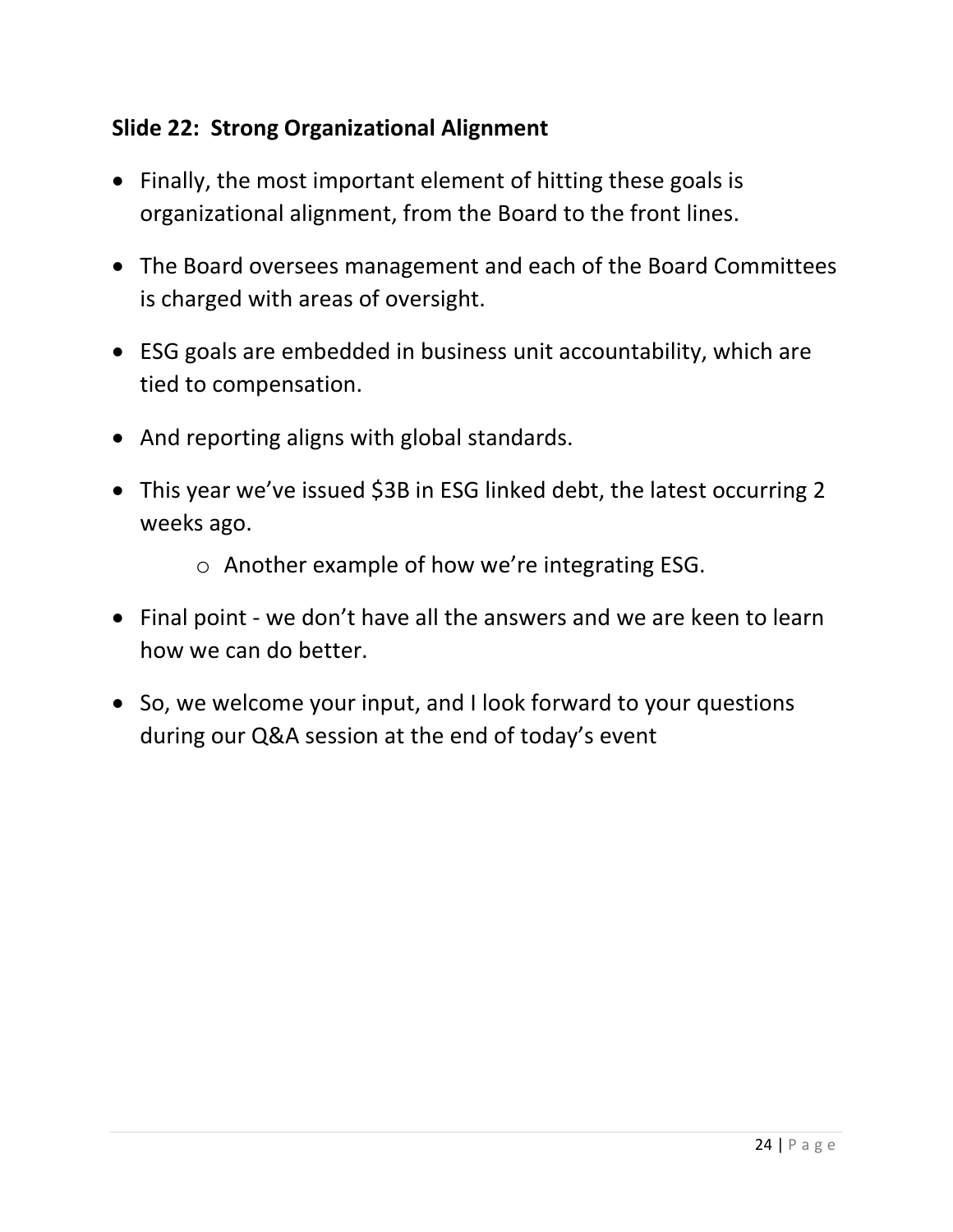# **Slide 22: Strong Organizational Alignment**

- Finally, the most important element of hitting these goals is organizational alignment, from the Board to the front lines.
- The Board oversees management and each of the Board Committees is charged with areas of oversight.
- ESG goals are embedded in business unit accountability, which are tied to compensation.
- And reporting aligns with global standards.
- This year we've issued \$3B in ESG linked debt, the latest occurring 2 weeks ago.
	- o Another example of how we're integrating ESG.
- Final point we don't have all the answers and we are keen to learn how we can do better.
- So, we welcome your input, and I look forward to your questions during our Q&A session at the end of today's event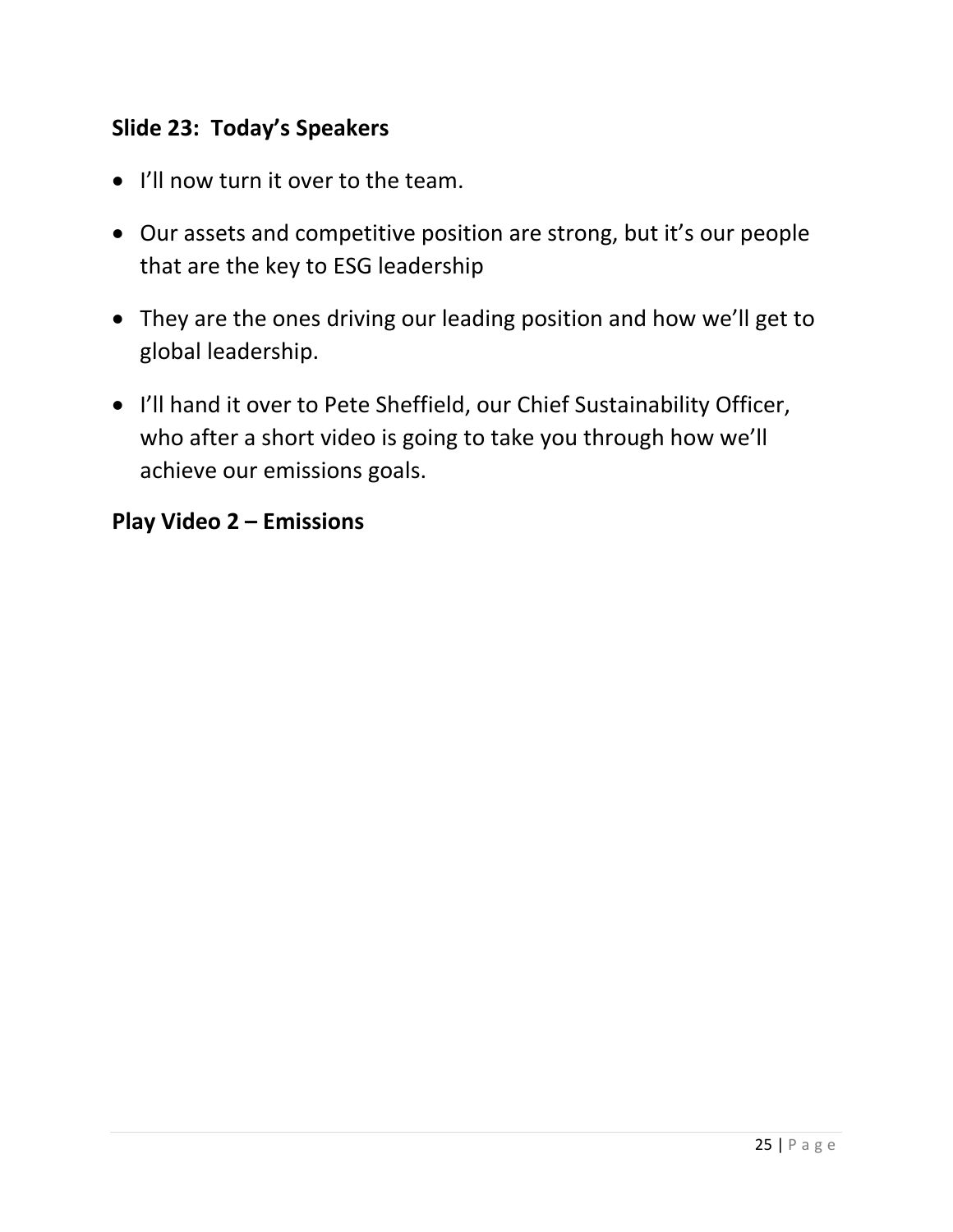# **Slide 23: Today's Speakers**

- I'll now turn it over to the team.
- Our assets and competitive position are strong, but it's our people that are the key to ESG leadership
- They are the ones driving our leading position and how we'll get to global leadership.
- I'll hand it over to Pete Sheffield, our Chief Sustainability Officer, who after a short video is going to take you through how we'll achieve our emissions goals.

#### **Play Video 2 – Emissions**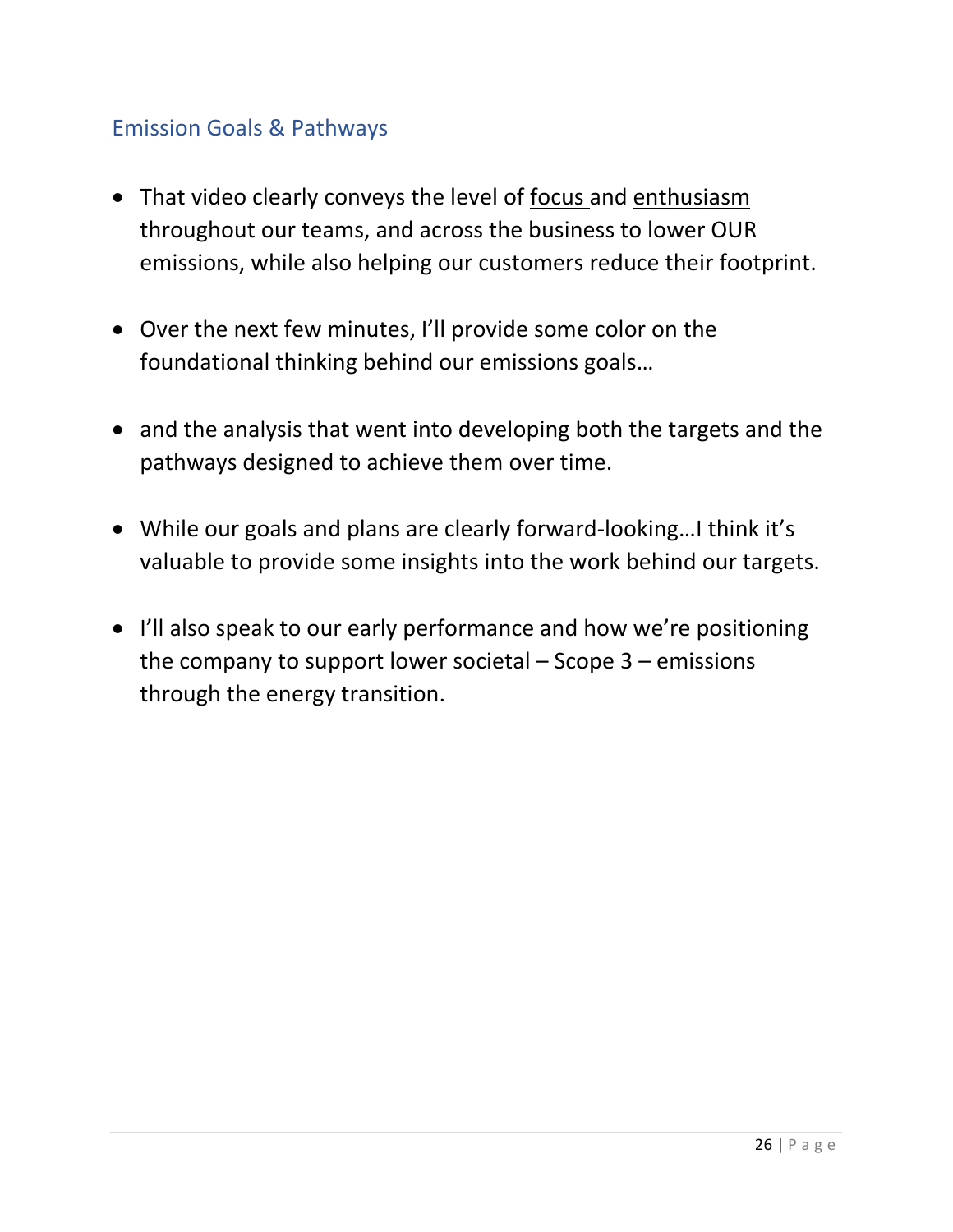# <span id="page-25-0"></span>Emission Goals & Pathways

- That video clearly conveys the level of focus and enthusiasm throughout our teams, and across the business to lower OUR emissions, while also helping our customers reduce their footprint.
- Over the next few minutes, I'll provide some color on the foundational thinking behind our emissions goals…
- and the analysis that went into developing both the targets and the pathways designed to achieve them over time.
- While our goals and plans are clearly forward-looking…I think it's valuable to provide some insights into the work behind our targets.
- I'll also speak to our early performance and how we're positioning the company to support lower societal – Scope 3 – emissions through the energy transition.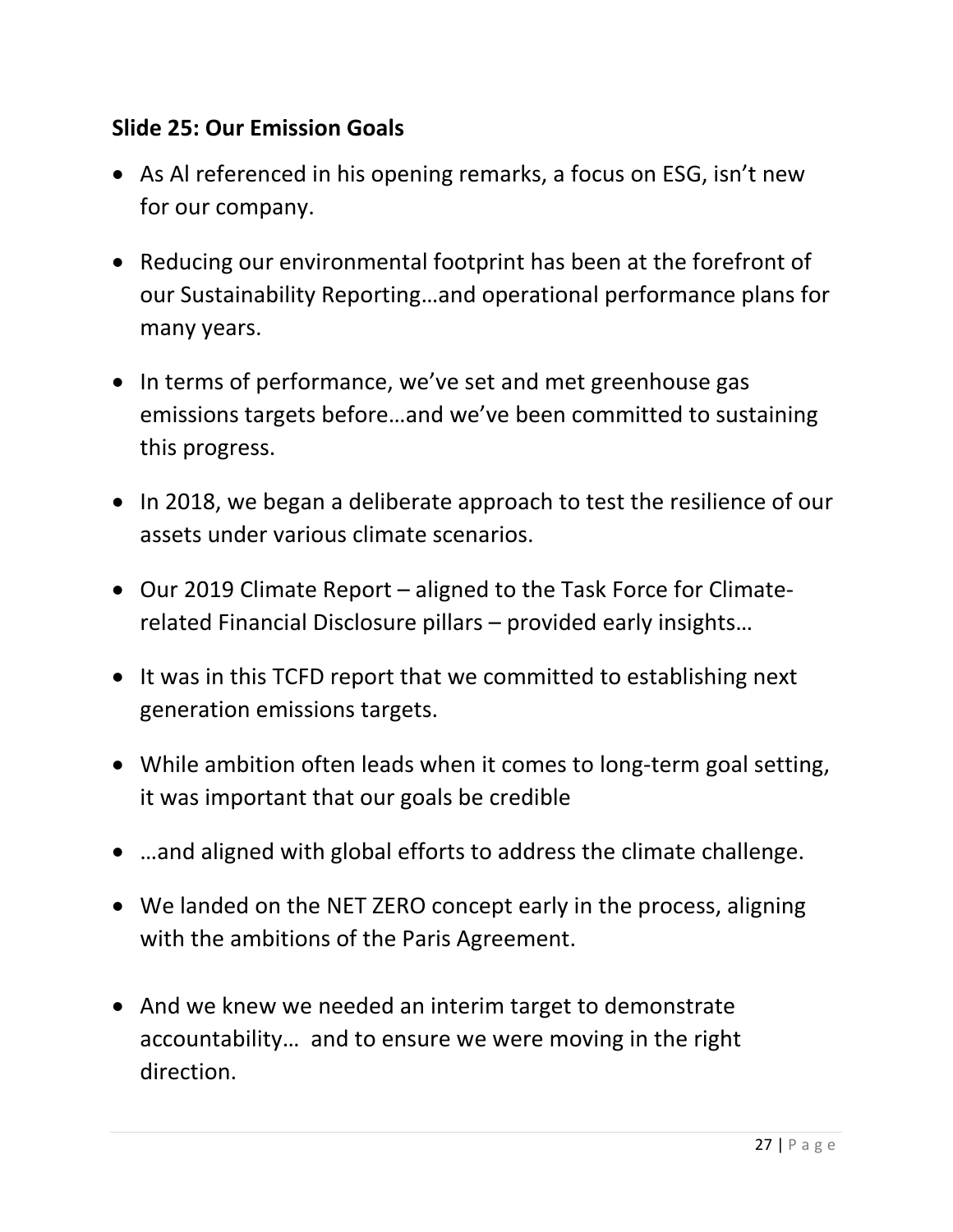#### **Slide 25: Our Emission Goals**

- As Al referenced in his opening remarks, a focus on ESG, isn't new for our company.
- Reducing our environmental footprint has been at the forefront of our Sustainability Reporting…and operational performance plans for many years.
- In terms of performance, we've set and met greenhouse gas emissions targets before…and we've been committed to sustaining this progress.
- In 2018, we began a deliberate approach to test the resilience of our assets under various climate scenarios.
- Our 2019 Climate Report aligned to the Task Force for Climaterelated Financial Disclosure pillars – provided early insights…
- It was in this TCFD report that we committed to establishing next generation emissions targets.
- While ambition often leads when it comes to long-term goal setting, it was important that our goals be credible
- ...and aligned with global efforts to address the climate challenge.
- We landed on the NET ZERO concept early in the process, aligning with the ambitions of the Paris Agreement.
- And we knew we needed an interim target to demonstrate accountability… and to ensure we were moving in the right direction.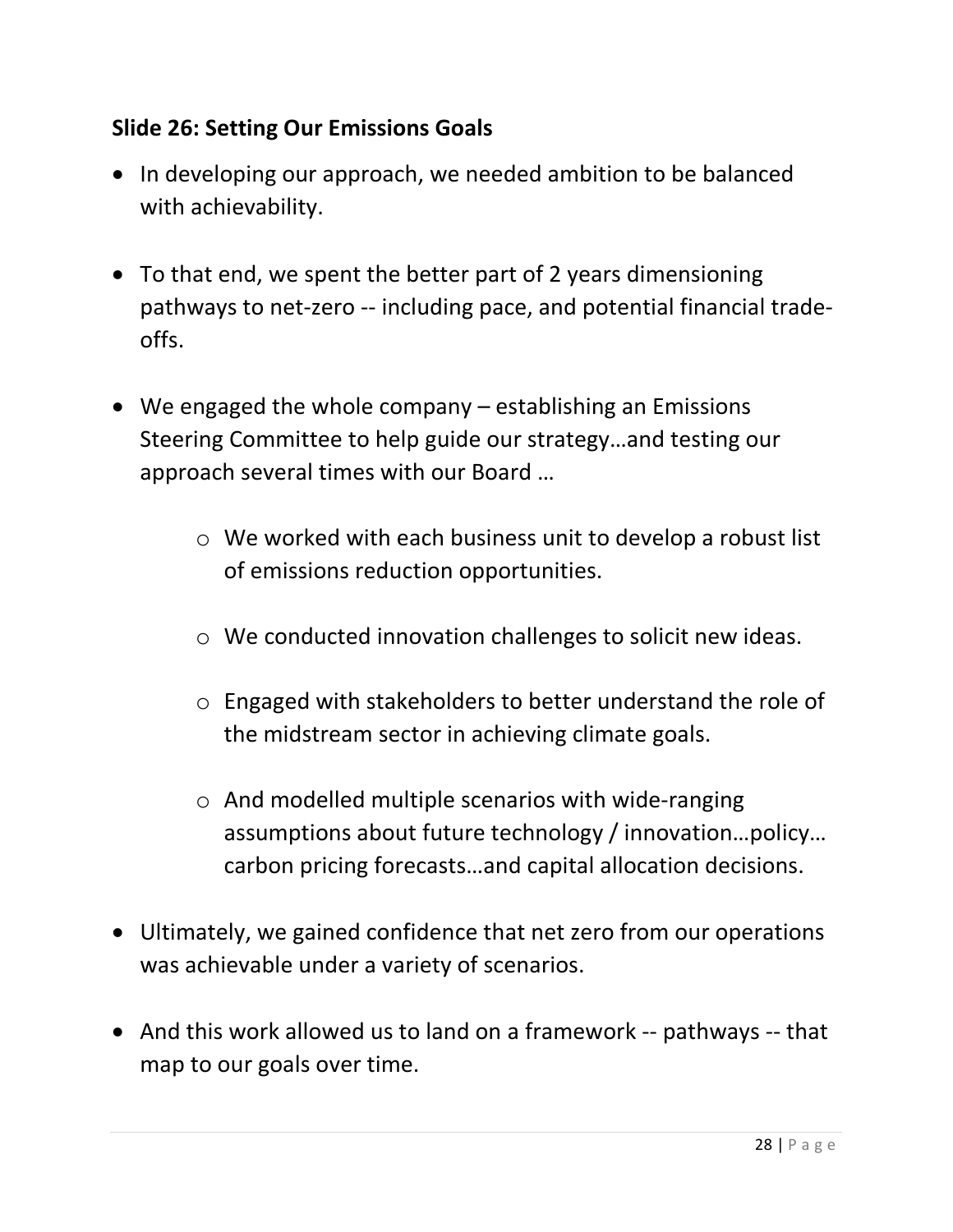#### **Slide 26: Setting Our Emissions Goals**

- In developing our approach, we needed ambition to be balanced with achievability.
- To that end, we spent the better part of 2 years dimensioning pathways to net-zero -- including pace, and potential financial tradeoffs.
- We engaged the whole company establishing an Emissions Steering Committee to help guide our strategy…and testing our approach several times with our Board …
	- o We worked with each business unit to develop a robust list of emissions reduction opportunities.
	- o We conducted innovation challenges to solicit new ideas.
	- o Engaged with stakeholders to better understand the role of the midstream sector in achieving climate goals.
	- o And modelled multiple scenarios with wide-ranging assumptions about future technology / innovation…policy… carbon pricing forecasts…and capital allocation decisions.
- Ultimately, we gained confidence that net zero from our operations was achievable under a variety of scenarios.
- And this work allowed us to land on a framework -- pathways -- that map to our goals over time.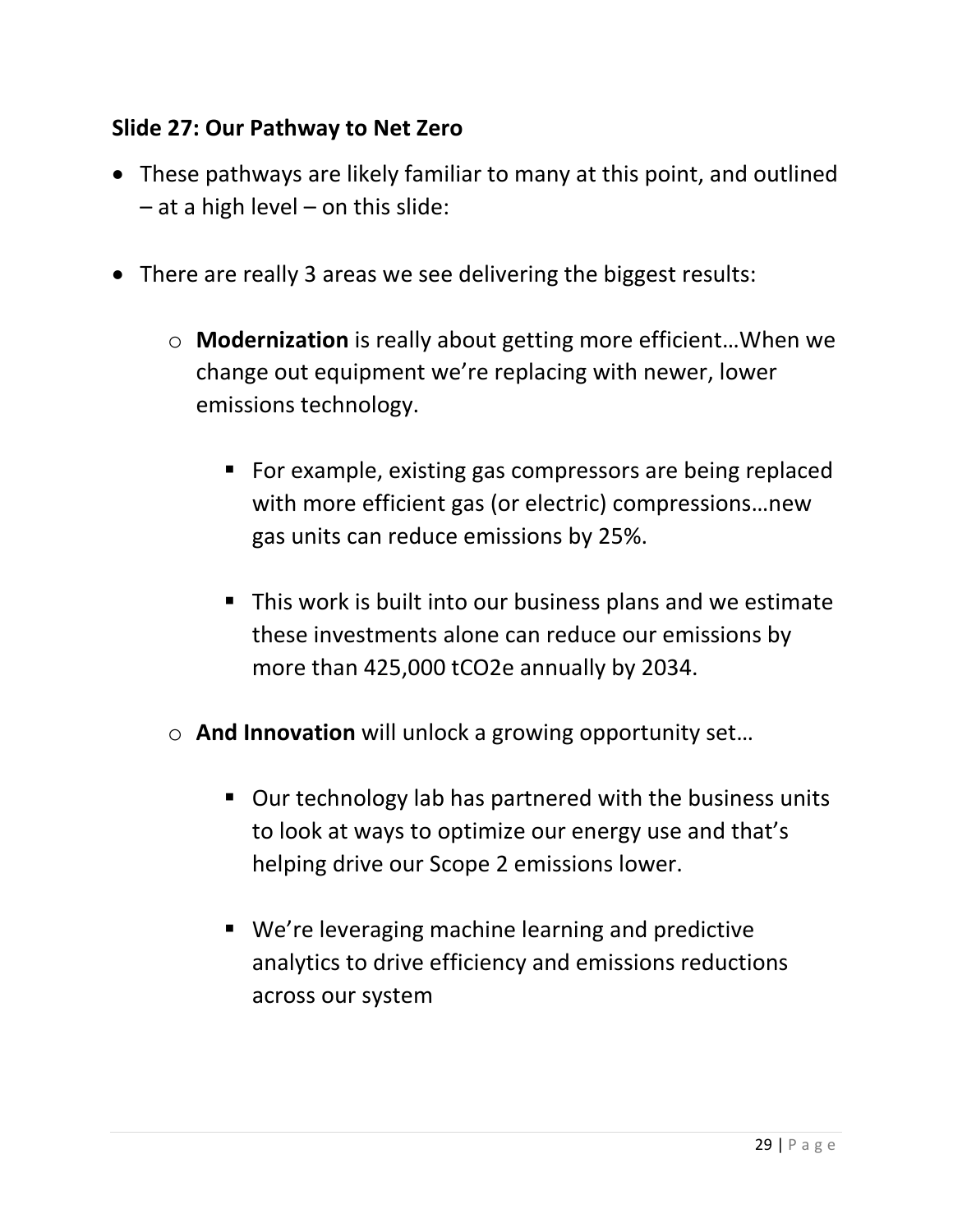#### **Slide 27: Our Pathway to Net Zero**

- These pathways are likely familiar to many at this point, and outlined  $-$  at a high level  $-$  on this slide:
- There are really 3 areas we see delivering the biggest results:
	- o **Modernization** is really about getting more efficient…When we change out equipment we're replacing with newer, lower emissions technology.
		- For example, existing gas compressors are being replaced with more efficient gas (or electric) compressions…new gas units can reduce emissions by 25%.
		- This work is built into our business plans and we estimate these investments alone can reduce our emissions by more than 425,000 tCO2e annually by 2034.
	- o **And Innovation** will unlock a growing opportunity set…
		- Our technology lab has partnered with the business units to look at ways to optimize our energy use and that's helping drive our Scope 2 emissions lower.
		- We're leveraging machine learning and predictive analytics to drive efficiency and emissions reductions across our system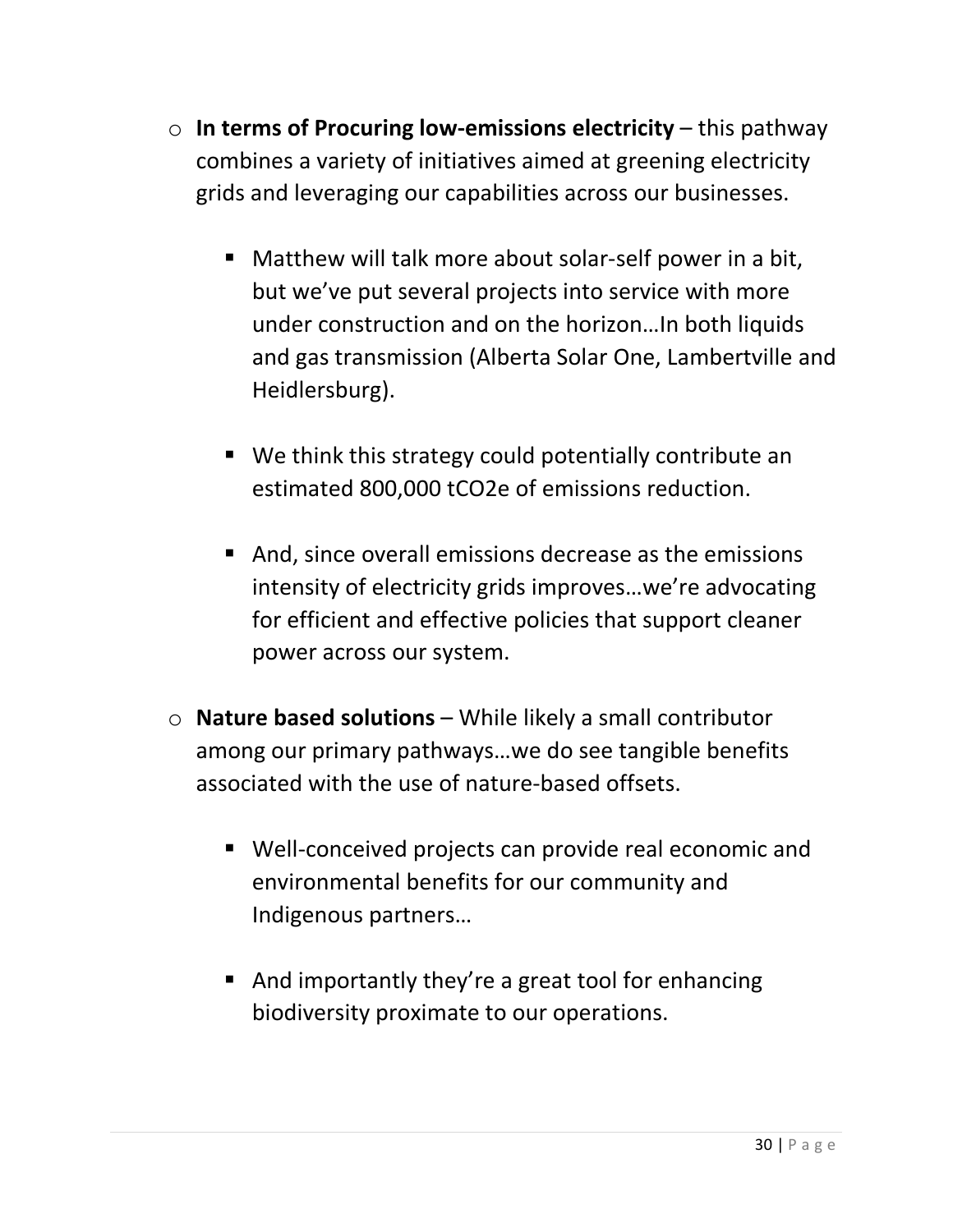- o **In terms of Procuring low-emissions electricity** this pathway combines a variety of initiatives aimed at greening electricity grids and leveraging our capabilities across our businesses.
	- Matthew will talk more about solar-self power in a bit, but we've put several projects into service with more under construction and on the horizon…In both liquids and gas transmission (Alberta Solar One, Lambertville and Heidlersburg).
	- We think this strategy could potentially contribute an estimated 800,000 tCO2e of emissions reduction.
	- And, since overall emissions decrease as the emissions intensity of electricity grids improves…we're advocating for efficient and effective policies that support cleaner power across our system.
- o **Nature based solutions** While likely a small contributor among our primary pathways…we do see tangible benefits associated with the use of nature-based offsets.
	- Well-conceived projects can provide real economic and environmental benefits for our community and Indigenous partners…
	- And importantly they're a great tool for enhancing biodiversity proximate to our operations.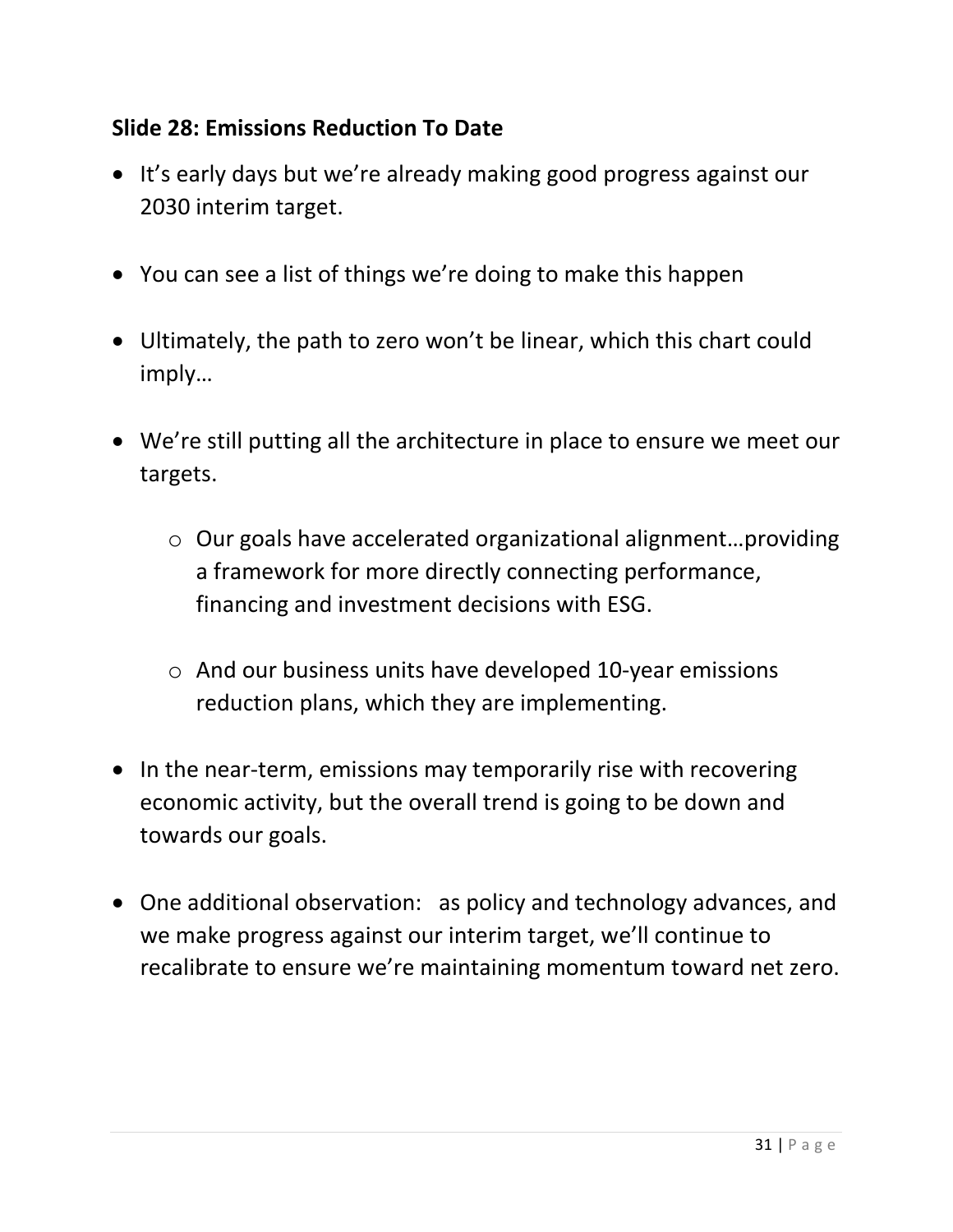#### **Slide 28: Emissions Reduction To Date**

- It's early days but we're already making good progress against our 2030 interim target.
- You can see a list of things we're doing to make this happen
- Ultimately, the path to zero won't be linear, which this chart could imply…
- We're still putting all the architecture in place to ensure we meet our targets.
	- o Our goals have accelerated organizational alignment…providing a framework for more directly connecting performance, financing and investment decisions with ESG.
	- o And our business units have developed 10-year emissions reduction plans, which they are implementing.
- In the near-term, emissions may temporarily rise with recovering economic activity, but the overall trend is going to be down and towards our goals.
- One additional observation: as policy and technology advances, and we make progress against our interim target, we'll continue to recalibrate to ensure we're maintaining momentum toward net zero.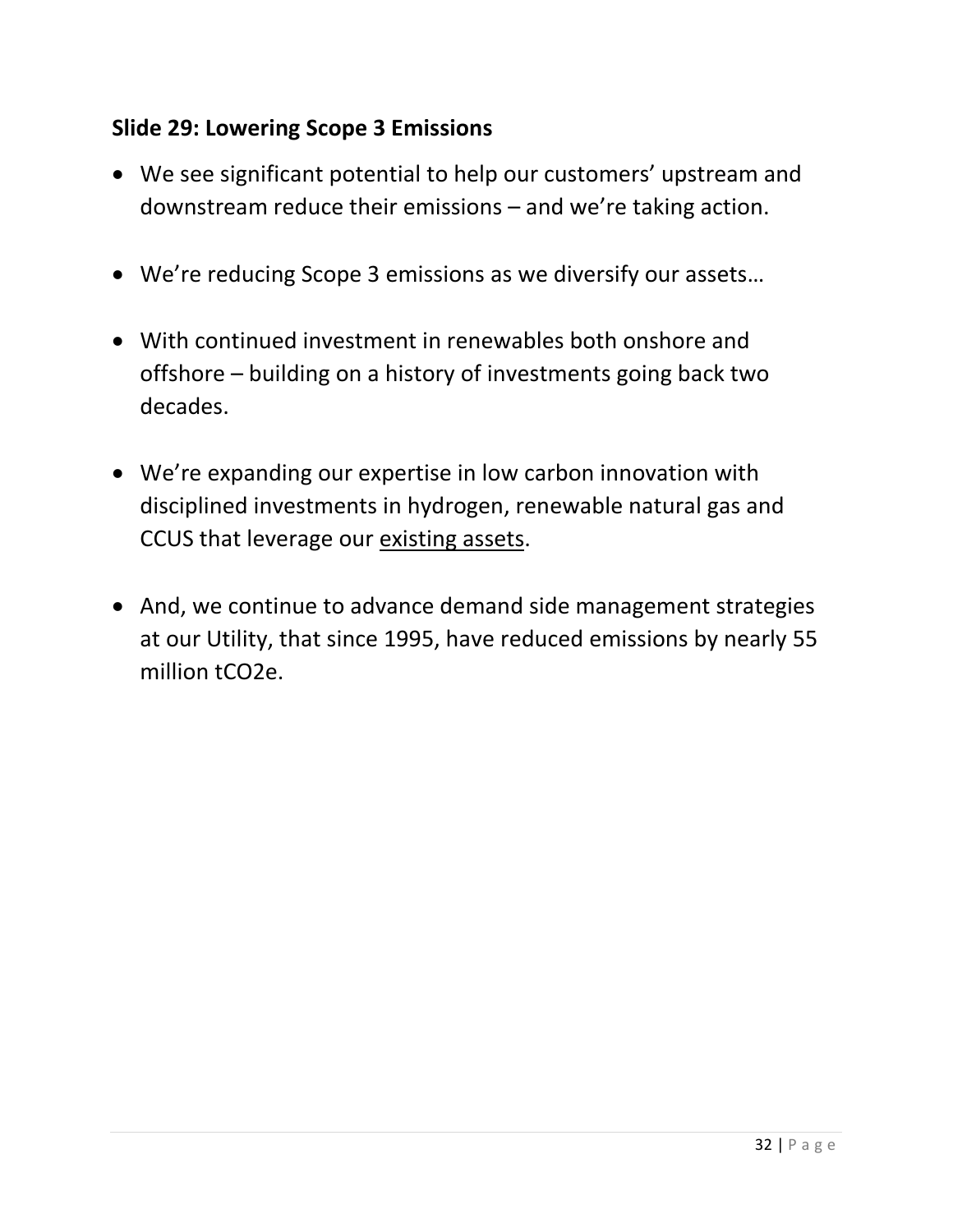#### **Slide 29: Lowering Scope 3 Emissions**

- We see significant potential to help our customers' upstream and downstream reduce their emissions – and we're taking action.
- We're reducing Scope 3 emissions as we diversify our assets…
- With continued investment in renewables both onshore and offshore – building on a history of investments going back two decades.
- We're expanding our expertise in low carbon innovation with disciplined investments in hydrogen, renewable natural gas and CCUS that leverage our existing assets.
- And, we continue to advance demand side management strategies at our Utility, that since 1995, have reduced emissions by nearly 55 million tCO2e.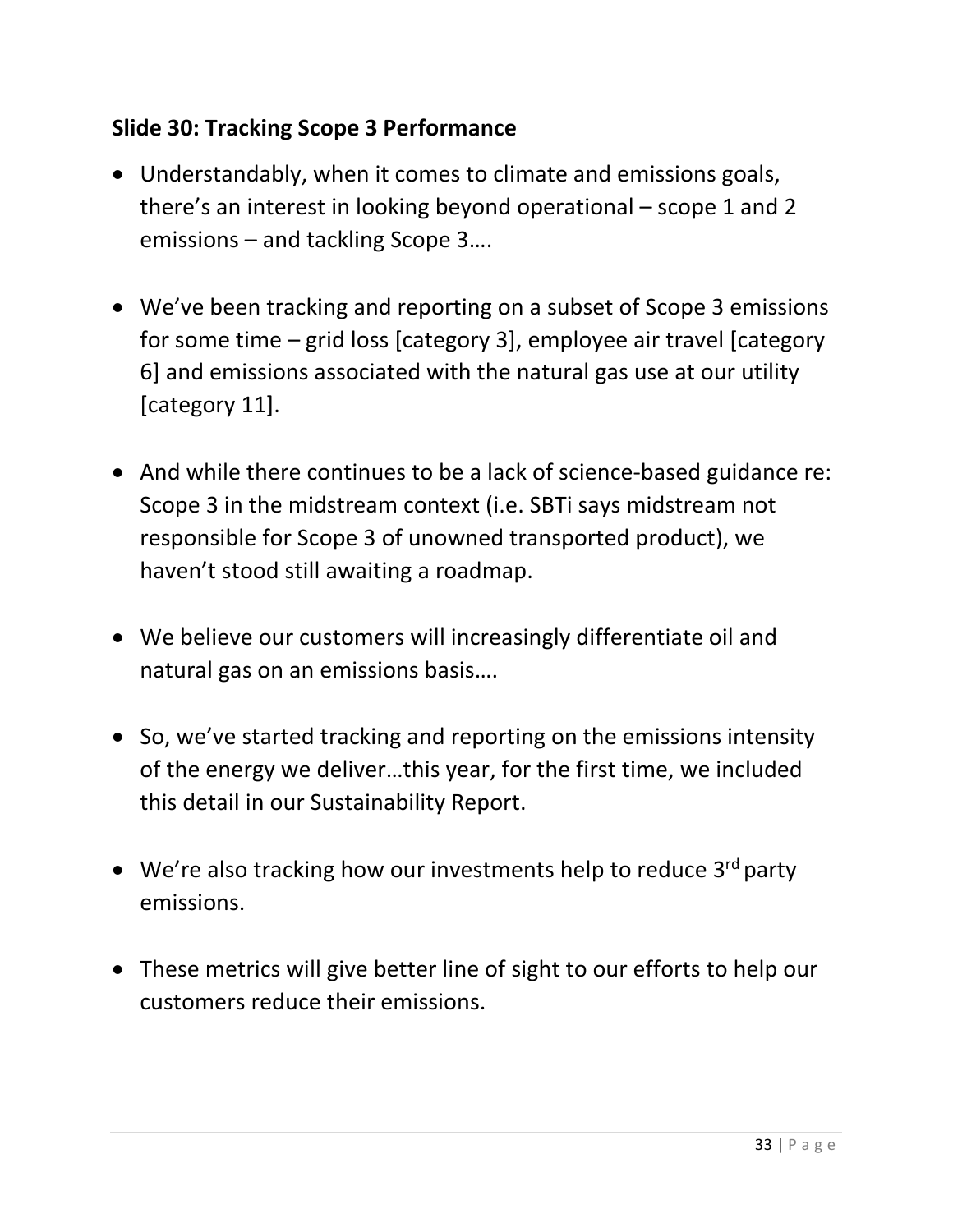# **Slide 30: Tracking Scope 3 Performance**

- Understandably, when it comes to climate and emissions goals, there's an interest in looking beyond operational – scope 1 and 2 emissions – and tackling Scope 3….
- We've been tracking and reporting on a subset of Scope 3 emissions for some time – grid loss [category 3], employee air travel [category 6] and emissions associated with the natural gas use at our utility [category 11].
- And while there continues to be a lack of science-based guidance re: Scope 3 in the midstream context (i.e. SBTi says midstream not responsible for Scope 3 of unowned transported product), we haven't stood still awaiting a roadmap.
- We believe our customers will increasingly differentiate oil and natural gas on an emissions basis….
- So, we've started tracking and reporting on the emissions intensity of the energy we deliver…this year, for the first time, we included this detail in our Sustainability Report.
- We're also tracking how our investments help to reduce  $3^{rd}$  party emissions.
- These metrics will give better line of sight to our efforts to help our customers reduce their emissions.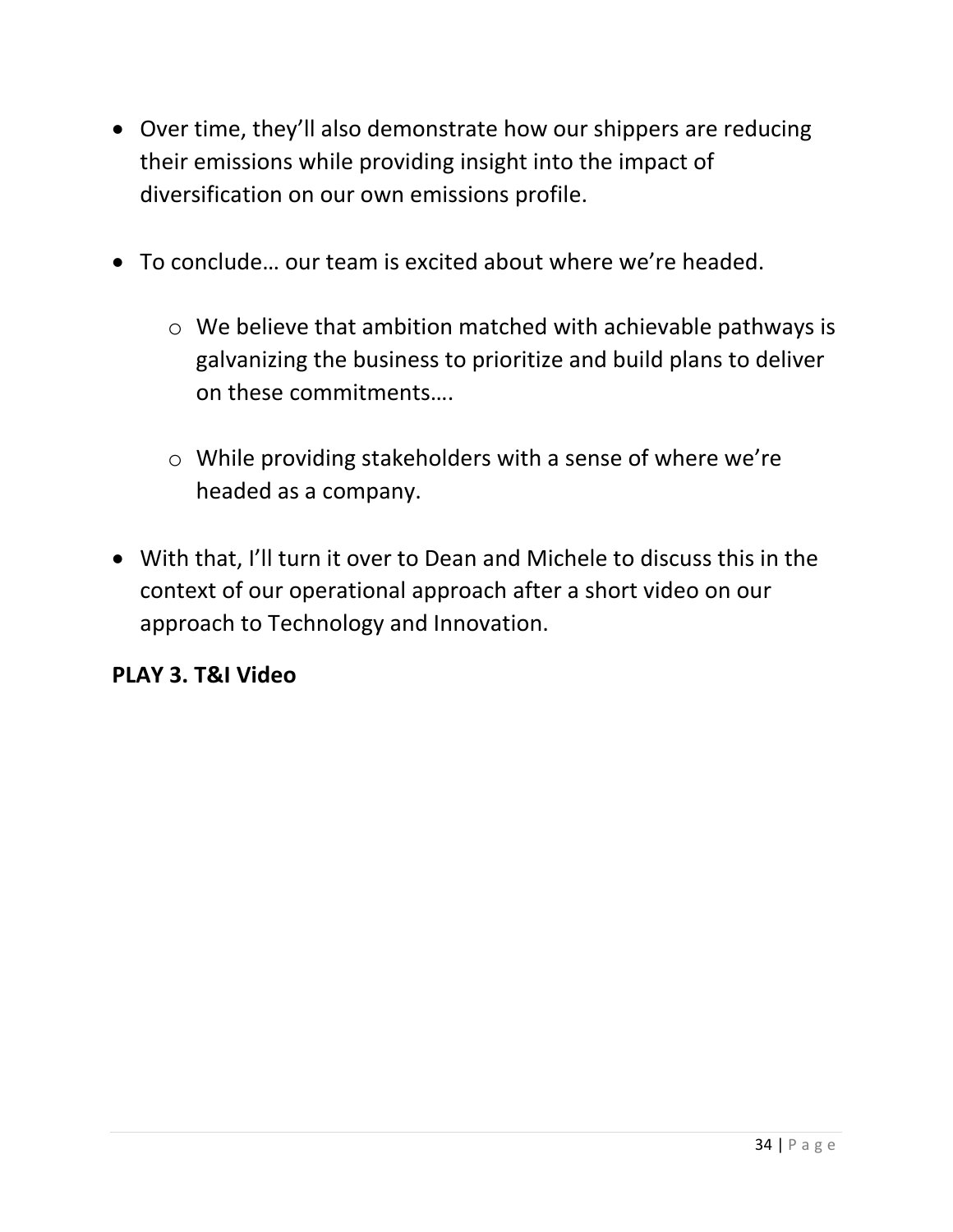- Over time, they'll also demonstrate how our shippers are reducing their emissions while providing insight into the impact of diversification on our own emissions profile.
- To conclude… our team is excited about where we're headed.
	- o We believe that ambition matched with achievable pathways is galvanizing the business to prioritize and build plans to deliver on these commitments….
	- o While providing stakeholders with a sense of where we're headed as a company.
- With that, I'll turn it over to Dean and Michele to discuss this in the context of our operational approach after a short video on our approach to Technology and Innovation.

#### **PLAY 3. T&I Video**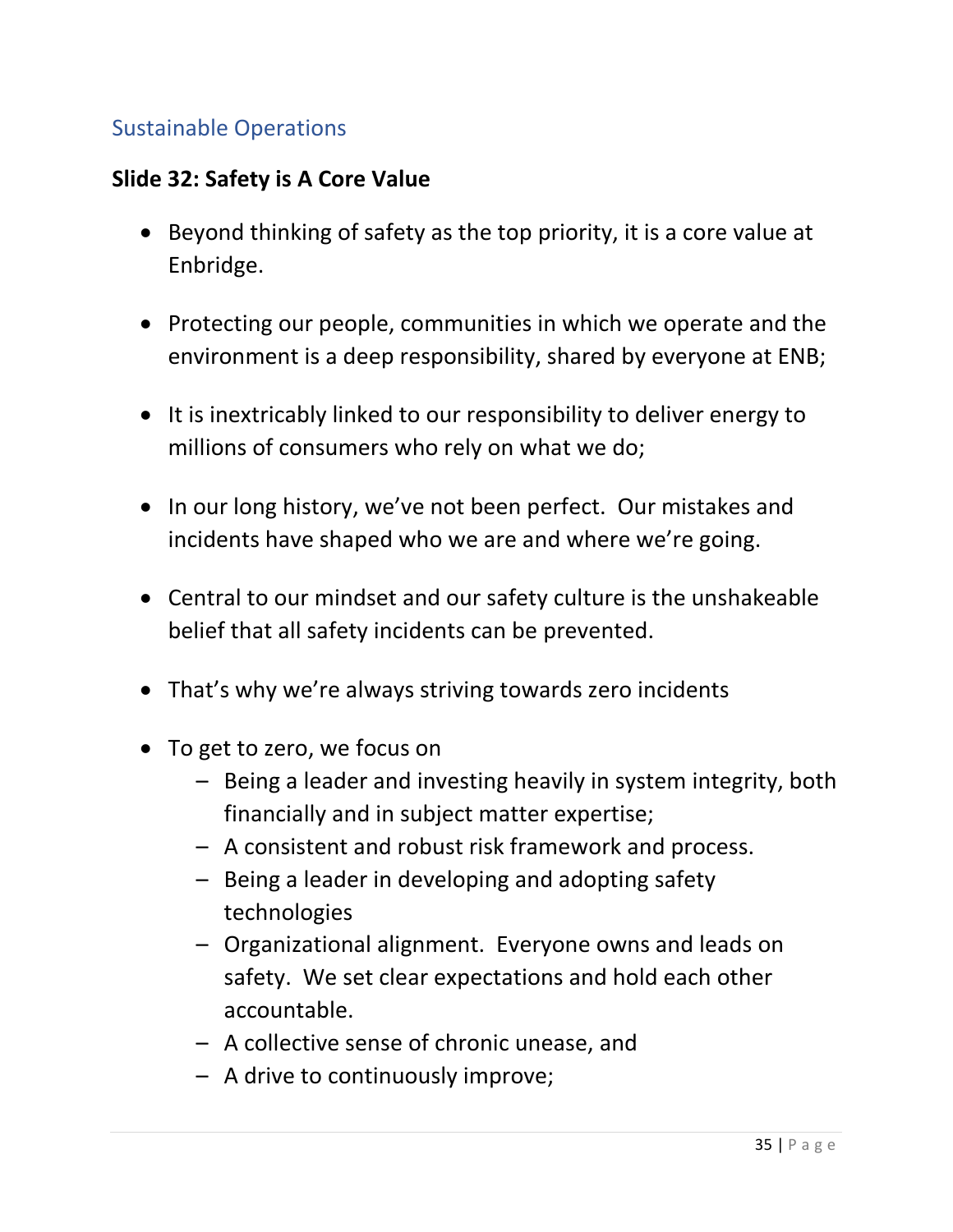# <span id="page-34-0"></span>Sustainable Operations

#### **Slide 32: Safety is A Core Value**

- Beyond thinking of safety as the top priority, it is a core value at Enbridge.
- Protecting our people, communities in which we operate and the environment is a deep responsibility, shared by everyone at ENB;
- It is inextricably linked to our responsibility to deliver energy to millions of consumers who rely on what we do;
- In our long history, we've not been perfect. Our mistakes and incidents have shaped who we are and where we're going.
- Central to our mindset and our safety culture is the unshakeable belief that all safety incidents can be prevented.
- That's why we're always striving towards zero incidents
- To get to zero, we focus on
	- Being a leader and investing heavily in system integrity, both financially and in subject matter expertise;
	- A consistent and robust risk framework and process.
	- Being a leader in developing and adopting safety technologies
	- Organizational alignment. Everyone owns and leads on safety. We set clear expectations and hold each other accountable.
	- A collective sense of chronic unease, and
	- A drive to continuously improve;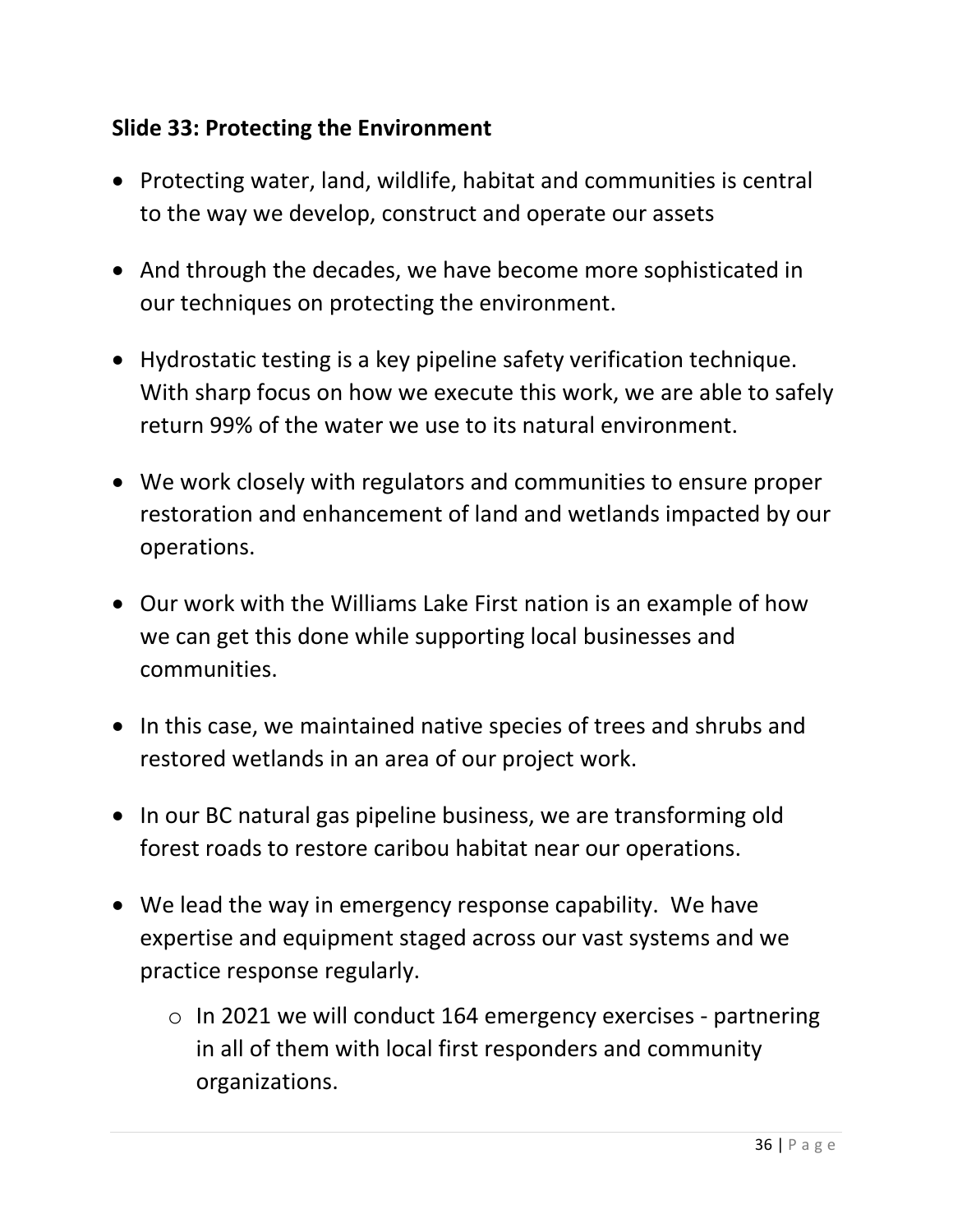#### **Slide 33: Protecting the Environment**

- Protecting water, land, wildlife, habitat and communities is central to the way we develop, construct and operate our assets
- And through the decades, we have become more sophisticated in our techniques on protecting the environment.
- Hydrostatic testing is a key pipeline safety verification technique. With sharp focus on how we execute this work, we are able to safely return 99% of the water we use to its natural environment.
- We work closely with regulators and communities to ensure proper restoration and enhancement of land and wetlands impacted by our operations.
- Our work with the Williams Lake First nation is an example of how we can get this done while supporting local businesses and communities.
- In this case, we maintained native species of trees and shrubs and restored wetlands in an area of our project work.
- In our BC natural gas pipeline business, we are transforming old forest roads to restore caribou habitat near our operations.
- We lead the way in emergency response capability. We have expertise and equipment staged across our vast systems and we practice response regularly.
	- o In 2021 we will conduct 164 emergency exercises partnering in all of them with local first responders and community organizations.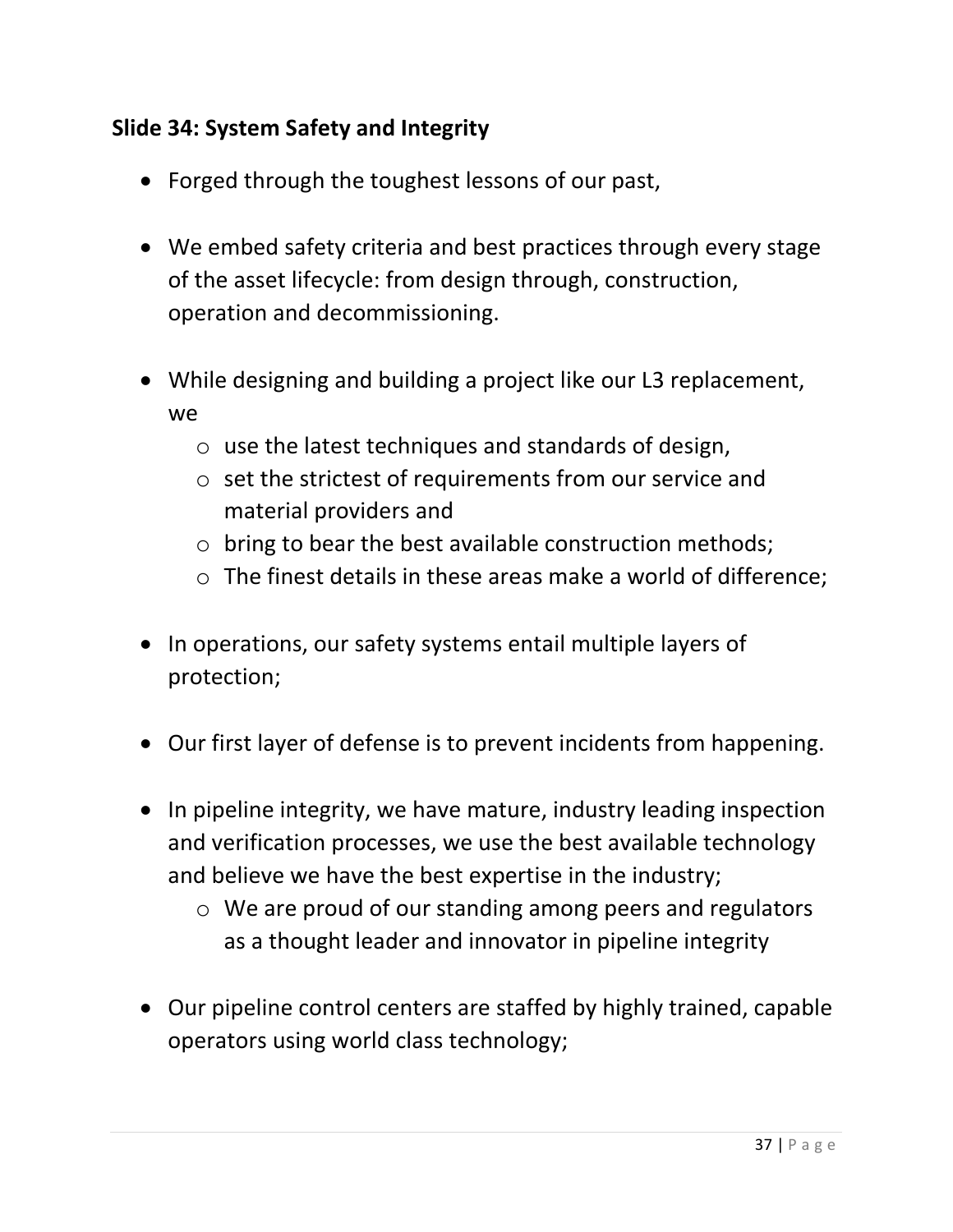# **Slide 34: System Safety and Integrity**

- Forged through the toughest lessons of our past,
- We embed safety criteria and best practices through every stage of the asset lifecycle: from design through, construction, operation and decommissioning.
- While designing and building a project like our L3 replacement, we
	- o use the latest techniques and standards of design,
	- o set the strictest of requirements from our service and material providers and
	- o bring to bear the best available construction methods;
	- o The finest details in these areas make a world of difference;
- In operations, our safety systems entail multiple layers of protection;
- Our first layer of defense is to prevent incidents from happening.
- In pipeline integrity, we have mature, industry leading inspection and verification processes, we use the best available technology and believe we have the best expertise in the industry;
	- o We are proud of our standing among peers and regulators as a thought leader and innovator in pipeline integrity
- Our pipeline control centers are staffed by highly trained, capable operators using world class technology;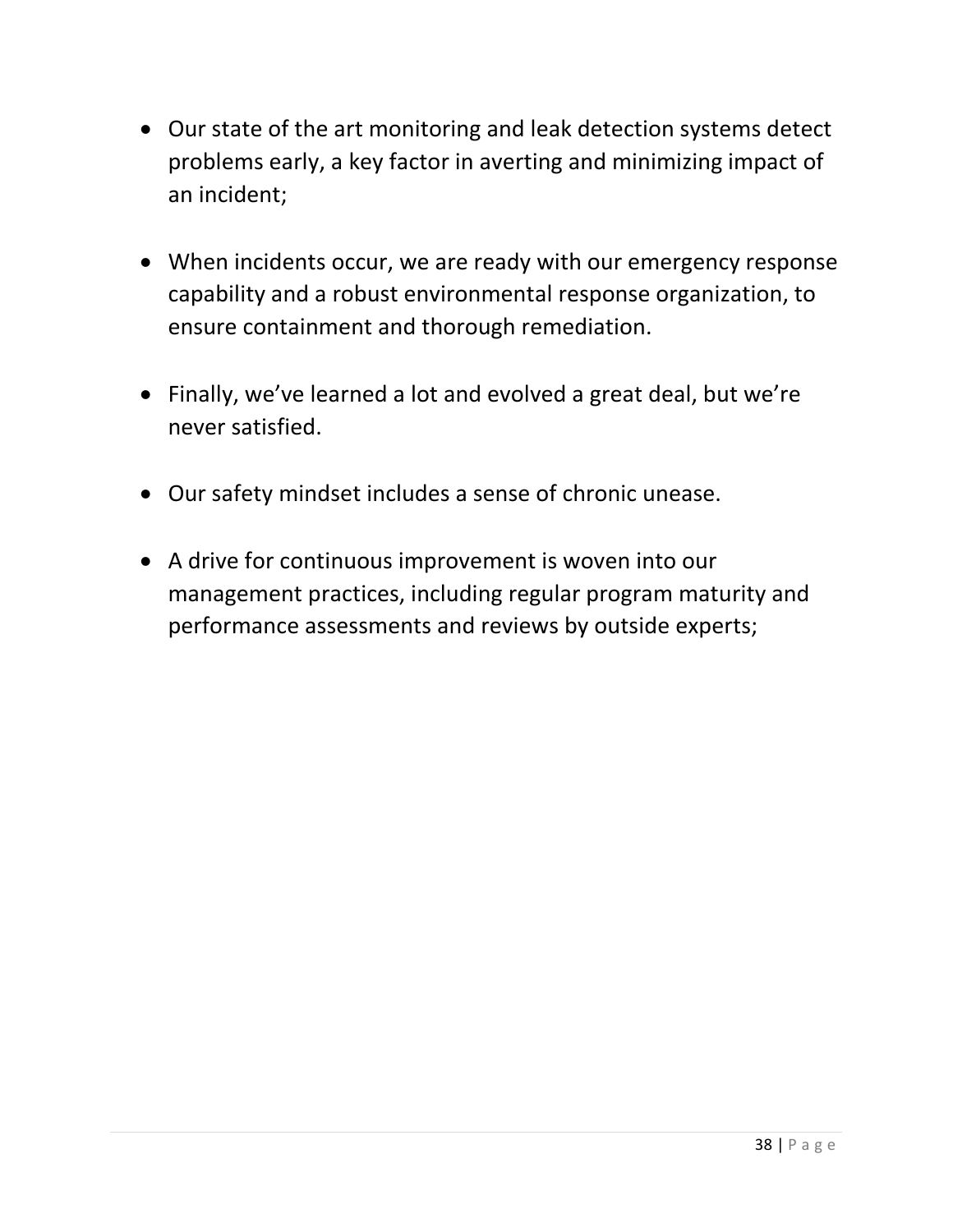- Our state of the art monitoring and leak detection systems detect problems early, a key factor in averting and minimizing impact of an incident;
- When incidents occur, we are ready with our emergency response capability and a robust environmental response organization, to ensure containment and thorough remediation.
- Finally, we've learned a lot and evolved a great deal, but we're never satisfied.
- Our safety mindset includes a sense of chronic unease.
- A drive for continuous improvement is woven into our management practices, including regular program maturity and performance assessments and reviews by outside experts;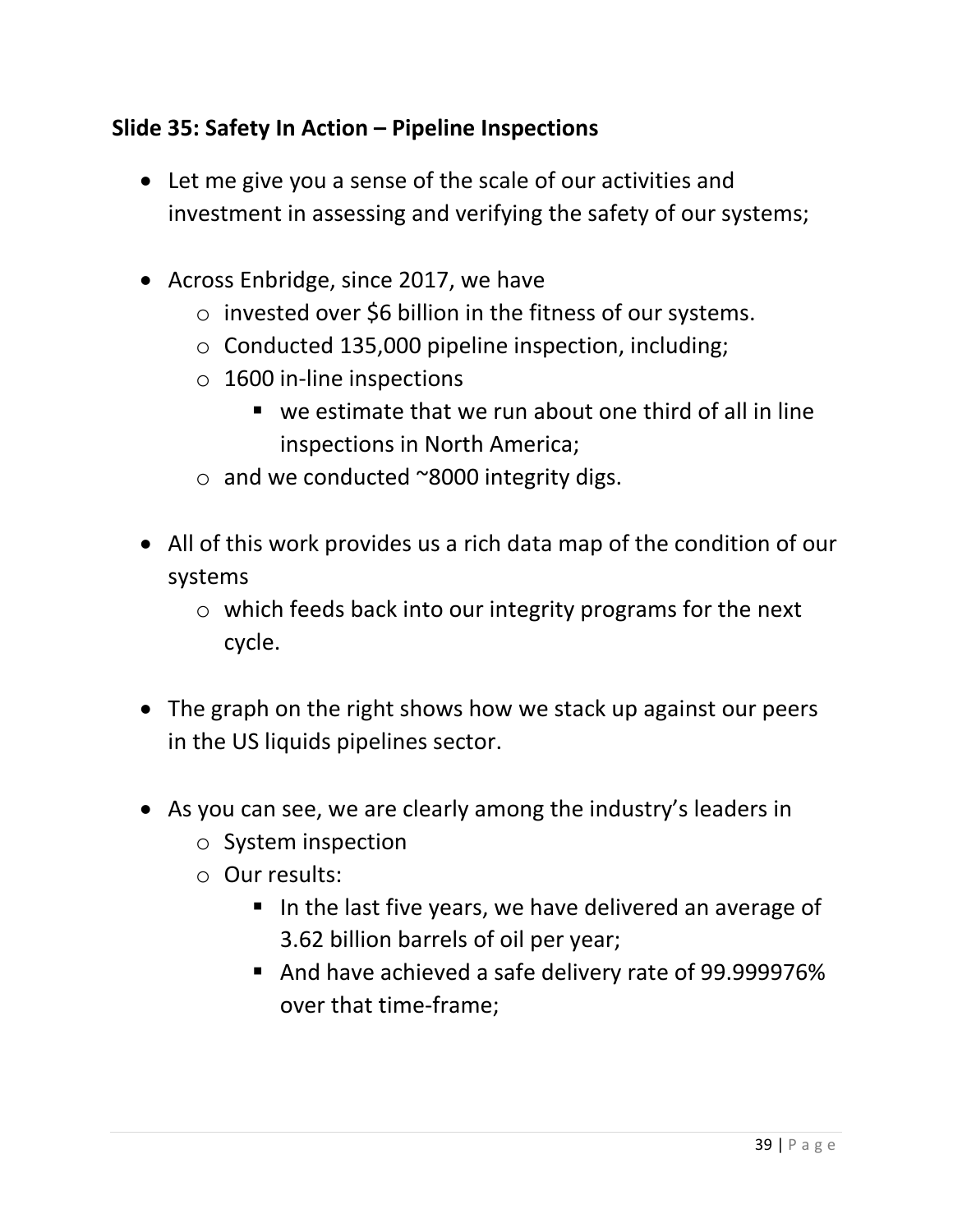# **Slide 35: Safety In Action – Pipeline Inspections**

- Let me give you a sense of the scale of our activities and investment in assessing and verifying the safety of our systems;
- Across Enbridge, since 2017, we have
	- o invested over \$6 billion in the fitness of our systems.
	- o Conducted 135,000 pipeline inspection, including;
	- o 1600 in-line inspections
		- we estimate that we run about one third of all in line inspections in North America;
	- o and we conducted ~8000 integrity digs.
- All of this work provides us a rich data map of the condition of our systems
	- o which feeds back into our integrity programs for the next cycle.
- The graph on the right shows how we stack up against our peers in the US liquids pipelines sector.
- As you can see, we are clearly among the industry's leaders in
	- o System inspection
	- o Our results:
		- In the last five years, we have delivered an average of 3.62 billion barrels of oil per year;
		- And have achieved a safe delivery rate of 99.999976% over that time-frame;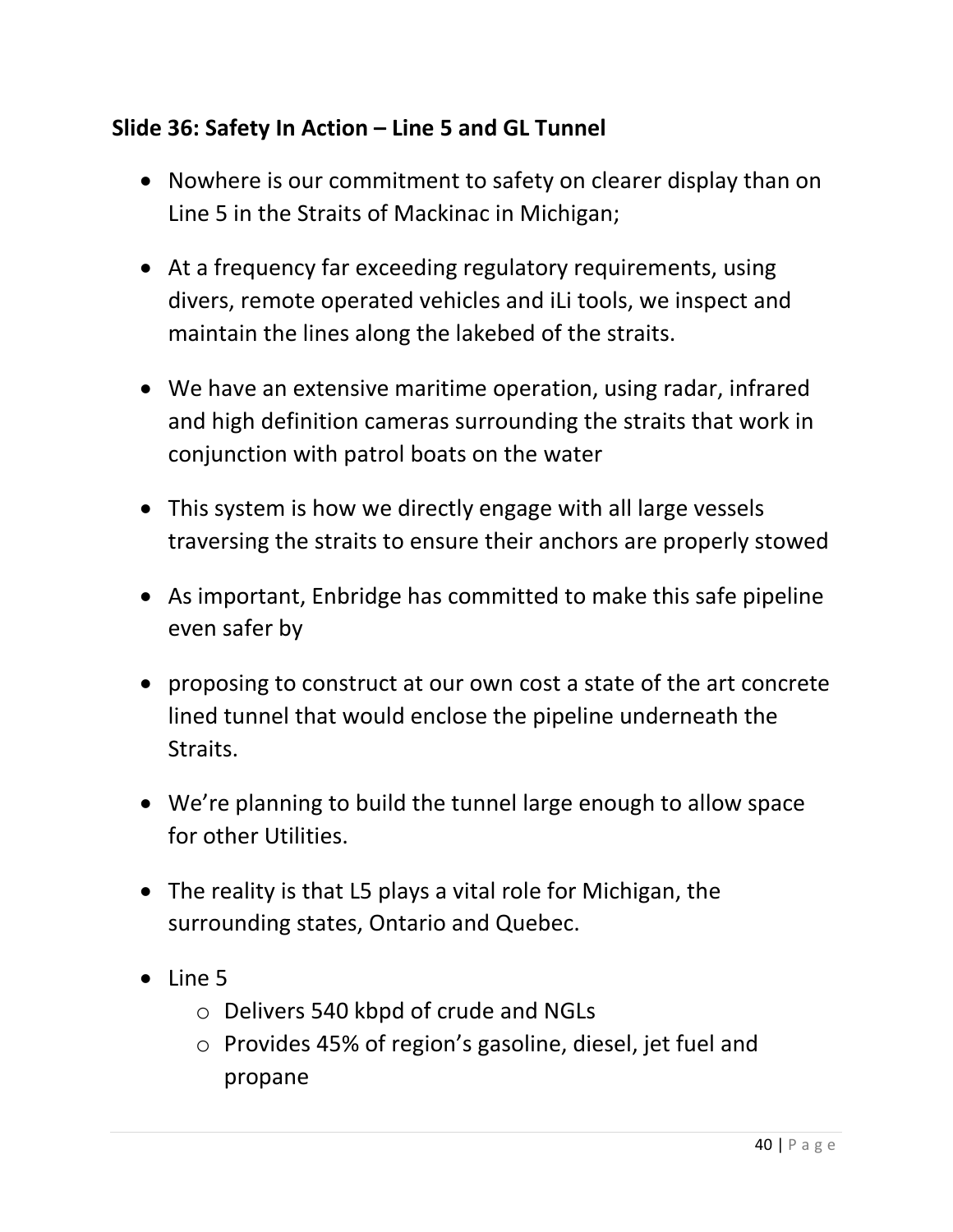## **Slide 36: Safety In Action – Line 5 and GL Tunnel**

- Nowhere is our commitment to safety on clearer display than on Line 5 in the Straits of Mackinac in Michigan;
- At a frequency far exceeding regulatory requirements, using divers, remote operated vehicles and iLi tools, we inspect and maintain the lines along the lakebed of the straits.
- We have an extensive maritime operation, using radar, infrared and high definition cameras surrounding the straits that work in conjunction with patrol boats on the water
- This system is how we directly engage with all large vessels traversing the straits to ensure their anchors are properly stowed
- As important, Enbridge has committed to make this safe pipeline even safer by
- proposing to construct at our own cost a state of the art concrete lined tunnel that would enclose the pipeline underneath the Straits.
- We're planning to build the tunnel large enough to allow space for other Utilities.
- The reality is that L5 plays a vital role for Michigan, the surrounding states, Ontario and Quebec.
- Line 5
	- o Delivers 540 kbpd of crude and NGLs
	- o Provides 45% of region's gasoline, diesel, jet fuel and propane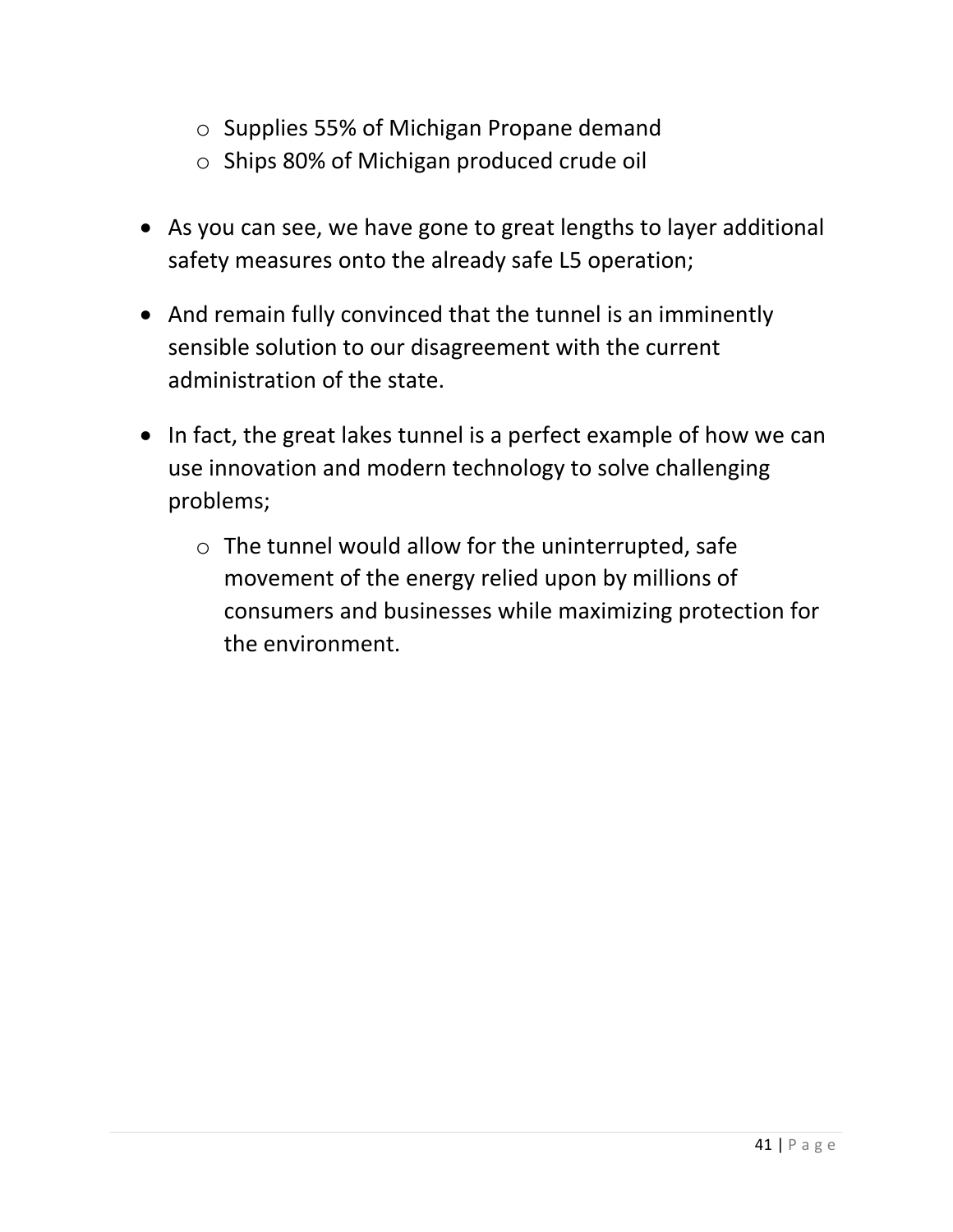- o Supplies 55% of Michigan Propane demand
- o Ships 80% of Michigan produced crude oil
- As you can see, we have gone to great lengths to layer additional safety measures onto the already safe L5 operation;
- And remain fully convinced that the tunnel is an imminently sensible solution to our disagreement with the current administration of the state.
- In fact, the great lakes tunnel is a perfect example of how we can use innovation and modern technology to solve challenging problems;
	- o The tunnel would allow for the uninterrupted, safe movement of the energy relied upon by millions of consumers and businesses while maximizing protection for the environment.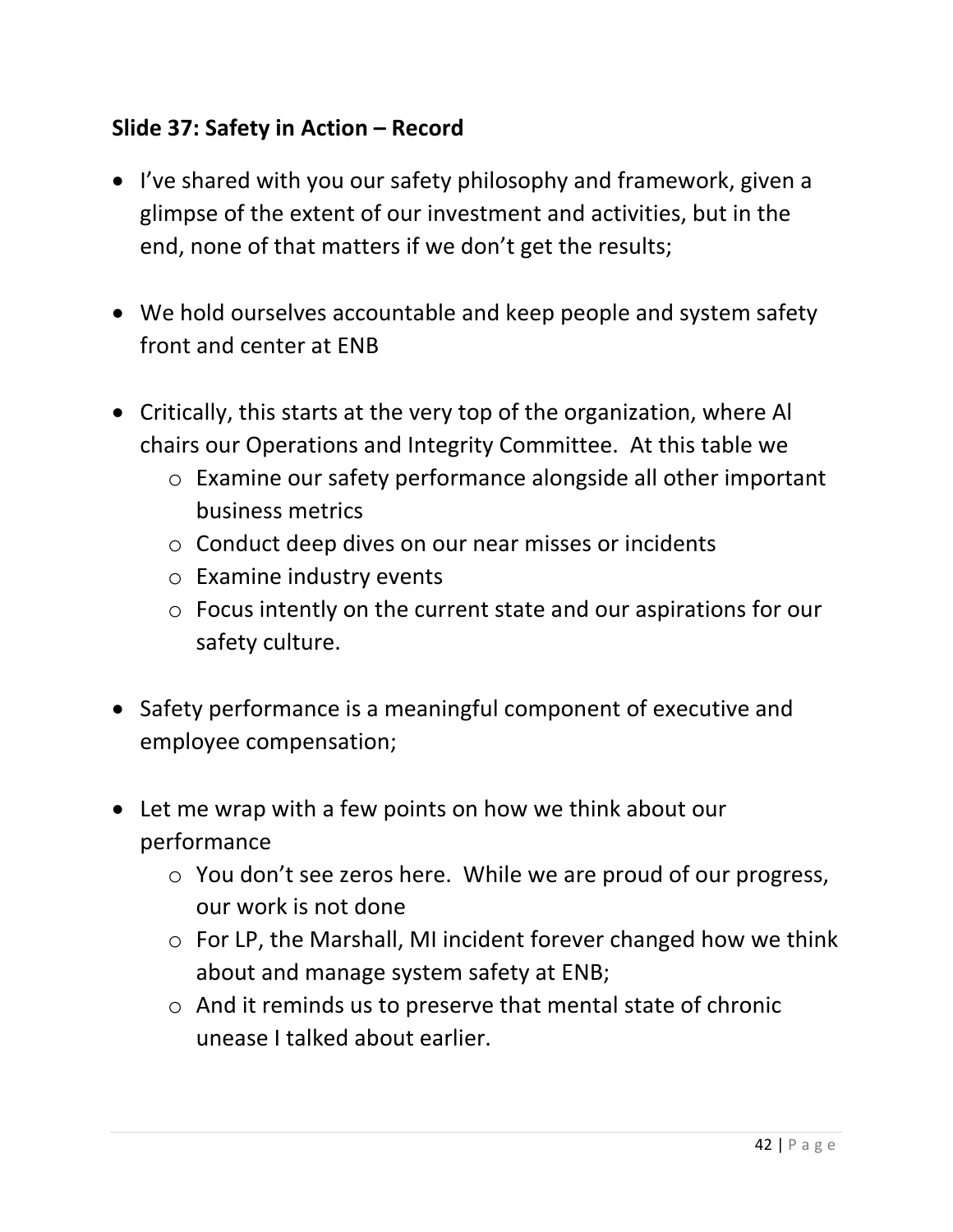## **Slide 37: Safety in Action – Record**

- I've shared with you our safety philosophy and framework, given a glimpse of the extent of our investment and activities, but in the end, none of that matters if we don't get the results;
- We hold ourselves accountable and keep people and system safety front and center at ENB
- Critically, this starts at the very top of the organization, where Al chairs our Operations and Integrity Committee. At this table we
	- o Examine our safety performance alongside all other important business metrics
	- o Conduct deep dives on our near misses or incidents
	- o Examine industry events
	- o Focus intently on the current state and our aspirations for our safety culture.
- Safety performance is a meaningful component of executive and employee compensation;
- Let me wrap with a few points on how we think about our performance
	- o You don't see zeros here. While we are proud of our progress, our work is not done
	- o For LP, the Marshall, MI incident forever changed how we think about and manage system safety at ENB;
	- o And it reminds us to preserve that mental state of chronic unease I talked about earlier.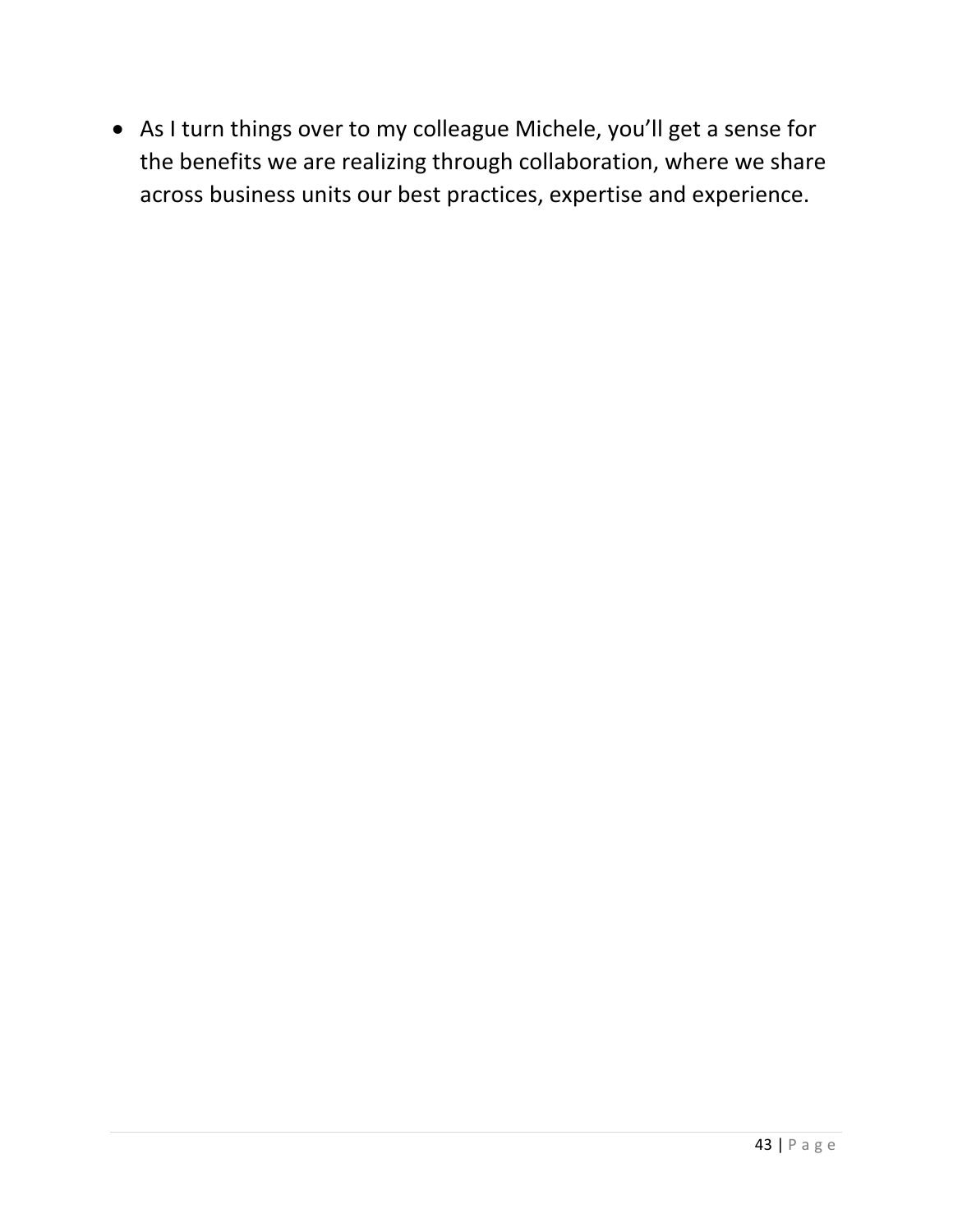• As I turn things over to my colleague Michele, you'll get a sense for the benefits we are realizing through collaboration, where we share across business units our best practices, expertise and experience.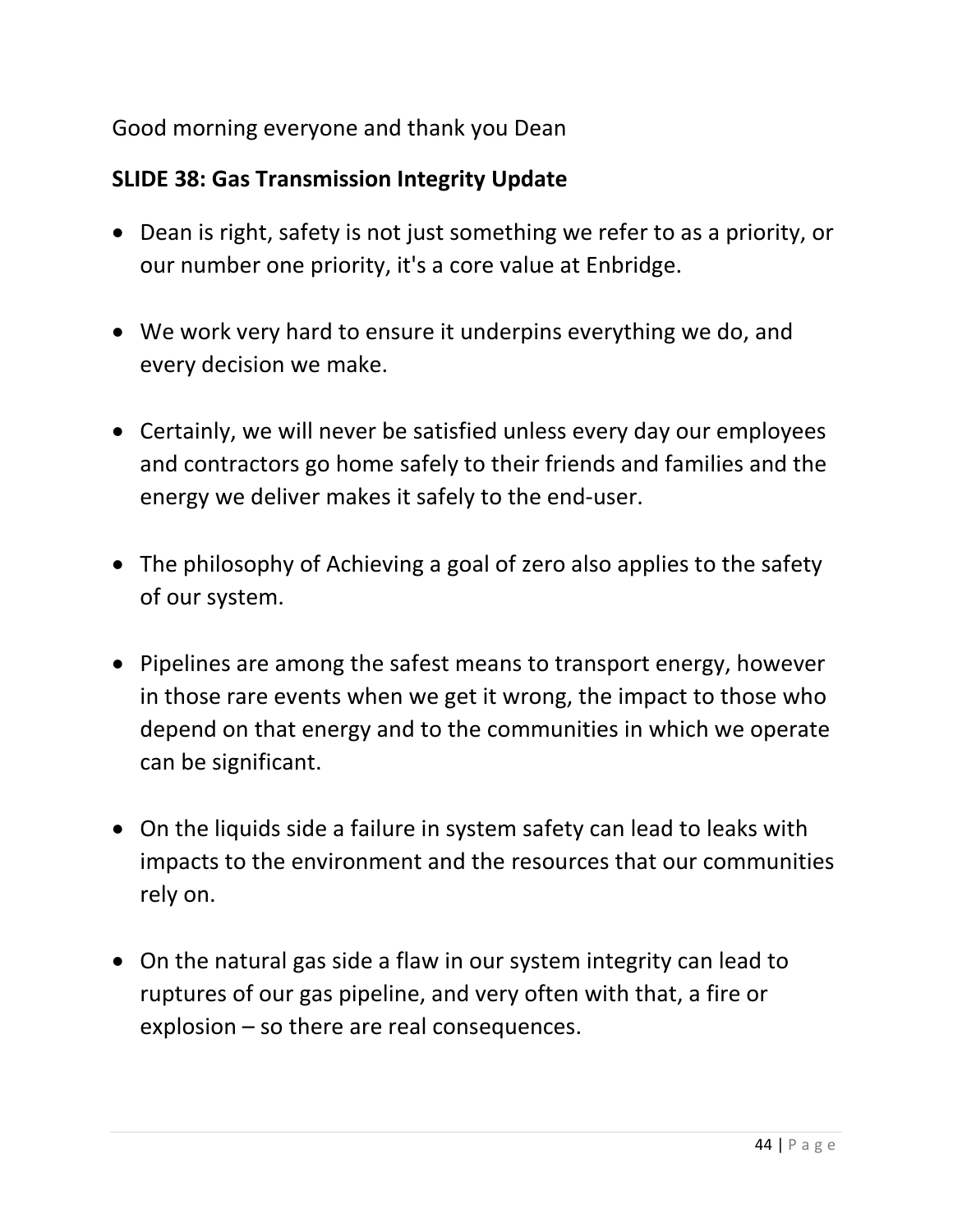### Good morning everyone and thank you Dean

# **SLIDE 38: Gas Transmission Integrity Update**

- Dean is right, safety is not just something we refer to as a priority, or our number one priority, it's a core value at Enbridge.
- We work very hard to ensure it underpins everything we do, and every decision we make.
- Certainly, we will never be satisfied unless every day our employees and contractors go home safely to their friends and families and the energy we deliver makes it safely to the end-user.
- The philosophy of Achieving a goal of zero also applies to the safety of our system.
- Pipelines are among the safest means to transport energy, however in those rare events when we get it wrong, the impact to those who depend on that energy and to the communities in which we operate can be significant.
- On the liquids side a failure in system safety can lead to leaks with impacts to the environment and the resources that our communities rely on.
- On the natural gas side a flaw in our system integrity can lead to ruptures of our gas pipeline, and very often with that, a fire or explosion – so there are real consequences.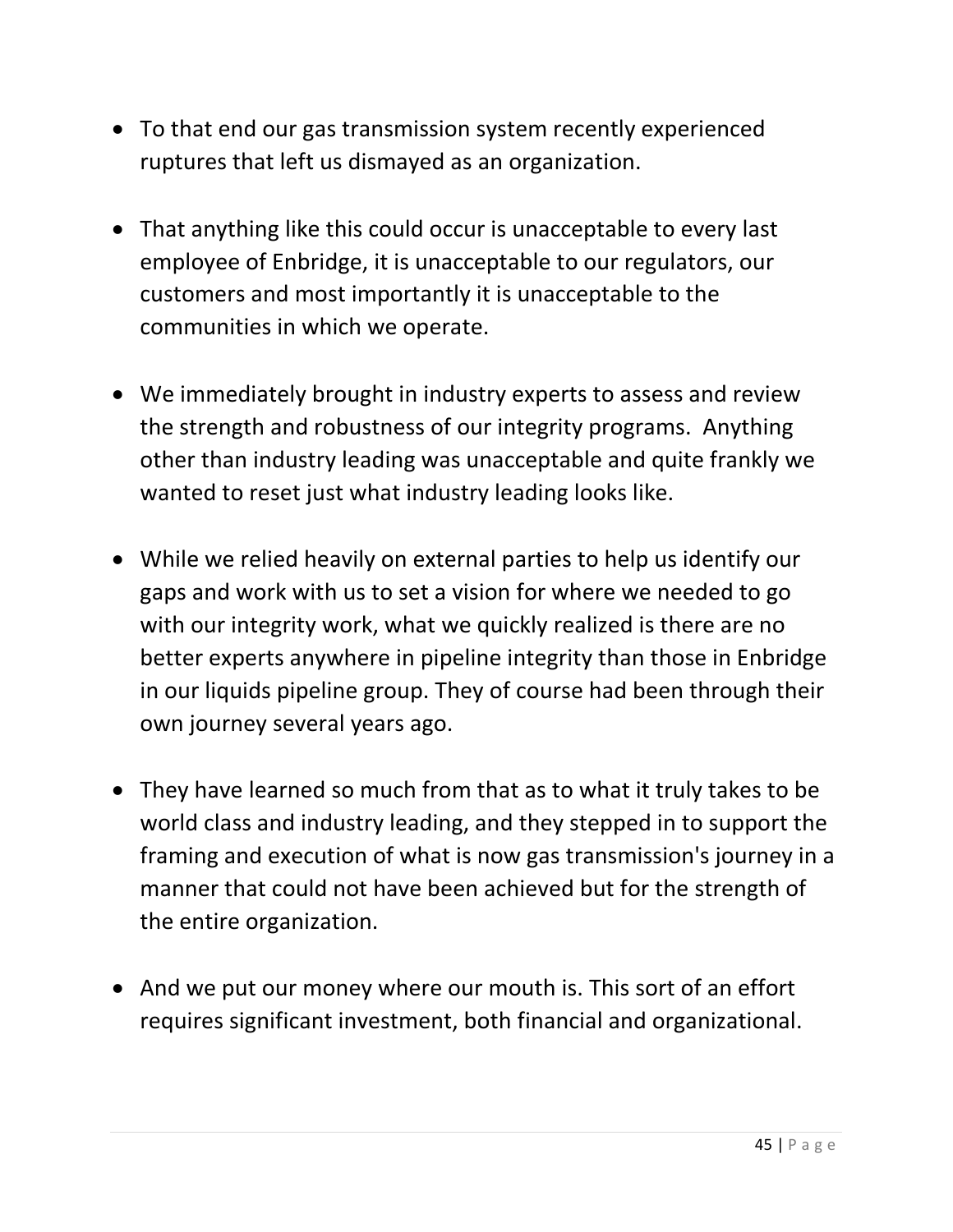- To that end our gas transmission system recently experienced ruptures that left us dismayed as an organization.
- That anything like this could occur is unacceptable to every last employee of Enbridge, it is unacceptable to our regulators, our customers and most importantly it is unacceptable to the communities in which we operate.
- We immediately brought in industry experts to assess and review the strength and robustness of our integrity programs. Anything other than industry leading was unacceptable and quite frankly we wanted to reset just what industry leading looks like.
- While we relied heavily on external parties to help us identify our gaps and work with us to set a vision for where we needed to go with our integrity work, what we quickly realized is there are no better experts anywhere in pipeline integrity than those in Enbridge in our liquids pipeline group. They of course had been through their own journey several years ago.
- They have learned so much from that as to what it truly takes to be world class and industry leading, and they stepped in to support the framing and execution of what is now gas transmission's journey in a manner that could not have been achieved but for the strength of the entire organization.
- And we put our money where our mouth is. This sort of an effort requires significant investment, both financial and organizational.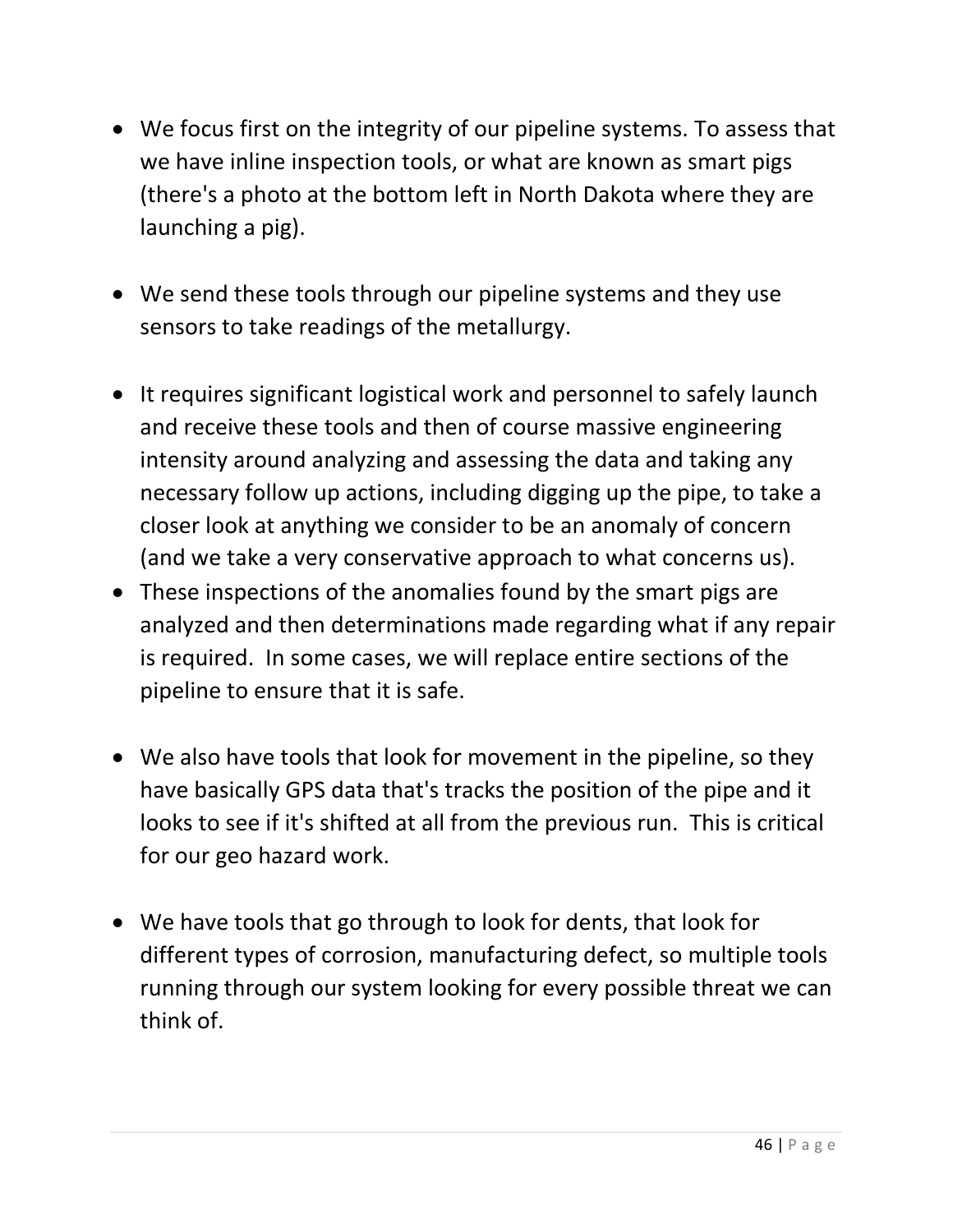- We focus first on the integrity of our pipeline systems. To assess that we have inline inspection tools, or what are known as smart pigs (there's a photo at the bottom left in North Dakota where they are launching a pig).
- We send these tools through our pipeline systems and they use sensors to take readings of the metallurgy.
- It requires significant logistical work and personnel to safely launch and receive these tools and then of course massive engineering intensity around analyzing and assessing the data and taking any necessary follow up actions, including digging up the pipe, to take a closer look at anything we consider to be an anomaly of concern (and we take a very conservative approach to what concerns us).
- These inspections of the anomalies found by the smart pigs are analyzed and then determinations made regarding what if any repair is required. In some cases, we will replace entire sections of the pipeline to ensure that it is safe.
- We also have tools that look for movement in the pipeline, so they have basically GPS data that's tracks the position of the pipe and it looks to see if it's shifted at all from the previous run. This is critical for our geo hazard work.
- We have tools that go through to look for dents, that look for different types of corrosion, manufacturing defect, so multiple tools running through our system looking for every possible threat we can think of.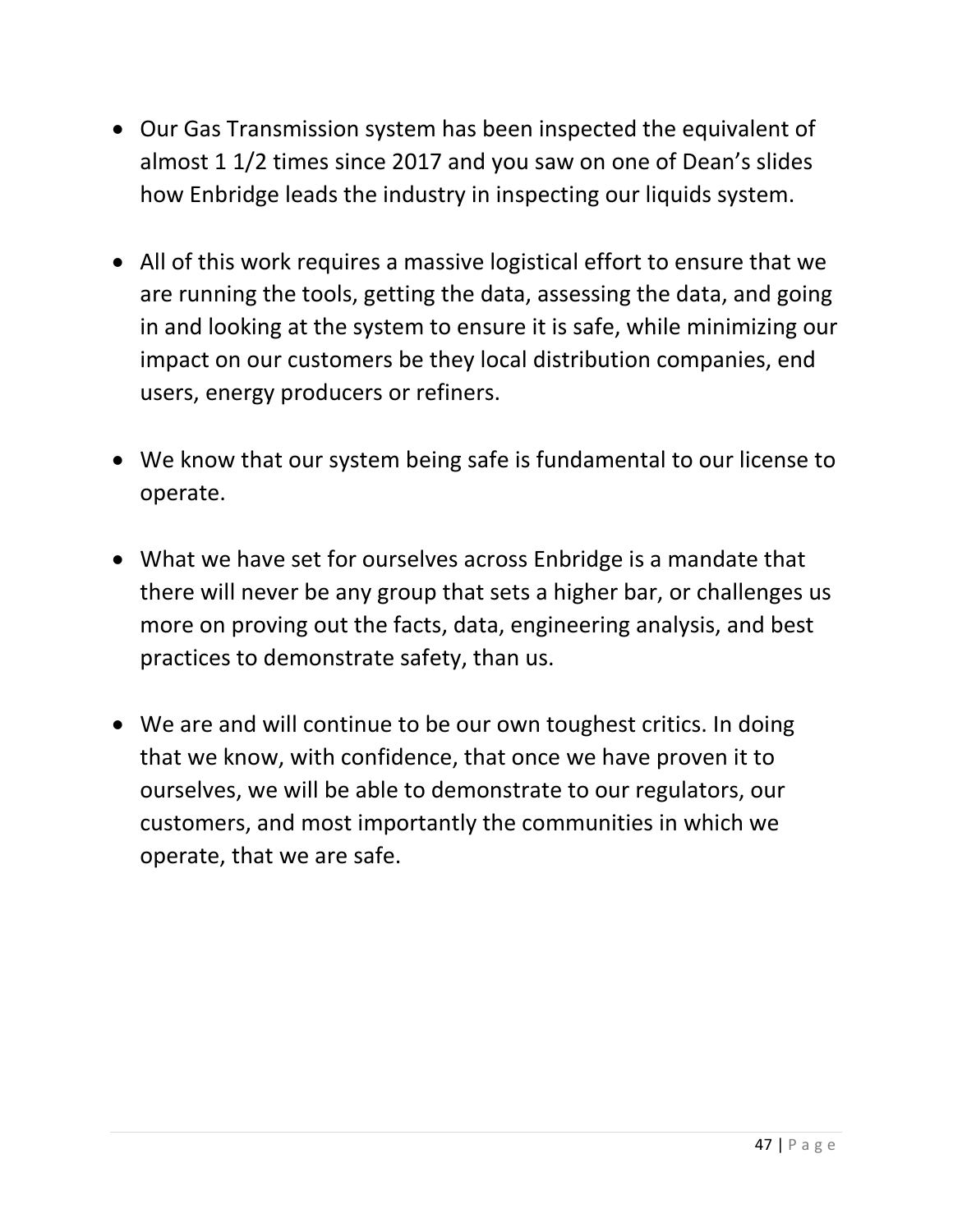- Our Gas Transmission system has been inspected the equivalent of almost 1 1/2 times since 2017 and you saw on one of Dean's slides how Enbridge leads the industry in inspecting our liquids system.
- All of this work requires a massive logistical effort to ensure that we are running the tools, getting the data, assessing the data, and going in and looking at the system to ensure it is safe, while minimizing our impact on our customers be they local distribution companies, end users, energy producers or refiners.
- We know that our system being safe is fundamental to our license to operate.
- What we have set for ourselves across Enbridge is a mandate that there will never be any group that sets a higher bar, or challenges us more on proving out the facts, data, engineering analysis, and best practices to demonstrate safety, than us.
- We are and will continue to be our own toughest critics. In doing that we know, with confidence, that once we have proven it to ourselves, we will be able to demonstrate to our regulators, our customers, and most importantly the communities in which we operate, that we are safe.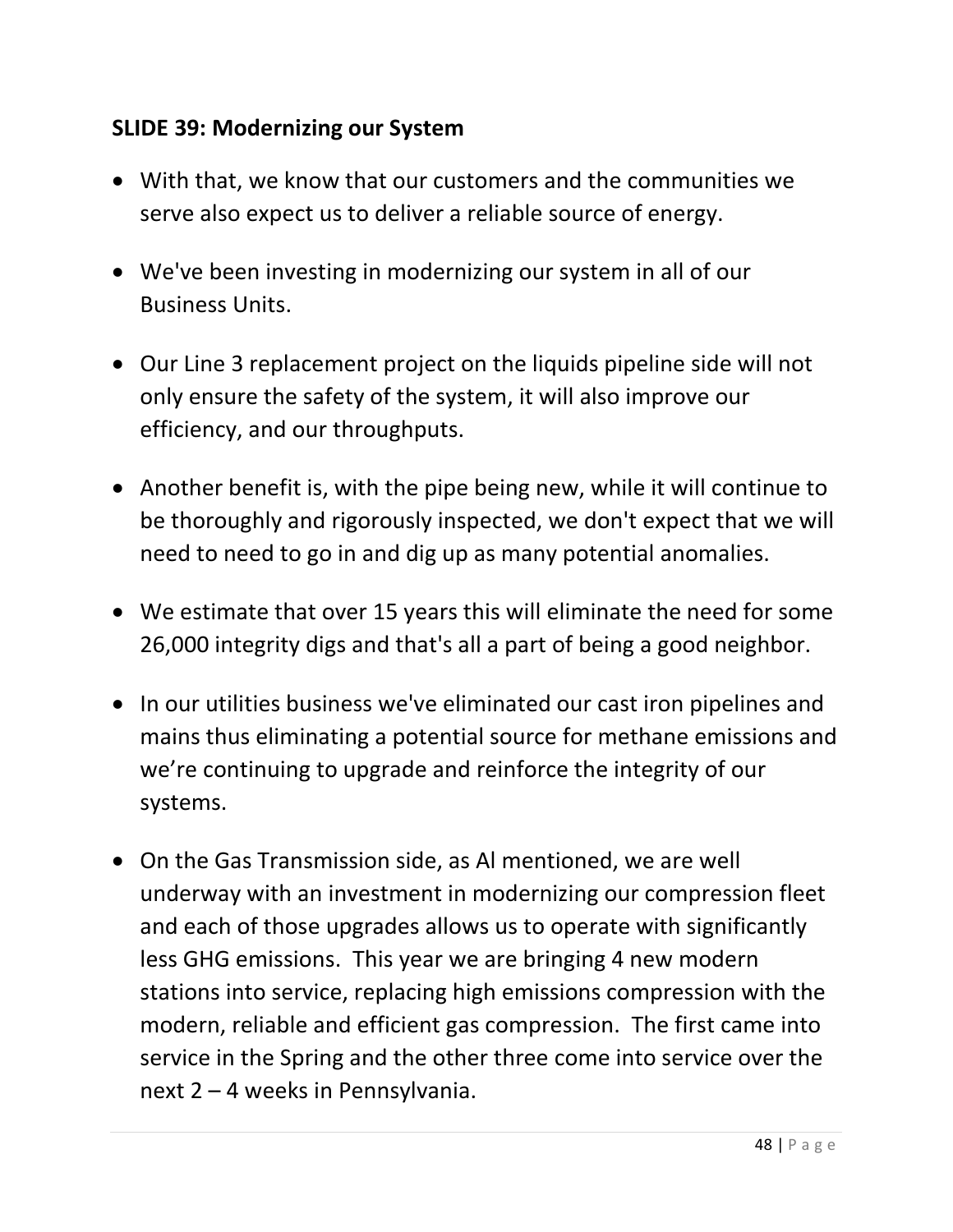### **SLIDE 39: Modernizing our System**

- With that, we know that our customers and the communities we serve also expect us to deliver a reliable source of energy.
- We've been investing in modernizing our system in all of our Business Units.
- Our Line 3 replacement project on the liquids pipeline side will not only ensure the safety of the system, it will also improve our efficiency, and our throughputs.
- Another benefit is, with the pipe being new, while it will continue to be thoroughly and rigorously inspected, we don't expect that we will need to need to go in and dig up as many potential anomalies.
- We estimate that over 15 years this will eliminate the need for some 26,000 integrity digs and that's all a part of being a good neighbor.
- In our utilities business we've eliminated our cast iron pipelines and mains thus eliminating a potential source for methane emissions and we're continuing to upgrade and reinforce the integrity of our systems.
- On the Gas Transmission side, as Al mentioned, we are well underway with an investment in modernizing our compression fleet and each of those upgrades allows us to operate with significantly less GHG emissions. This year we are bringing 4 new modern stations into service, replacing high emissions compression with the modern, reliable and efficient gas compression. The first came into service in the Spring and the other three come into service over the next 2 – 4 weeks in Pennsylvania.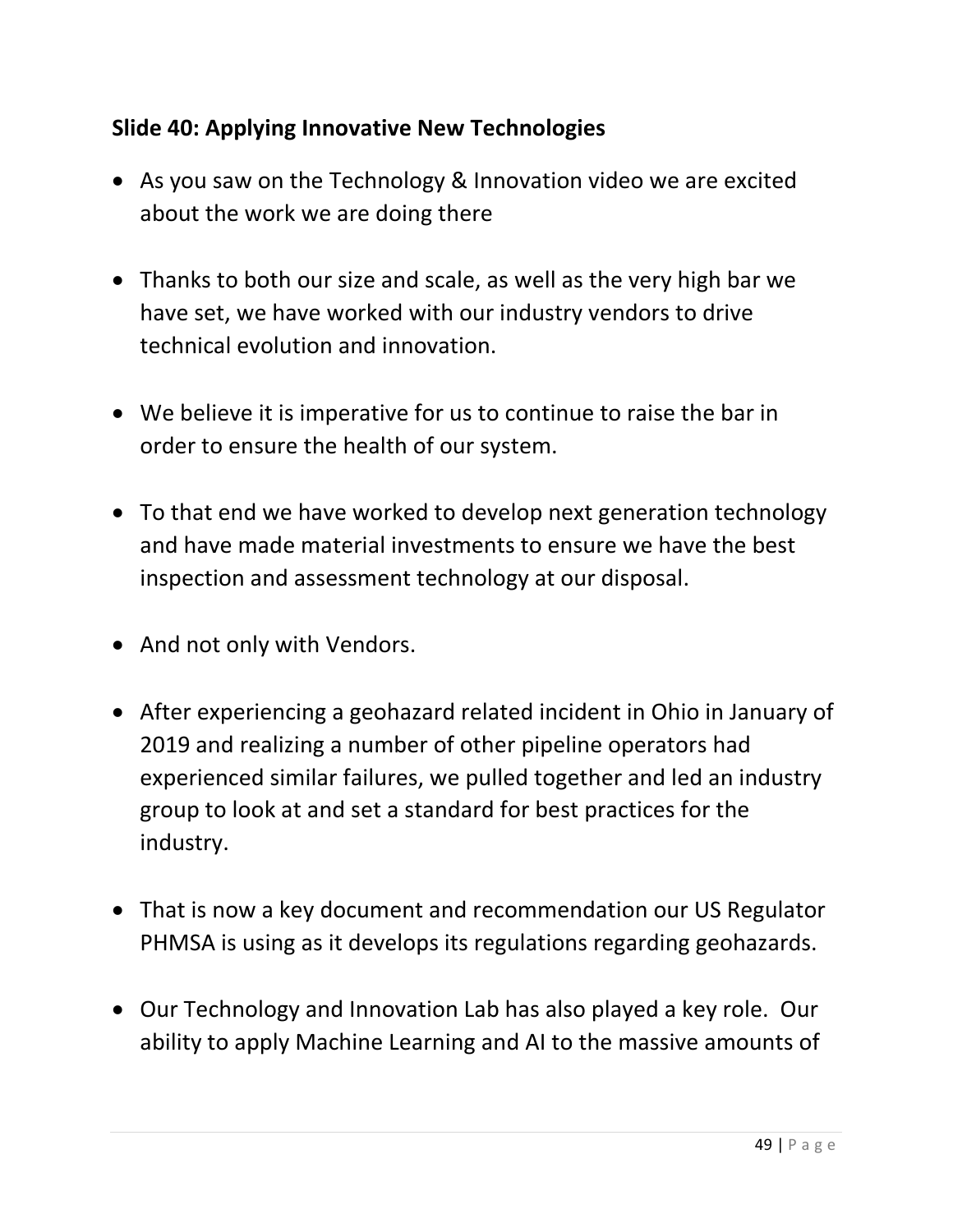## **Slide 40: Applying Innovative New Technologies**

- As you saw on the Technology & Innovation video we are excited about the work we are doing there
- Thanks to both our size and scale, as well as the very high bar we have set, we have worked with our industry vendors to drive technical evolution and innovation.
- We believe it is imperative for us to continue to raise the bar in order to ensure the health of our system.
- To that end we have worked to develop next generation technology and have made material investments to ensure we have the best inspection and assessment technology at our disposal.
- And not only with Vendors.
- After experiencing a geohazard related incident in Ohio in January of 2019 and realizing a number of other pipeline operators had experienced similar failures, we pulled together and led an industry group to look at and set a standard for best practices for the industry.
- That is now a key document and recommendation our US Regulator PHMSA is using as it develops its regulations regarding geohazards.
- Our Technology and Innovation Lab has also played a key role. Our ability to apply Machine Learning and AI to the massive amounts of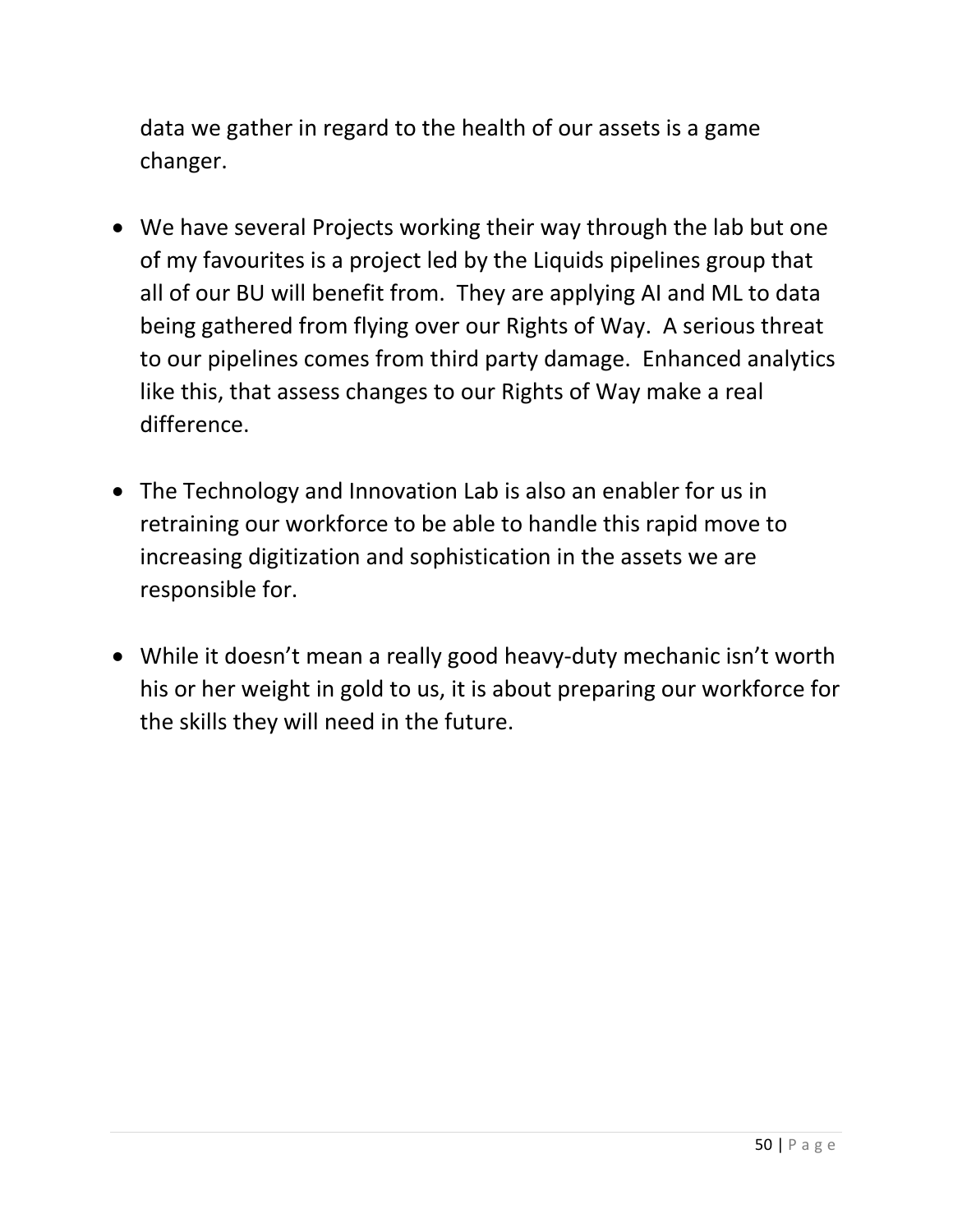data we gather in regard to the health of our assets is a game changer.

- We have several Projects working their way through the lab but one of my favourites is a project led by the Liquids pipelines group that all of our BU will benefit from. They are applying AI and ML to data being gathered from flying over our Rights of Way. A serious threat to our pipelines comes from third party damage. Enhanced analytics like this, that assess changes to our Rights of Way make a real difference.
- The Technology and Innovation Lab is also an enabler for us in retraining our workforce to be able to handle this rapid move to increasing digitization and sophistication in the assets we are responsible for.
- While it doesn't mean a really good heavy-duty mechanic isn't worth his or her weight in gold to us, it is about preparing our workforce for the skills they will need in the future.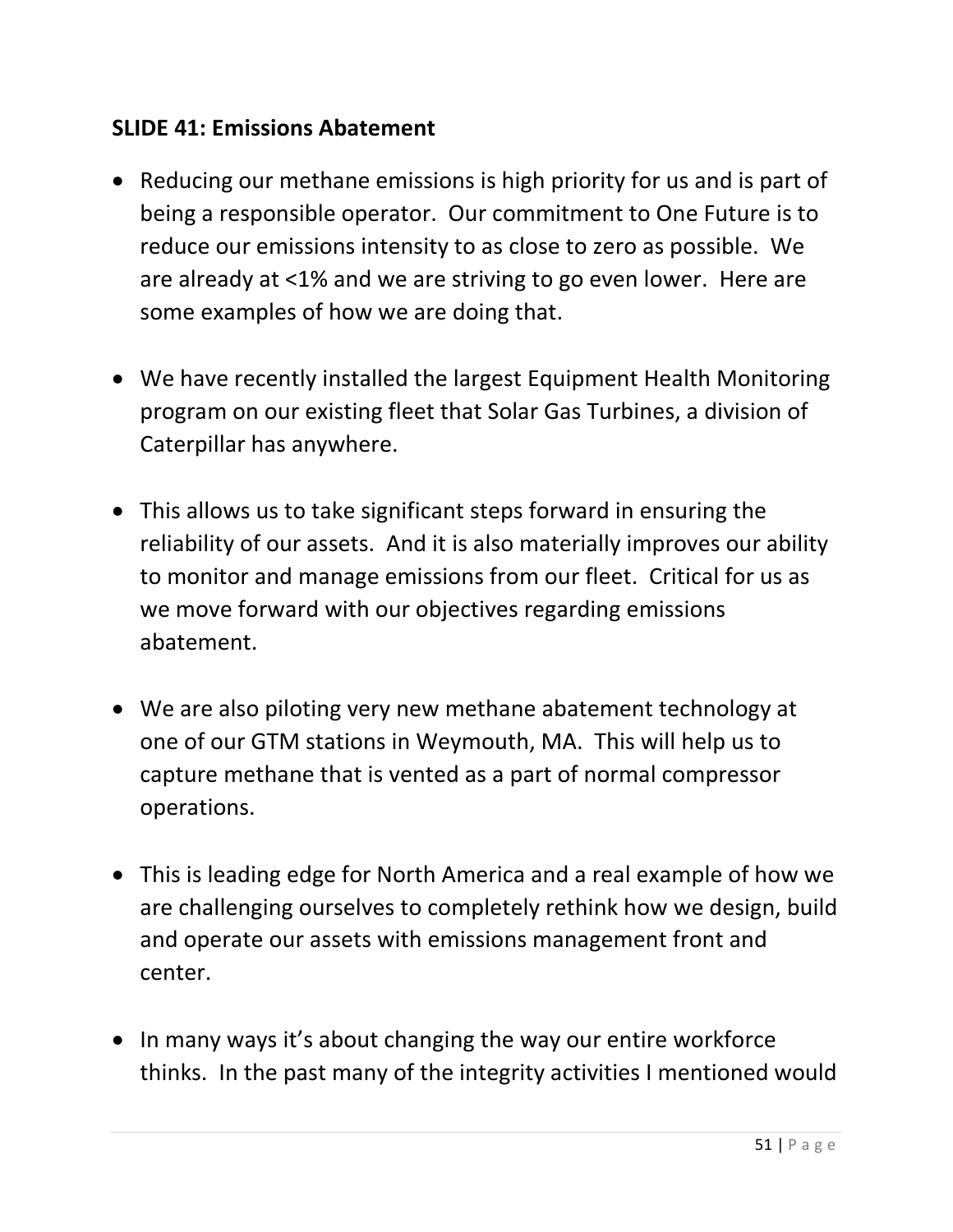#### **SLIDE 41: Emissions Abatement**

- Reducing our methane emissions is high priority for us and is part of being a responsible operator. Our commitment to One Future is to reduce our emissions intensity to as close to zero as possible. We are already at <1% and we are striving to go even lower. Here are some examples of how we are doing that.
- We have recently installed the largest Equipment Health Monitoring program on our existing fleet that Solar Gas Turbines, a division of Caterpillar has anywhere.
- This allows us to take significant steps forward in ensuring the reliability of our assets. And it is also materially improves our ability to monitor and manage emissions from our fleet. Critical for us as we move forward with our objectives regarding emissions abatement.
- We are also piloting very new methane abatement technology at one of our GTM stations in Weymouth, MA. This will help us to capture methane that is vented as a part of normal compressor operations.
- This is leading edge for North America and a real example of how we are challenging ourselves to completely rethink how we design, build and operate our assets with emissions management front and center.
- In many ways it's about changing the way our entire workforce thinks. In the past many of the integrity activities I mentioned would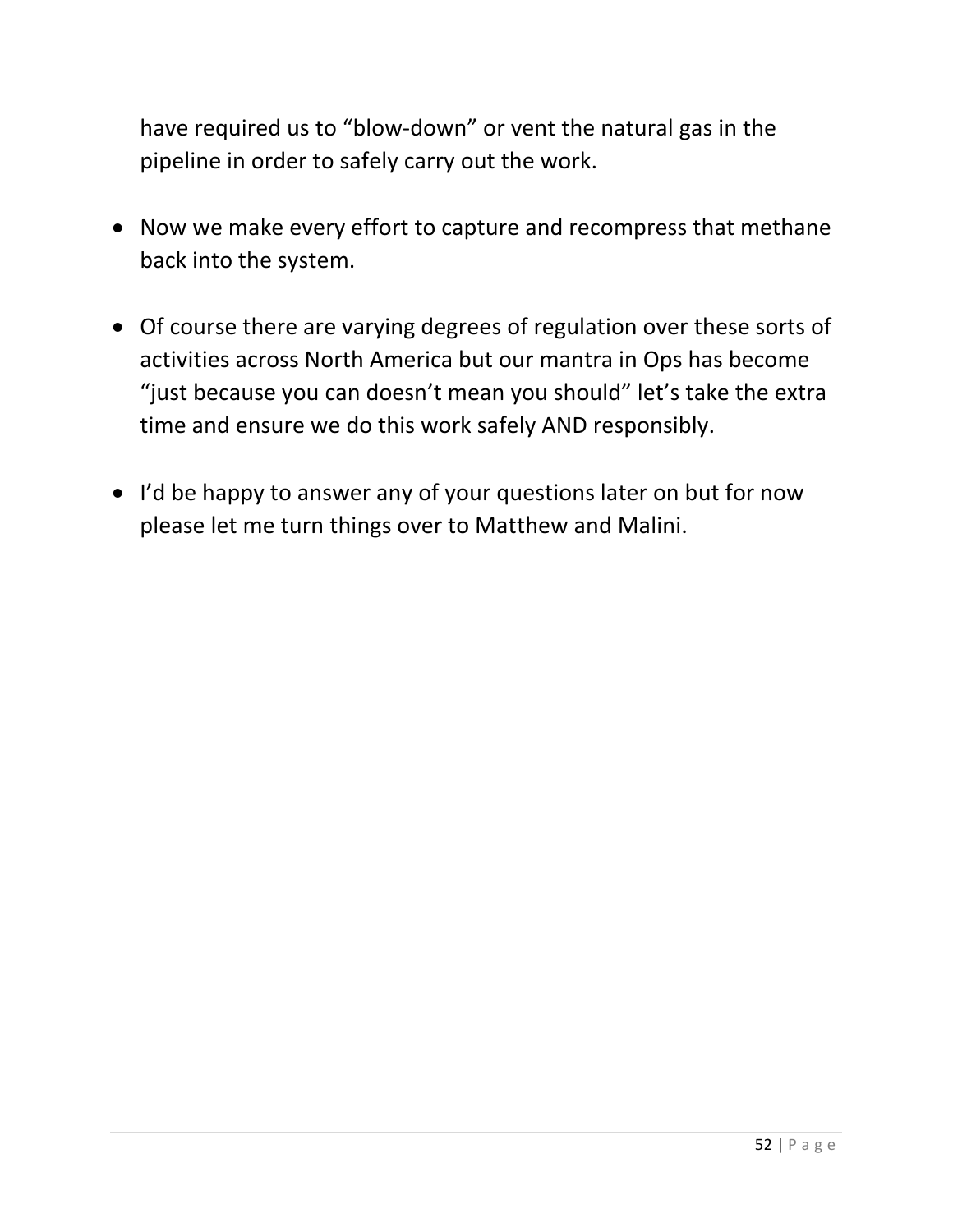have required us to "blow-down" or vent the natural gas in the pipeline in order to safely carry out the work.

- Now we make every effort to capture and recompress that methane back into the system.
- Of course there are varying degrees of regulation over these sorts of activities across North America but our mantra in Ops has become "just because you can doesn't mean you should" let's take the extra time and ensure we do this work safely AND responsibly.
- I'd be happy to answer any of your questions later on but for now please let me turn things over to Matthew and Malini.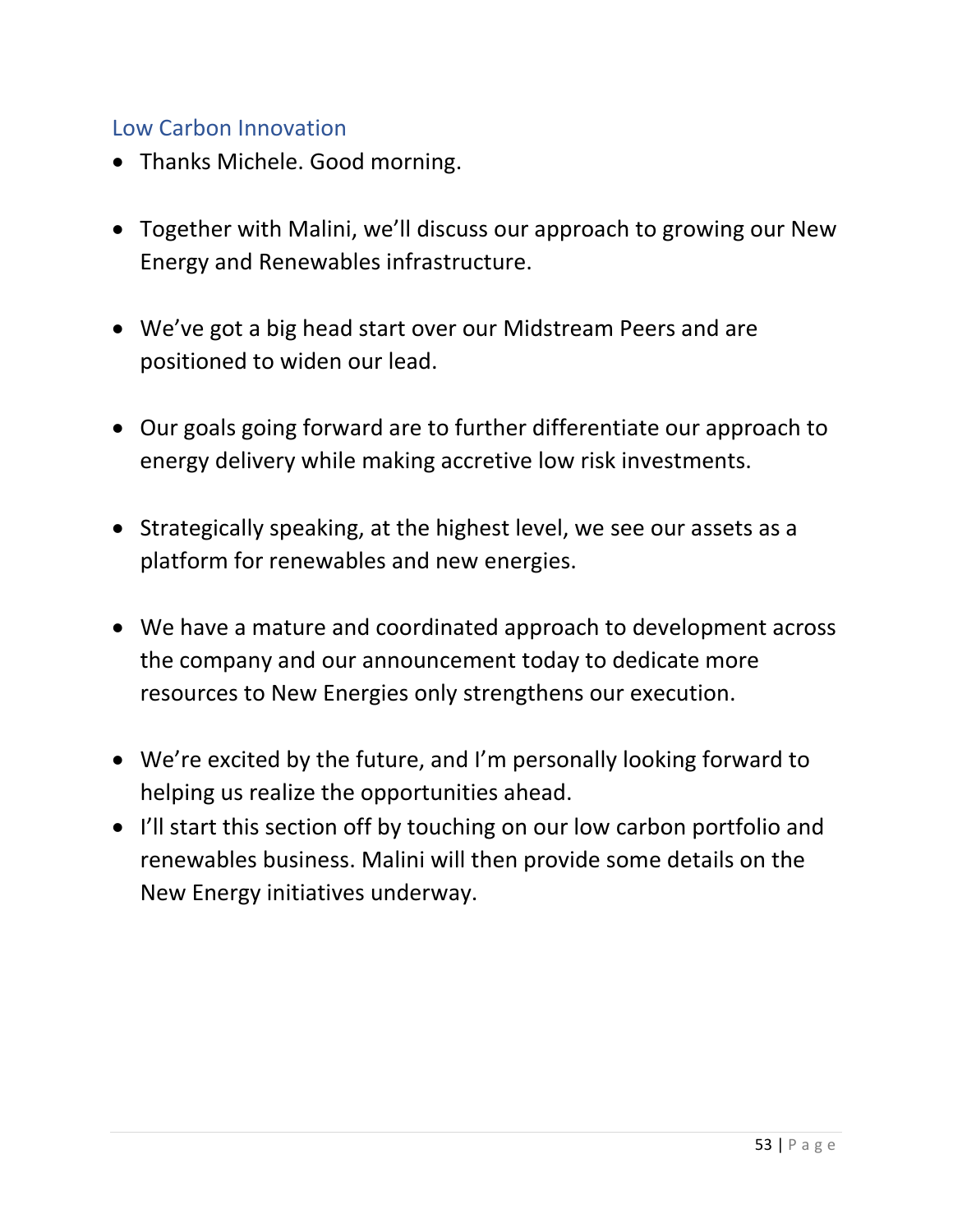#### Low Carbon Innovation

- Thanks Michele. Good morning.
- Together with Malini, we'll discuss our approach to growing our New Energy and Renewables infrastructure.
- We've got a big head start over our Midstream Peers and are positioned to widen our lead.
- Our goals going forward are to further differentiate our approach to energy delivery while making accretive low risk investments.
- Strategically speaking, at the highest level, we see our assets as a platform for renewables and new energies.
- We have a mature and coordinated approach to development across the company and our announcement today to dedicate more resources to New Energies only strengthens our execution.
- We're excited by the future, and I'm personally looking forward to helping us realize the opportunities ahead.
- I'll start this section off by touching on our low carbon portfolio and renewables business. Malini will then provide some details on the New Energy initiatives underway.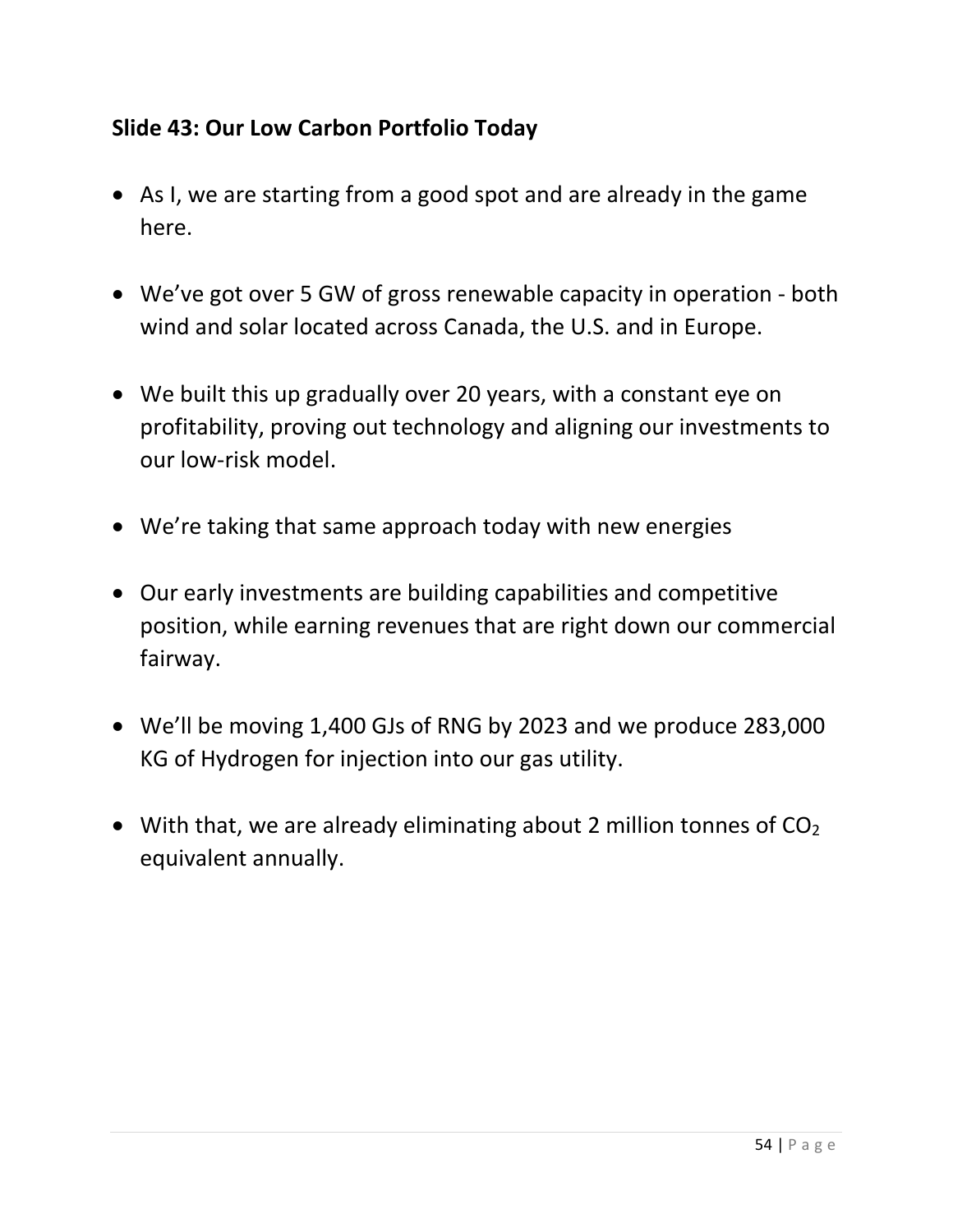## **Slide 43: Our Low Carbon Portfolio Today**

- As I, we are starting from a good spot and are already in the game here.
- We've got over 5 GW of gross renewable capacity in operation both wind and solar located across Canada, the U.S. and in Europe.
- We built this up gradually over 20 years, with a constant eye on profitability, proving out technology and aligning our investments to our low-risk model.
- We're taking that same approach today with new energies
- Our early investments are building capabilities and competitive position, while earning revenues that are right down our commercial fairway.
- We'll be moving 1,400 GJs of RNG by 2023 and we produce 283,000 KG of Hydrogen for injection into our gas utility.
- With that, we are already eliminating about 2 million tonnes of  $CO<sub>2</sub>$ equivalent annually.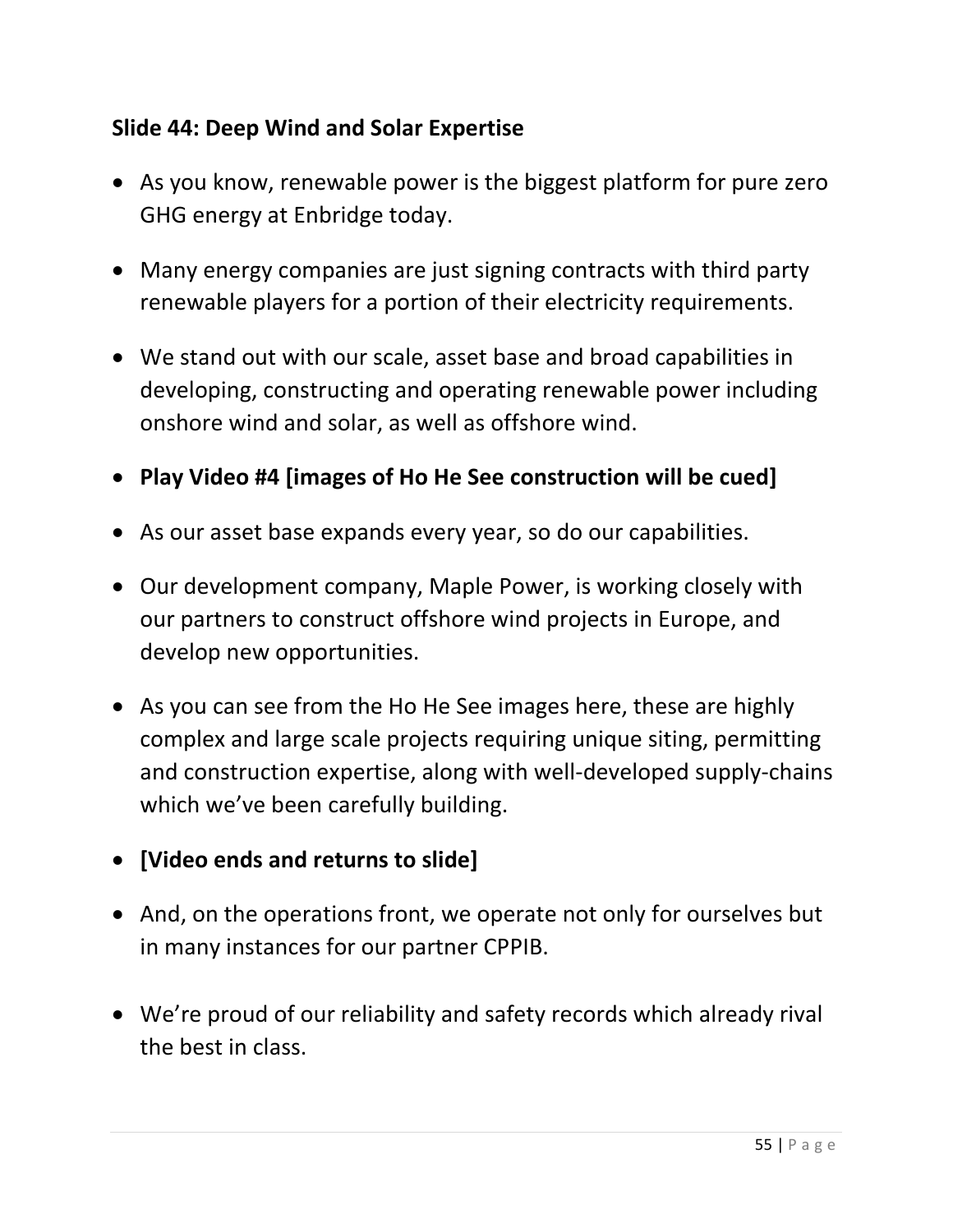## **Slide 44: Deep Wind and Solar Expertise**

- As you know, renewable power is the biggest platform for pure zero GHG energy at Enbridge today.
- Many energy companies are just signing contracts with third party renewable players for a portion of their electricity requirements.
- We stand out with our scale, asset base and broad capabilities in developing, constructing and operating renewable power including onshore wind and solar, as well as offshore wind.
- **Play Video #4 [images of Ho He See construction will be cued]**
- As our asset base expands every year, so do our capabilities.
- Our development company, Maple Power, is working closely with our partners to construct offshore wind projects in Europe, and develop new opportunities.
- As you can see from the Ho He See images here, these are highly complex and large scale projects requiring unique siting, permitting and construction expertise, along with well-developed supply-chains which we've been carefully building.
- **[Video ends and returns to slide]**
- And, on the operations front, we operate not only for ourselves but in many instances for our partner CPPIB.
- We're proud of our reliability and safety records which already rival the best in class.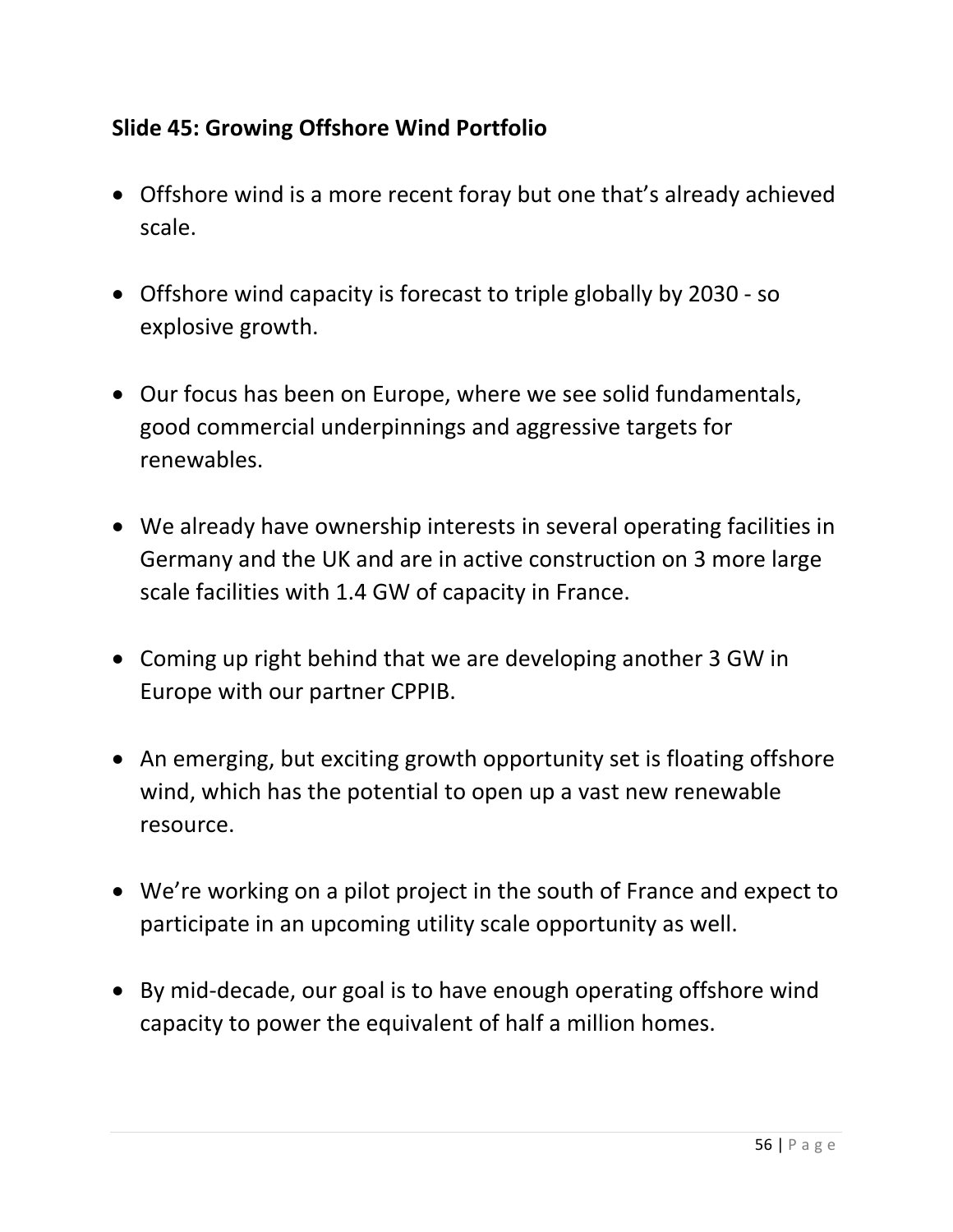## **Slide 45: Growing Offshore Wind Portfolio**

- Offshore wind is a more recent foray but one that's already achieved scale.
- Offshore wind capacity is forecast to triple globally by 2030 so explosive growth.
- Our focus has been on Europe, where we see solid fundamentals, good commercial underpinnings and aggressive targets for renewables.
- We already have ownership interests in several operating facilities in Germany and the UK and are in active construction on 3 more large scale facilities with 1.4 GW of capacity in France.
- Coming up right behind that we are developing another 3 GW in Europe with our partner CPPIB.
- An emerging, but exciting growth opportunity set is floating offshore wind, which has the potential to open up a vast new renewable resource.
- We're working on a pilot project in the south of France and expect to participate in an upcoming utility scale opportunity as well.
- By mid-decade, our goal is to have enough operating offshore wind capacity to power the equivalent of half a million homes.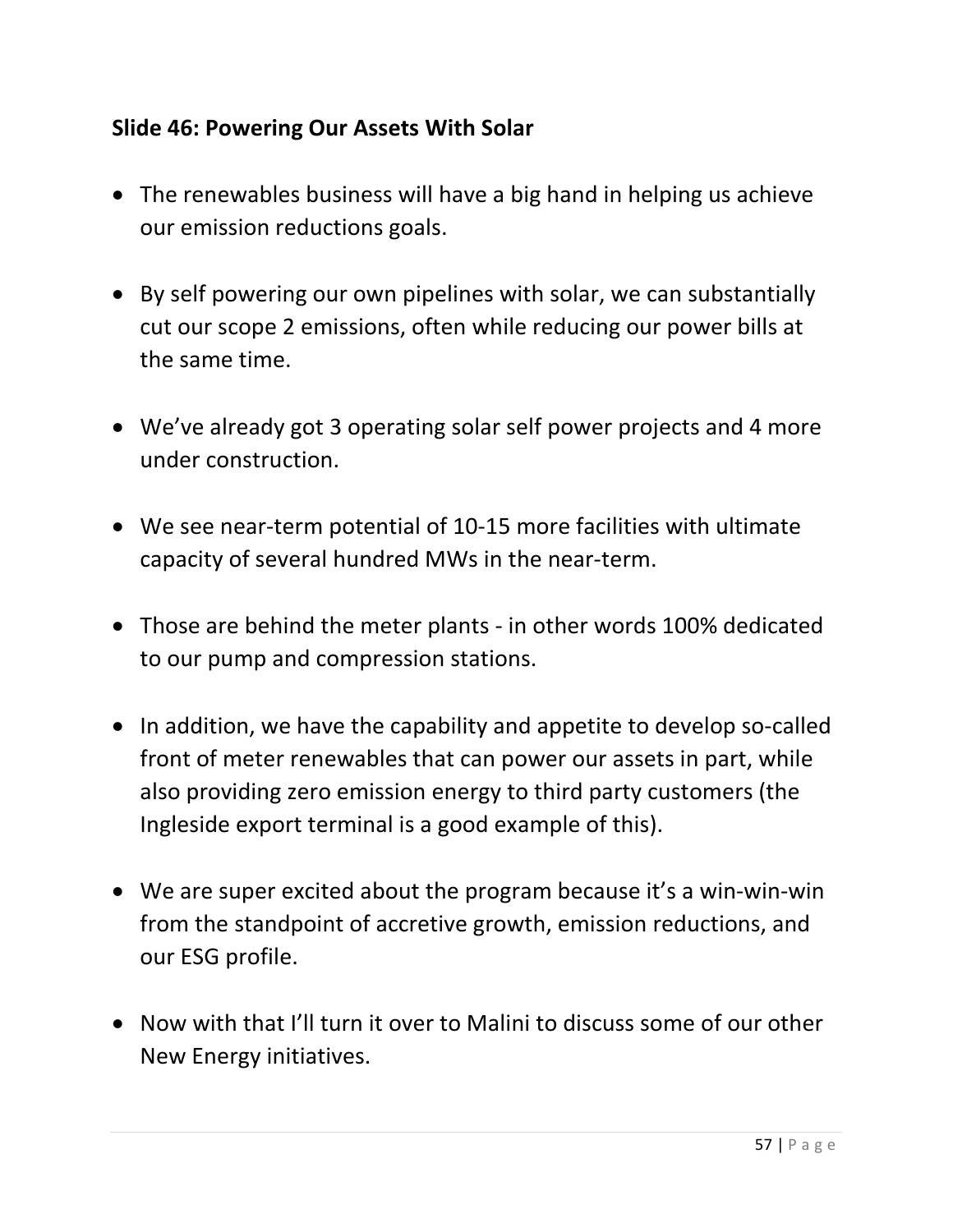## **Slide 46: Powering Our Assets With Solar**

- The renewables business will have a big hand in helping us achieve our emission reductions goals.
- By self powering our own pipelines with solar, we can substantially cut our scope 2 emissions, often while reducing our power bills at the same time.
- We've already got 3 operating solar self power projects and 4 more under construction.
- We see near-term potential of 10-15 more facilities with ultimate capacity of several hundred MWs in the near-term.
- Those are behind the meter plants in other words 100% dedicated to our pump and compression stations.
- In addition, we have the capability and appetite to develop so-called front of meter renewables that can power our assets in part, while also providing zero emission energy to third party customers (the Ingleside export terminal is a good example of this).
- We are super excited about the program because it's a win-win-win from the standpoint of accretive growth, emission reductions, and our ESG profile.
- Now with that I'll turn it over to Malini to discuss some of our other New Energy initiatives.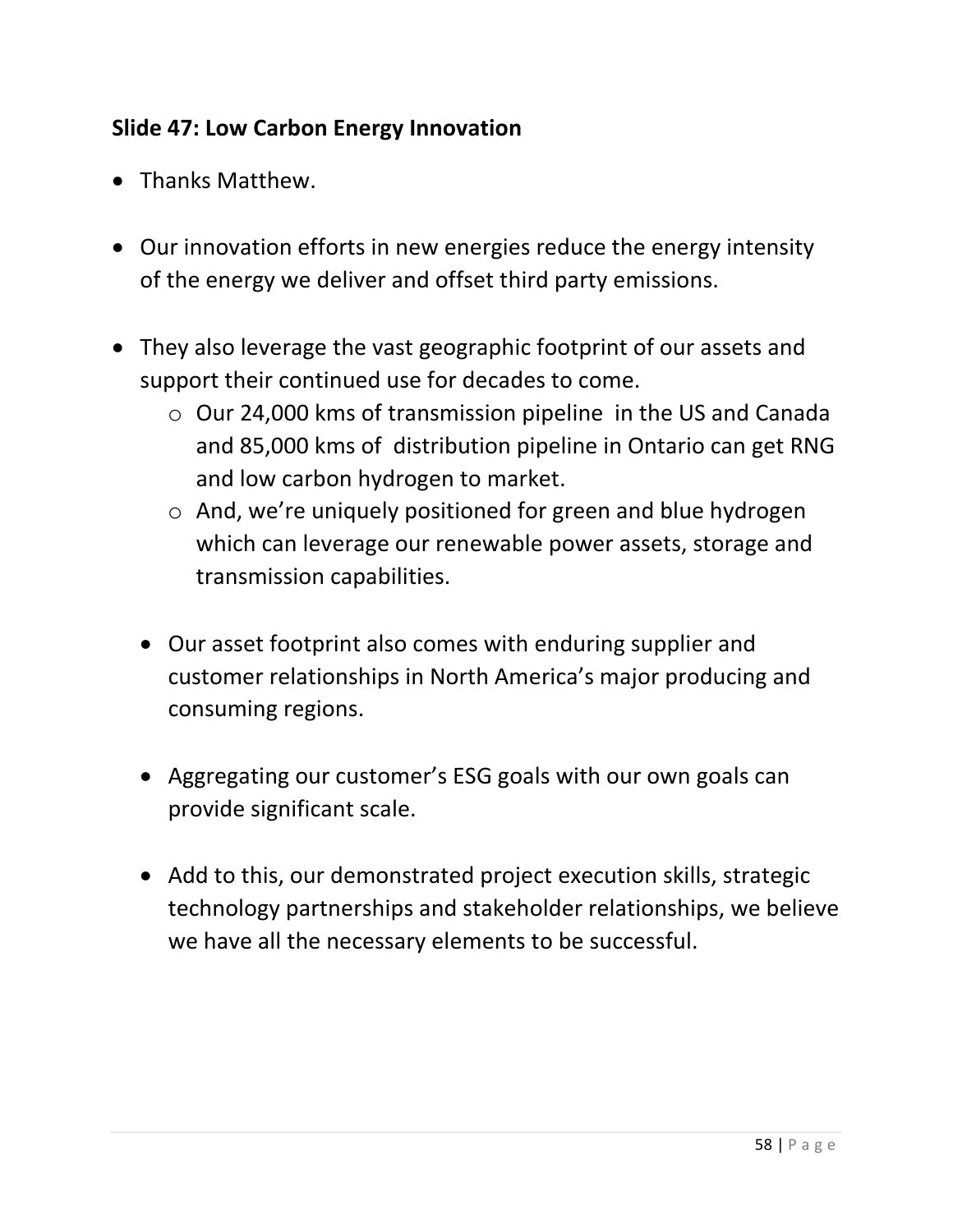# **Slide 47: Low Carbon Energy Innovation**

- Thanks Matthew.
- Our innovation efforts in new energies reduce the energy intensity of the energy we deliver and offset third party emissions.
- They also leverage the vast geographic footprint of our assets and support their continued use for decades to come.
	- o Our 24,000 kms of transmission pipeline in the US and Canada and 85,000 kms of distribution pipeline in Ontario can get RNG and low carbon hydrogen to market.
	- o And, we're uniquely positioned for green and blue hydrogen which can leverage our renewable power assets, storage and transmission capabilities.
	- Our asset footprint also comes with enduring supplier and customer relationships in North America's major producing and consuming regions.
	- Aggregating our customer's ESG goals with our own goals can provide significant scale.
	- Add to this, our demonstrated project execution skills, strategic technology partnerships and stakeholder relationships, we believe we have all the necessary elements to be successful.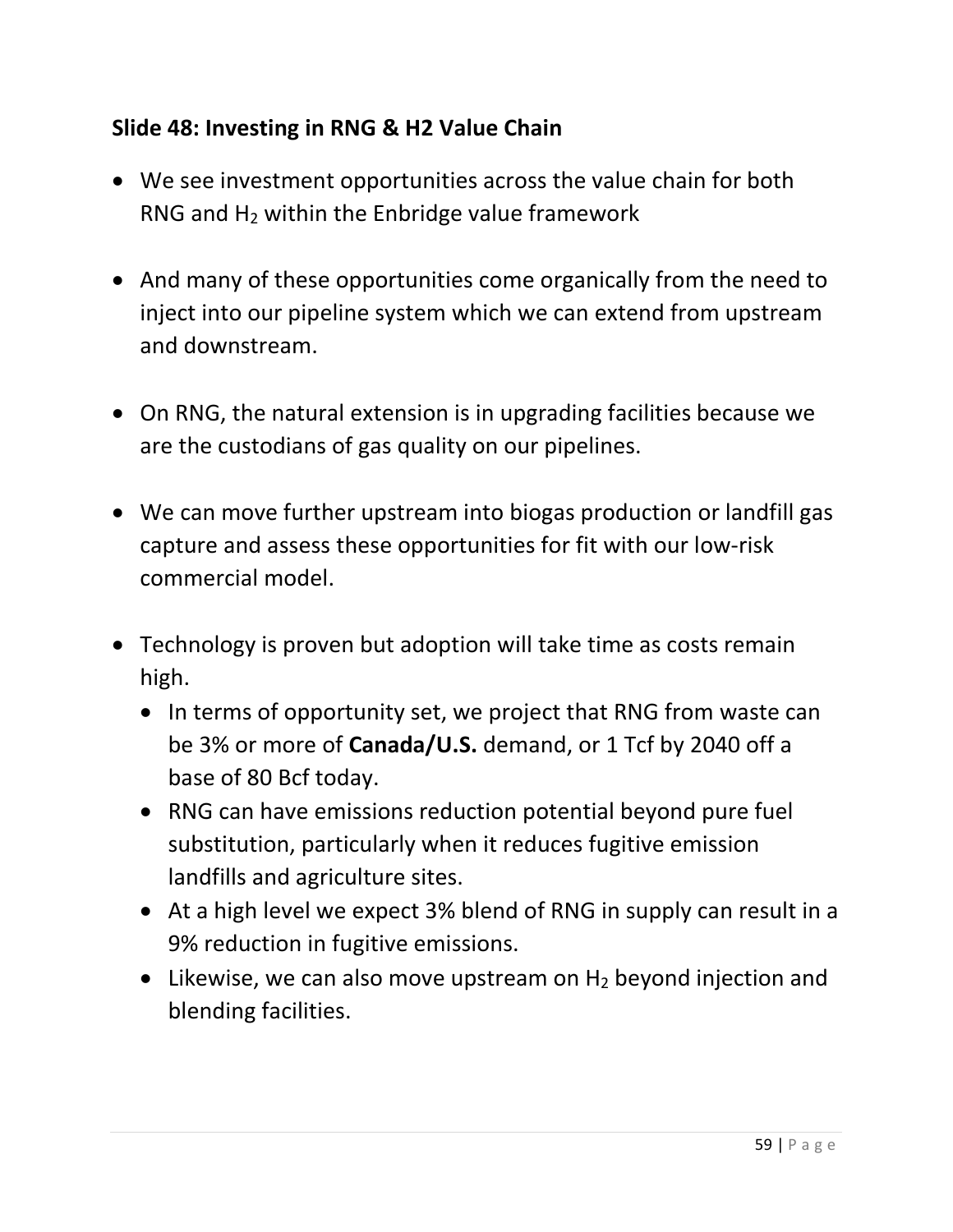## **Slide 48: Investing in RNG & H2 Value Chain**

- We see investment opportunities across the value chain for both RNG and  $H_2$  within the Enbridge value framework
- And many of these opportunities come organically from the need to inject into our pipeline system which we can extend from upstream and downstream.
- On RNG, the natural extension is in upgrading facilities because we are the custodians of gas quality on our pipelines.
- We can move further upstream into biogas production or landfill gas capture and assess these opportunities for fit with our low-risk commercial model.
- Technology is proven but adoption will take time as costs remain high.
	- In terms of opportunity set, we project that RNG from waste can be 3% or more of **Canada/U.S.** demand, or 1 Tcf by 2040 off a base of 80 Bcf today.
	- RNG can have emissions reduction potential beyond pure fuel substitution, particularly when it reduces fugitive emission landfills and agriculture sites.
	- At a high level we expect 3% blend of RNG in supply can result in a 9% reduction in fugitive emissions.
	- Likewise, we can also move upstream on  $H_2$  beyond injection and blending facilities.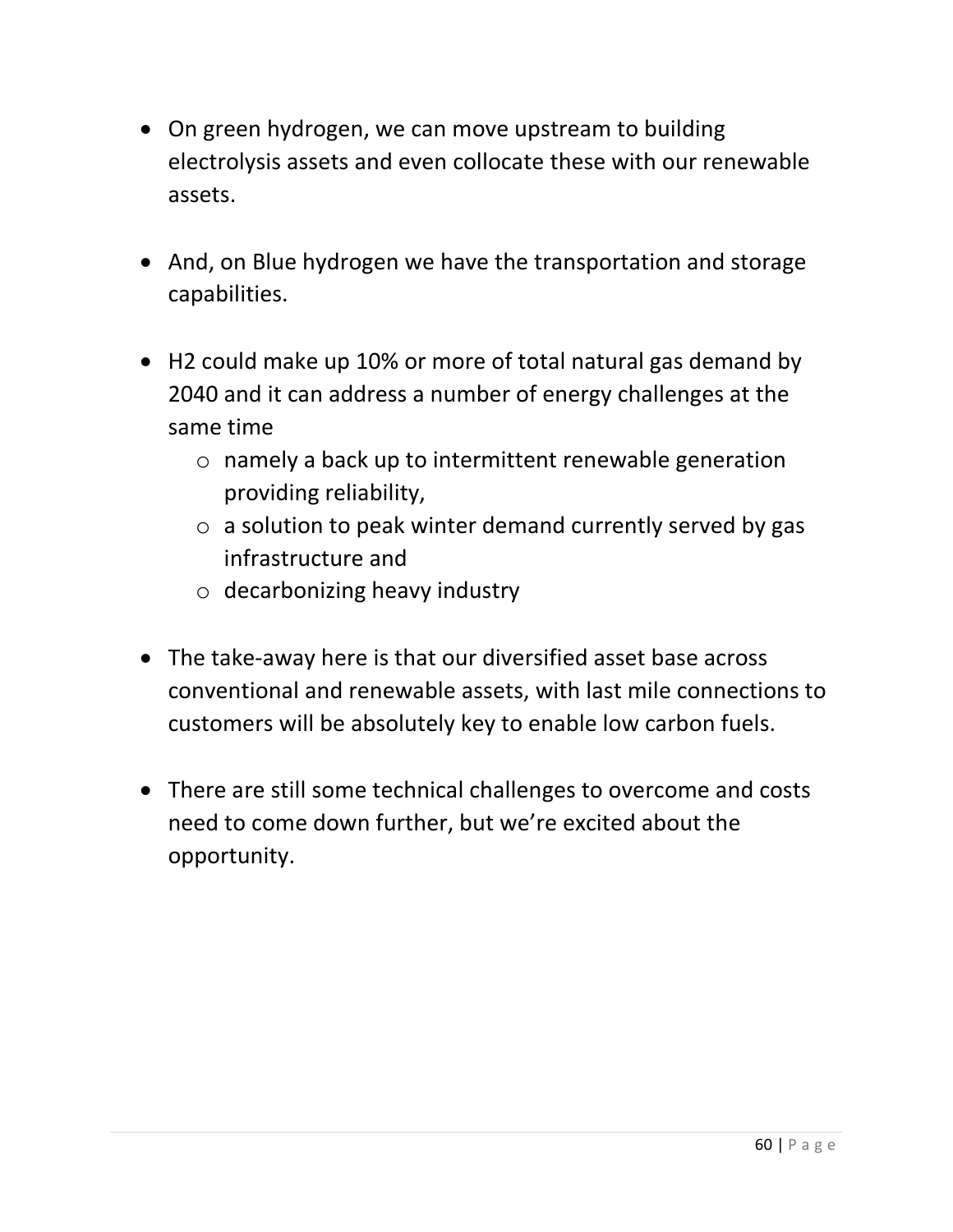- On green hydrogen, we can move upstream to building electrolysis assets and even collocate these with our renewable assets.
- And, on Blue hydrogen we have the transportation and storage capabilities.
- H2 could make up 10% or more of total natural gas demand by 2040 and it can address a number of energy challenges at the same time
	- o namely a back up to intermittent renewable generation providing reliability,
	- $\circ$  a solution to peak winter demand currently served by gas infrastructure and
	- $\circ$  decarbonizing heavy industry
- The take-away here is that our diversified asset base across conventional and renewable assets, with last mile connections to customers will be absolutely key to enable low carbon fuels.
- There are still some technical challenges to overcome and costs need to come down further, but we're excited about the opportunity.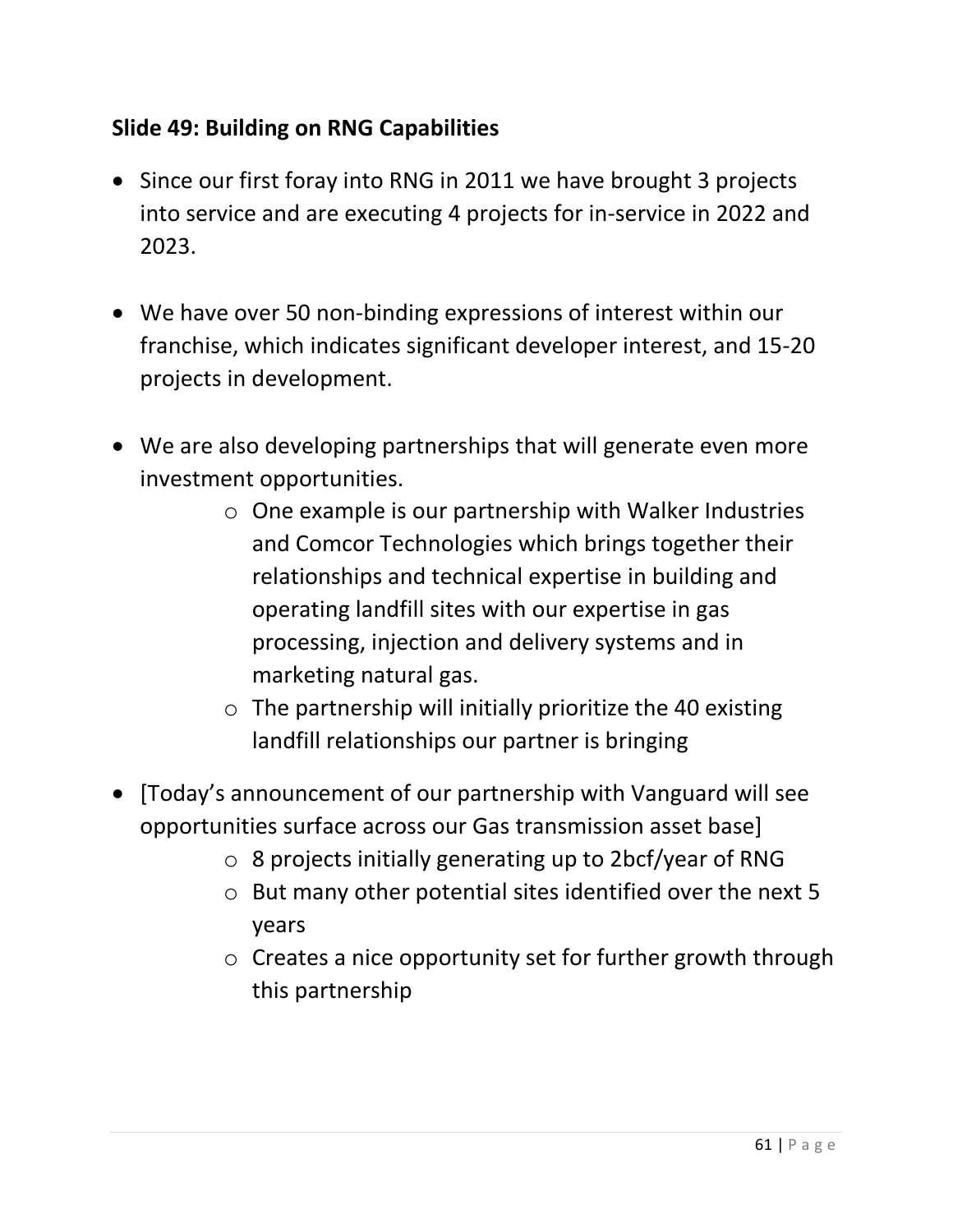# **Slide 49: Building on RNG Capabilities**

- Since our first foray into RNG in 2011 we have brought 3 projects into service and are executing 4 projects for in-service in 2022 and 2023.
- We have over 50 non-binding expressions of interest within our franchise, which indicates significant developer interest, and 15-20 projects in development.
- We are also developing partnerships that will generate even more investment opportunities.
	- o One example is our partnership with Walker Industries and Comcor Technologies which brings together their relationships and technical expertise in building and operating landfill sites with our expertise in gas processing, injection and delivery systems and in marketing natural gas.
	- $\circ$  The partnership will initially prioritize the 40 existing landfill relationships our partner is bringing
- [Today's announcement of our partnership with Vanguard will see opportunities surface across our Gas transmission asset base]
	- o 8 projects initially generating up to 2bcf/year of RNG
	- o But many other potential sites identified over the next 5 years
	- o Creates a nice opportunity set for further growth through this partnership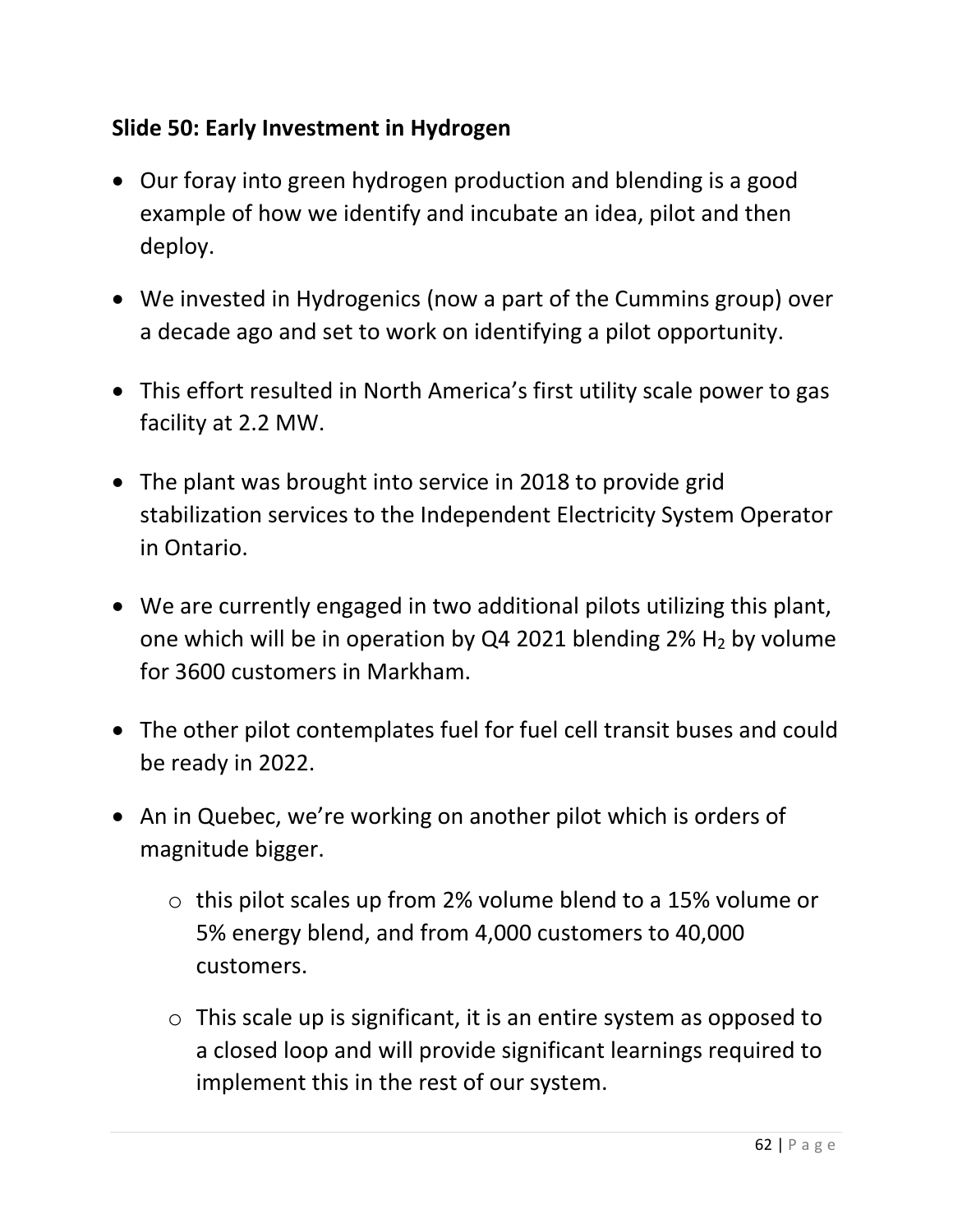## **Slide 50: Early Investment in Hydrogen**

- Our foray into green hydrogen production and blending is a good example of how we identify and incubate an idea, pilot and then deploy.
- We invested in Hydrogenics (now a part of the Cummins group) over a decade ago and set to work on identifying a pilot opportunity.
- This effort resulted in North America's first utility scale power to gas facility at 2.2 MW.
- The plant was brought into service in 2018 to provide grid stabilization services to the Independent Electricity System Operator in Ontario.
- We are currently engaged in two additional pilots utilizing this plant, one which will be in operation by Q4 2021 blending  $2\%$  H<sub>2</sub> by volume for 3600 customers in Markham.
- The other pilot contemplates fuel for fuel cell transit buses and could be ready in 2022.
- An in Quebec, we're working on another pilot which is orders of magnitude bigger.
	- o this pilot scales up from 2% volume blend to a 15% volume or 5% energy blend, and from 4,000 customers to 40,000 customers.
	- $\circ$  This scale up is significant, it is an entire system as opposed to a closed loop and will provide significant learnings required to implement this in the rest of our system.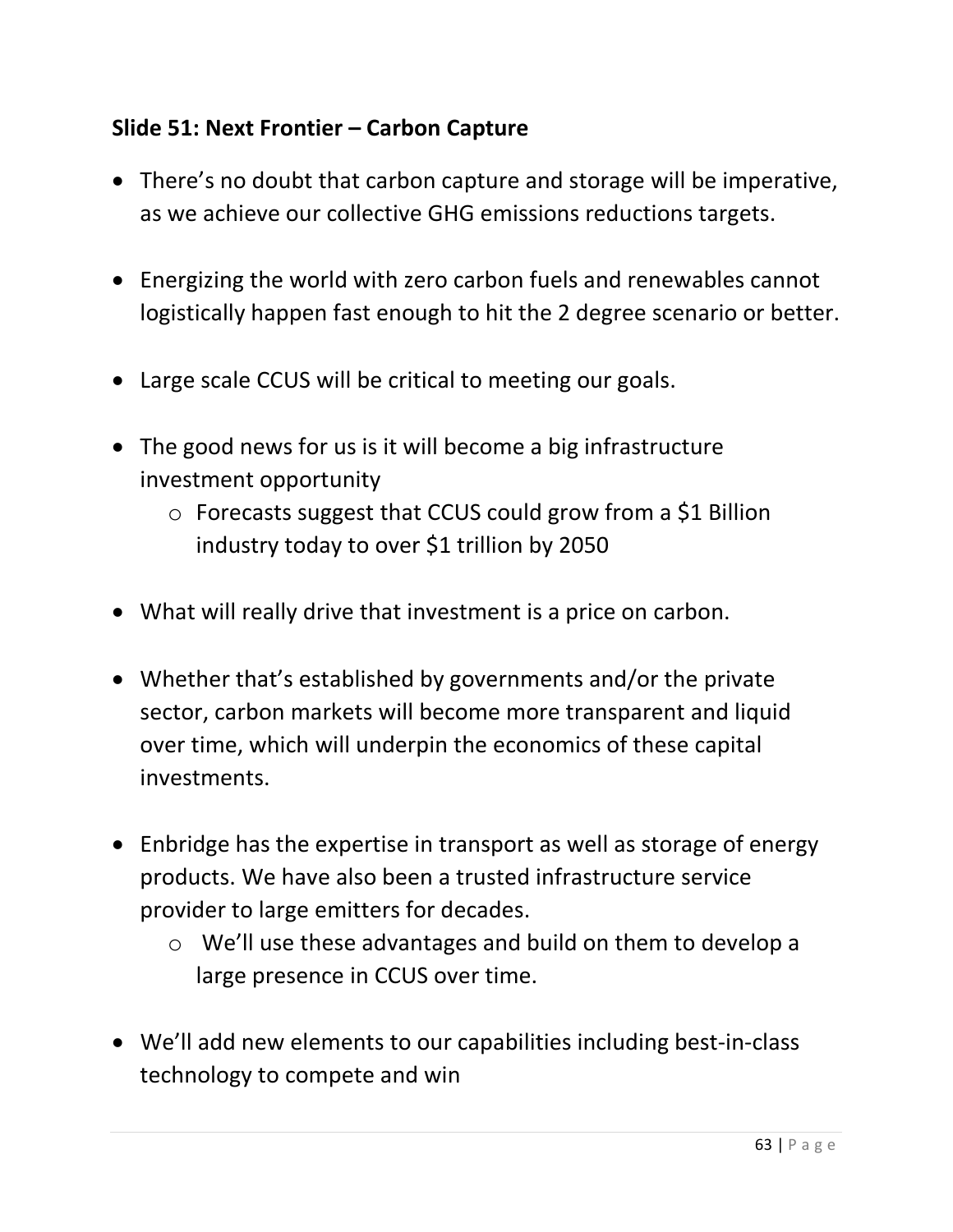## **Slide 51: Next Frontier – Carbon Capture**

- There's no doubt that carbon capture and storage will be imperative, as we achieve our collective GHG emissions reductions targets.
- Energizing the world with zero carbon fuels and renewables cannot logistically happen fast enough to hit the 2 degree scenario or better.
- Large scale CCUS will be critical to meeting our goals.
- The good news for us is it will become a big infrastructure investment opportunity
	- o Forecasts suggest that CCUS could grow from a \$1 Billion industry today to over \$1 trillion by 2050
- What will really drive that investment is a price on carbon.
- Whether that's established by governments and/or the private sector, carbon markets will become more transparent and liquid over time, which will underpin the economics of these capital investments.
- Enbridge has the expertise in transport as well as storage of energy products. We have also been a trusted infrastructure service provider to large emitters for decades.
	- o We'll use these advantages and build on them to develop a large presence in CCUS over time.
- We'll add new elements to our capabilities including best-in-class technology to compete and win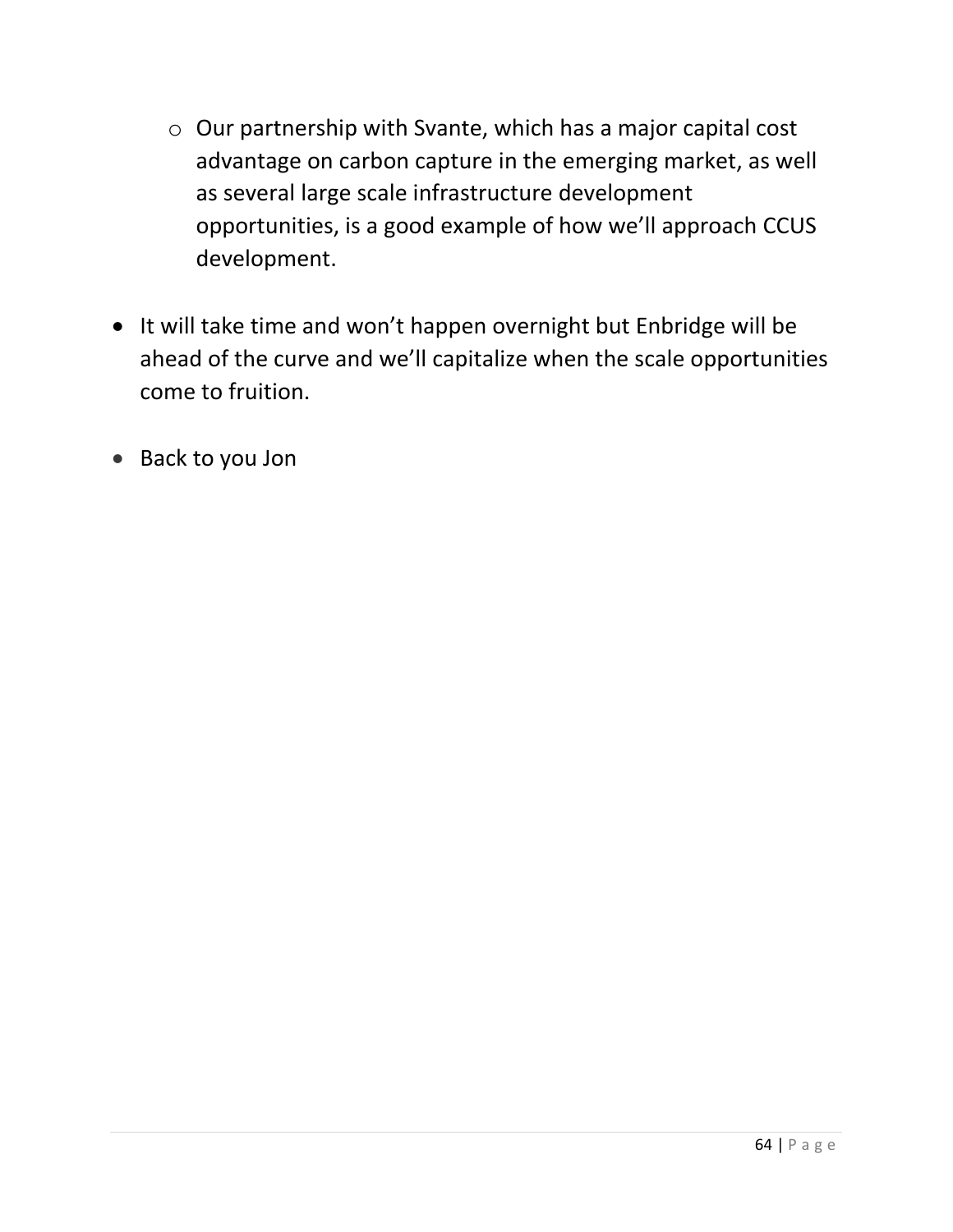- o Our partnership with Svante, which has a major capital cost advantage on carbon capture in the emerging market, as well as several large scale infrastructure development opportunities, is a good example of how we'll approach CCUS development.
- It will take time and won't happen overnight but Enbridge will be ahead of the curve and we'll capitalize when the scale opportunities come to fruition.
- Back to you Jon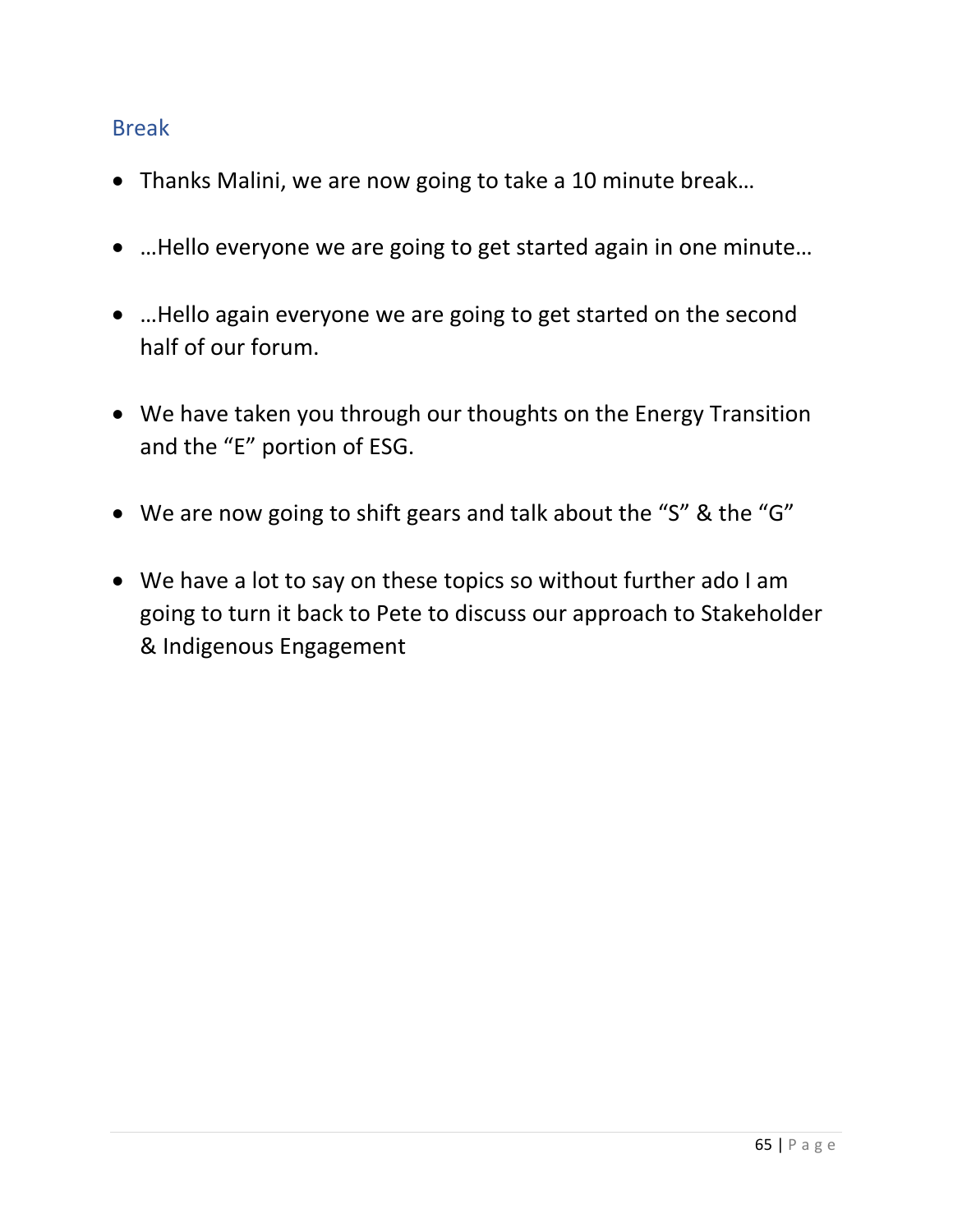#### Break

- Thanks Malini, we are now going to take a 10 minute break…
- …Hello everyone we are going to get started again in one minute…
- …Hello again everyone we are going to get started on the second half of our forum.
- We have taken you through our thoughts on the Energy Transition and the "E" portion of ESG.
- We are now going to shift gears and talk about the "S" & the "G"
- We have a lot to say on these topics so without further ado I am going to turn it back to Pete to discuss our approach to Stakeholder & Indigenous Engagement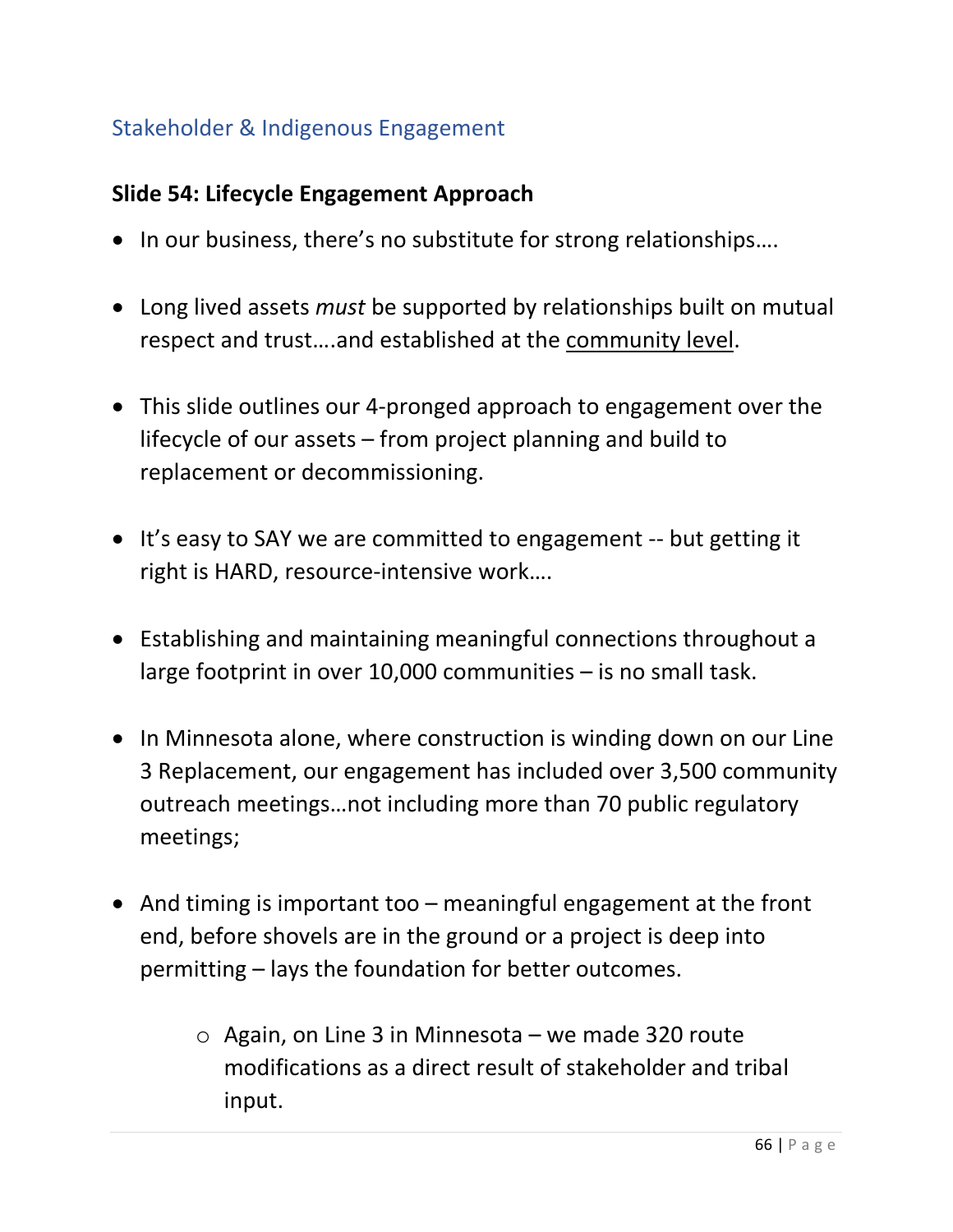# Stakeholder & Indigenous Engagement

#### **Slide 54: Lifecycle Engagement Approach**

- In our business, there's no substitute for strong relationships….
- Long lived assets *must* be supported by relationships built on mutual respect and trust….and established at the community level.
- This slide outlines our 4-pronged approach to engagement over the lifecycle of our assets – from project planning and build to replacement or decommissioning.
- It's easy to SAY we are committed to engagement -- but getting it right is HARD, resource-intensive work….
- Establishing and maintaining meaningful connections throughout a large footprint in over 10,000 communities – is no small task.
- In Minnesota alone, where construction is winding down on our Line 3 Replacement, our engagement has included over 3,500 community outreach meetings…not including more than 70 public regulatory meetings;
- And timing is important too meaningful engagement at the front end, before shovels are in the ground or a project is deep into permitting – lays the foundation for better outcomes.
	- $\circ$  Again, on Line 3 in Minnesota we made 320 route modifications as a direct result of stakeholder and tribal input.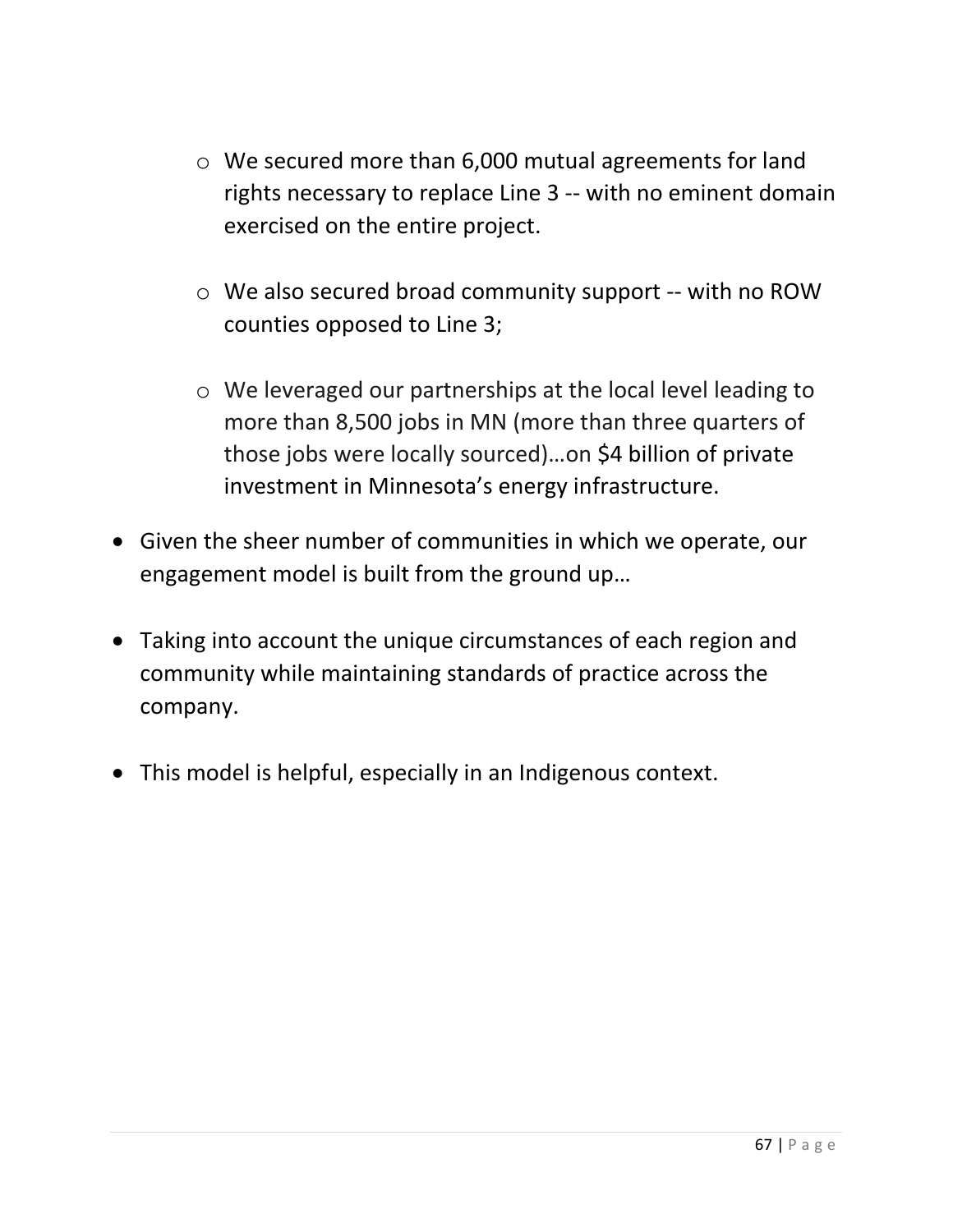- o We secured more than 6,000 mutual agreements for land rights necessary to replace Line 3 -- with no eminent domain exercised on the entire project.
- o We also secured broad community support -- with no ROW counties opposed to Line 3;
- o We leveraged our partnerships at the local level leading to more than 8,500 jobs in MN (more than three quarters of those jobs were locally sourced)…on \$4 billion of private investment in Minnesota's energy infrastructure.
- Given the sheer number of communities in which we operate, our engagement model is built from the ground up…
- Taking into account the unique circumstances of each region and community while maintaining standards of practice across the company.
- This model is helpful, especially in an Indigenous context.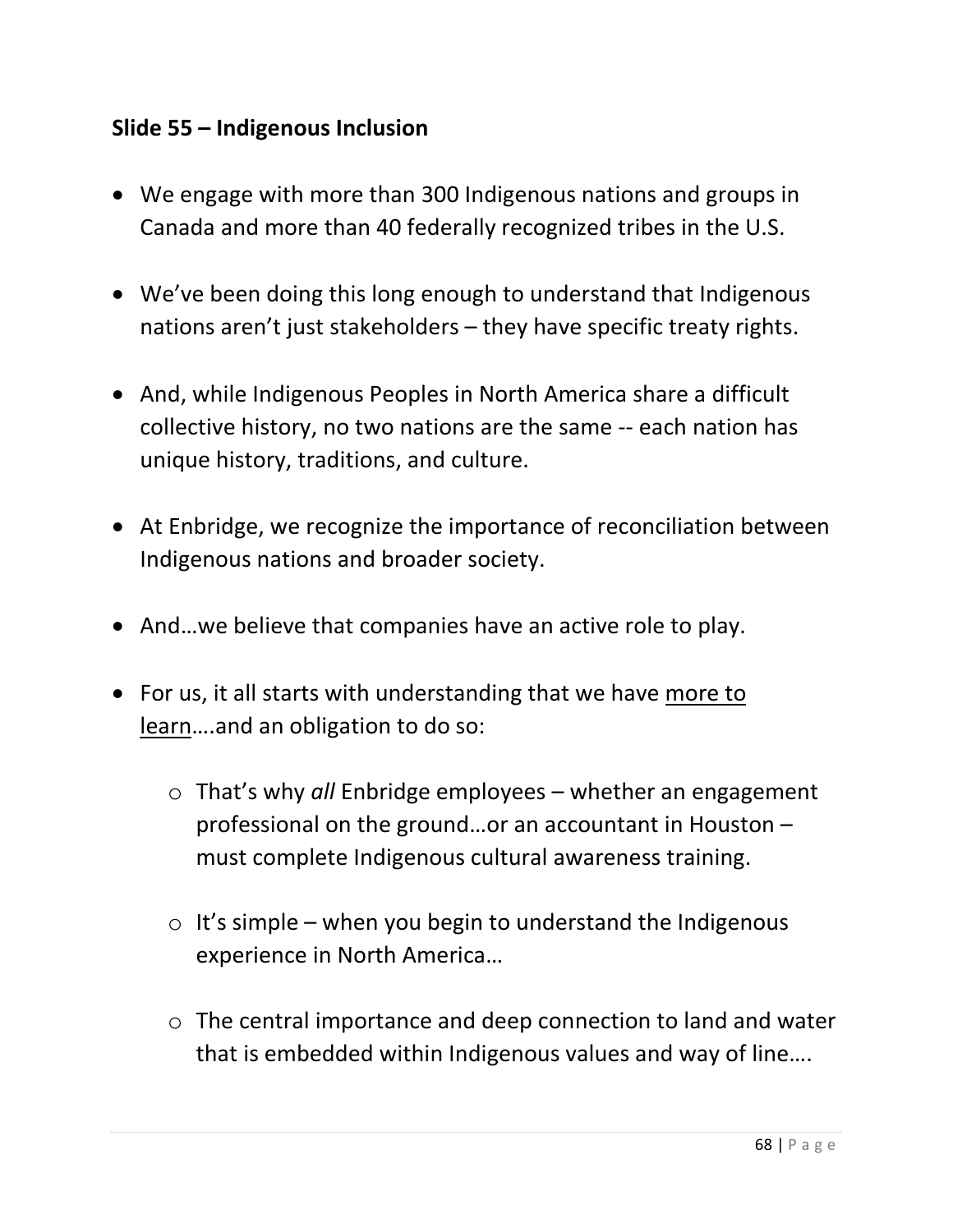### **Slide 55 – Indigenous Inclusion**

- We engage with more than 300 Indigenous nations and groups in Canada and more than 40 federally recognized tribes in the U.S.
- We've been doing this long enough to understand that Indigenous nations aren't just stakeholders – they have specific treaty rights.
- And, while Indigenous Peoples in North America share a difficult collective history, no two nations are the same -- each nation has unique history, traditions, and culture.
- At Enbridge, we recognize the importance of reconciliation between Indigenous nations and broader society.
- And…we believe that companies have an active role to play.
- For us, it all starts with understanding that we have more to learn….and an obligation to do so:
	- o That's why *all* Enbridge employees whether an engagement professional on the ground…or an accountant in Houston – must complete Indigenous cultural awareness training.
	- $\circ$  It's simple when you begin to understand the Indigenous experience in North America…
	- o The central importance and deep connection to land and water that is embedded within Indigenous values and way of line….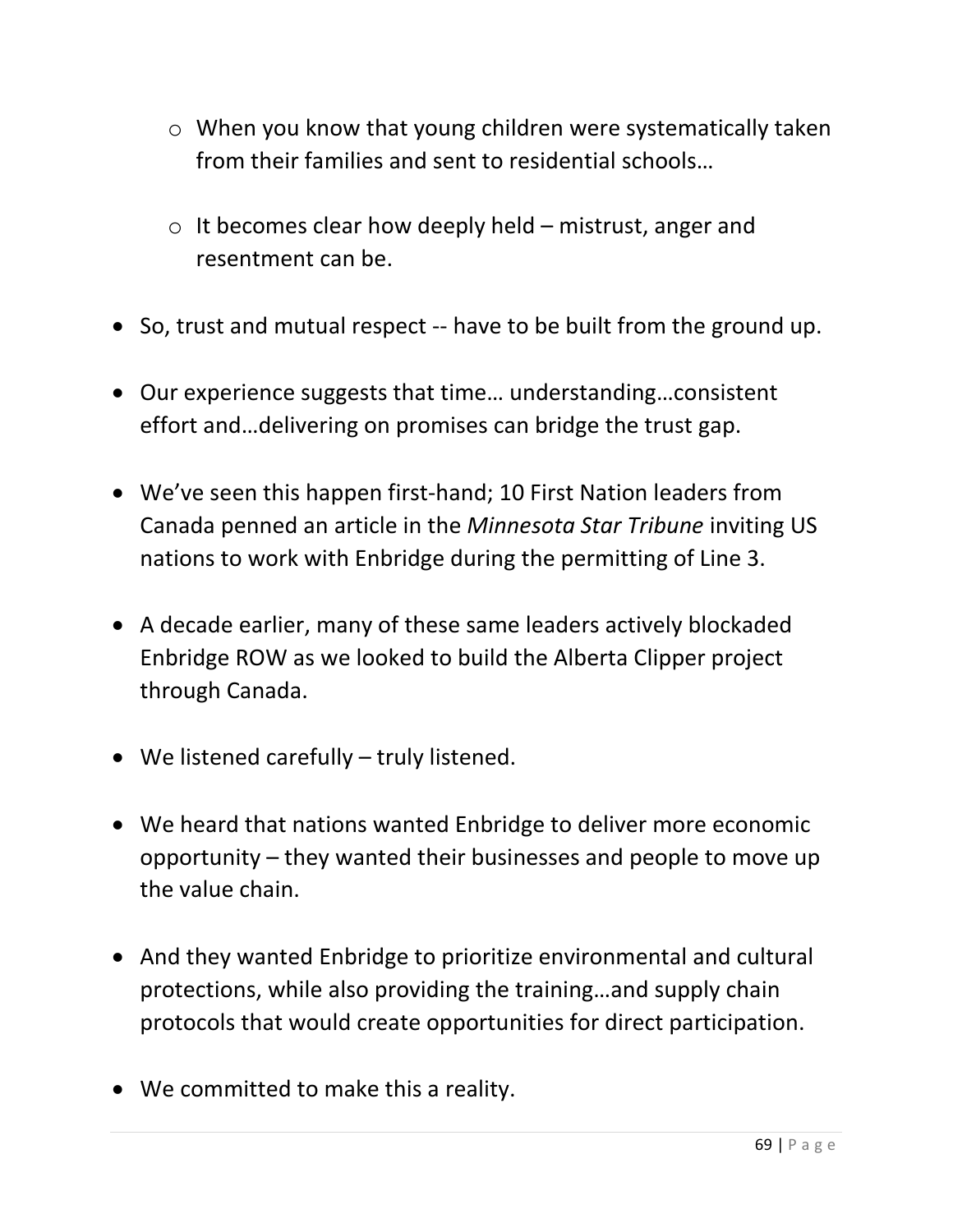- o When you know that young children were systematically taken from their families and sent to residential schools…
- $\circ$  It becomes clear how deeply held mistrust, anger and resentment can be.
- So, trust and mutual respect -- have to be built from the ground up.
- Our experience suggests that time… understanding…consistent effort and…delivering on promises can bridge the trust gap.
- We've seen this happen first-hand; 10 First Nation leaders from Canada penned an article in the *Minnesota Star Tribune* inviting US nations to work with Enbridge during the permitting of Line 3.
- A decade earlier, many of these same leaders actively blockaded Enbridge ROW as we looked to build the Alberta Clipper project through Canada.
- We listened carefully truly listened.
- We heard that nations wanted Enbridge to deliver more economic opportunity – they wanted their businesses and people to move up the value chain.
- And they wanted Enbridge to prioritize environmental and cultural protections, while also providing the training…and supply chain protocols that would create opportunities for direct participation.
- We committed to make this a reality.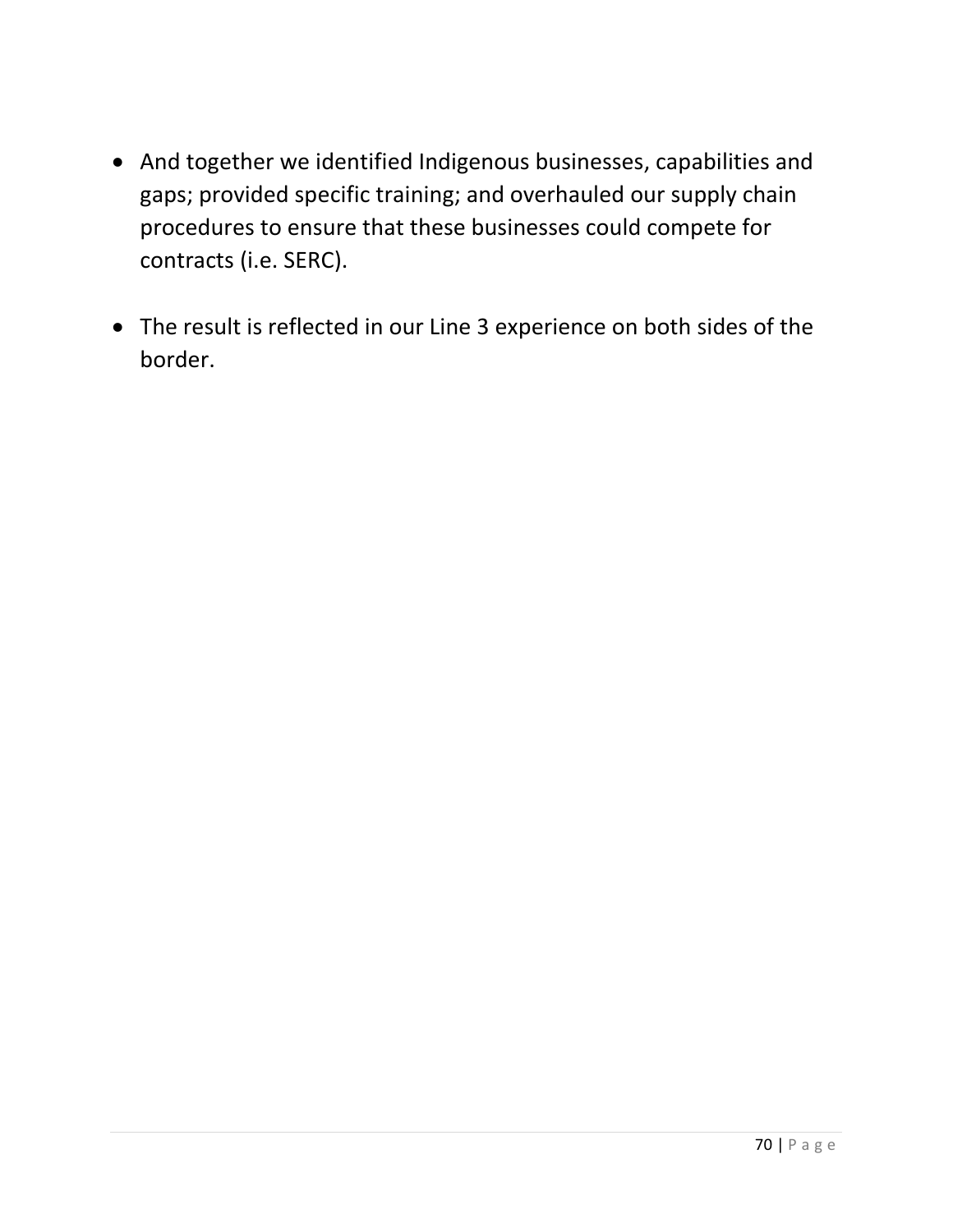- And together we identified Indigenous businesses, capabilities and gaps; provided specific training; and overhauled our supply chain procedures to ensure that these businesses could compete for contracts (i.e. SERC).
- The result is reflected in our Line 3 experience on both sides of the border.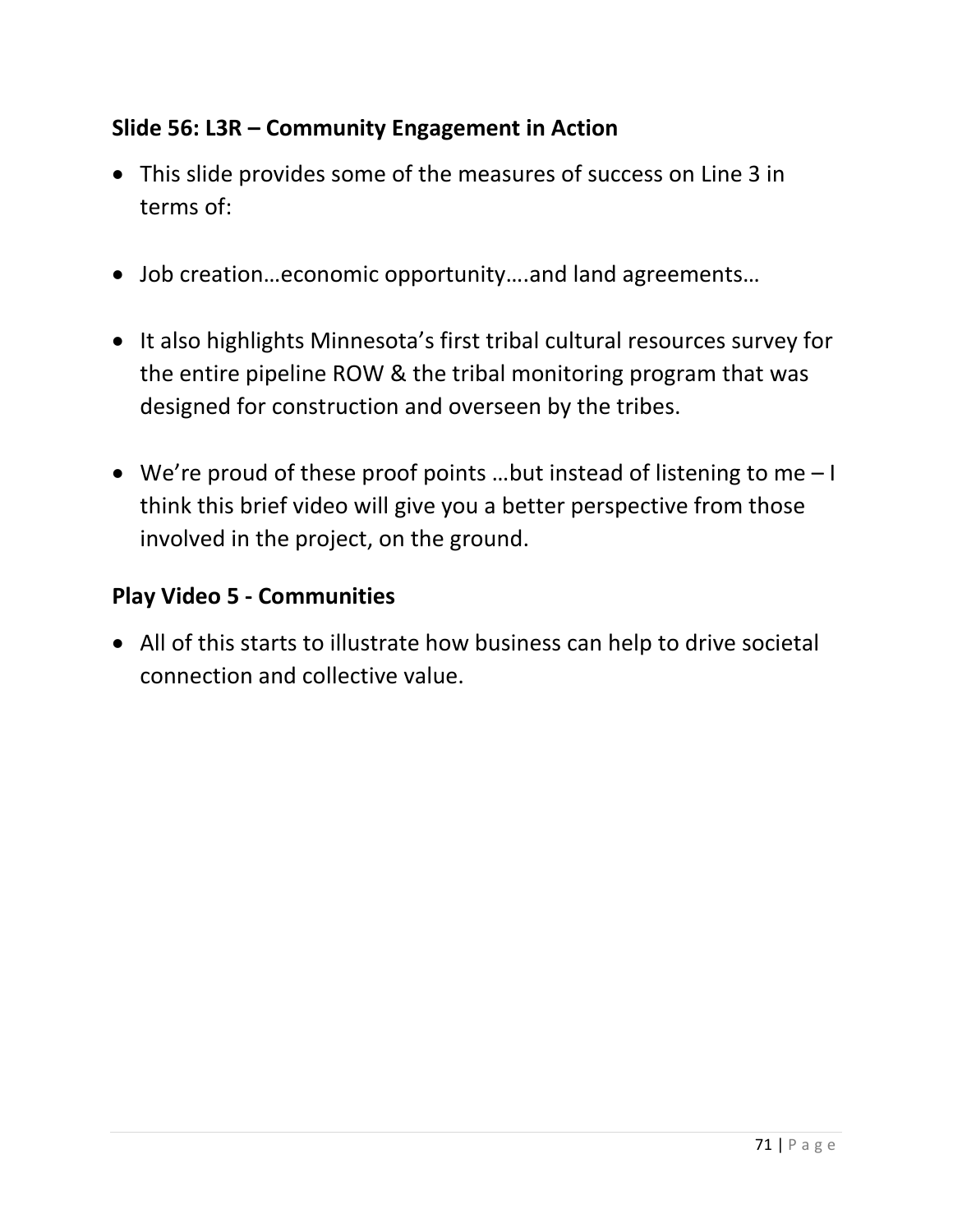## **Slide 56: L3R – Community Engagement in Action**

- This slide provides some of the measures of success on Line 3 in terms of:
- Job creation…economic opportunity….and land agreements…
- It also highlights Minnesota's first tribal cultural resources survey for the entire pipeline ROW & the tribal monitoring program that was designed for construction and overseen by the tribes.
- We're proud of these proof points …but instead of listening to me I think this brief video will give you a better perspective from those involved in the project, on the ground.

### **Play Video 5 - Communities**

• All of this starts to illustrate how business can help to drive societal connection and collective value.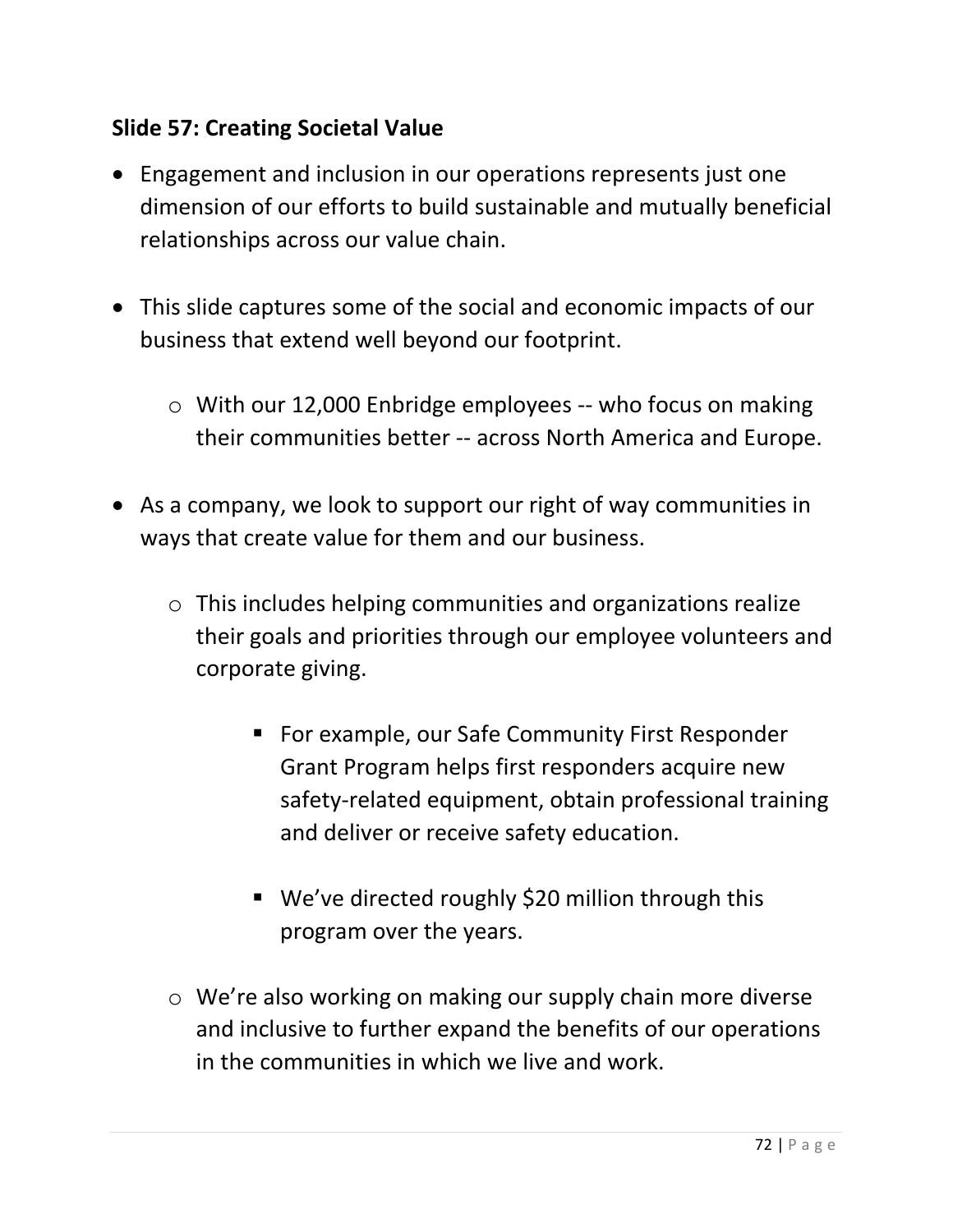## **Slide 57: Creating Societal Value**

- Engagement and inclusion in our operations represents just one dimension of our efforts to build sustainable and mutually beneficial relationships across our value chain.
- This slide captures some of the social and economic impacts of our business that extend well beyond our footprint.
	- o With our 12,000 Enbridge employees -- who focus on making their communities better -- across North America and Europe.
- As a company, we look to support our right of way communities in ways that create value for them and our business.
	- o This includes helping communities and organizations realize their goals and priorities through our employee volunteers and corporate giving.
		- For example, our Safe Community First Responder Grant Program helps first responders acquire new safety-related equipment, obtain professional training and deliver or receive safety education.
		- We've directed roughly \$20 million through this program over the years.
	- o We're also working on making our supply chain more diverse and inclusive to further expand the benefits of our operations in the communities in which we live and work.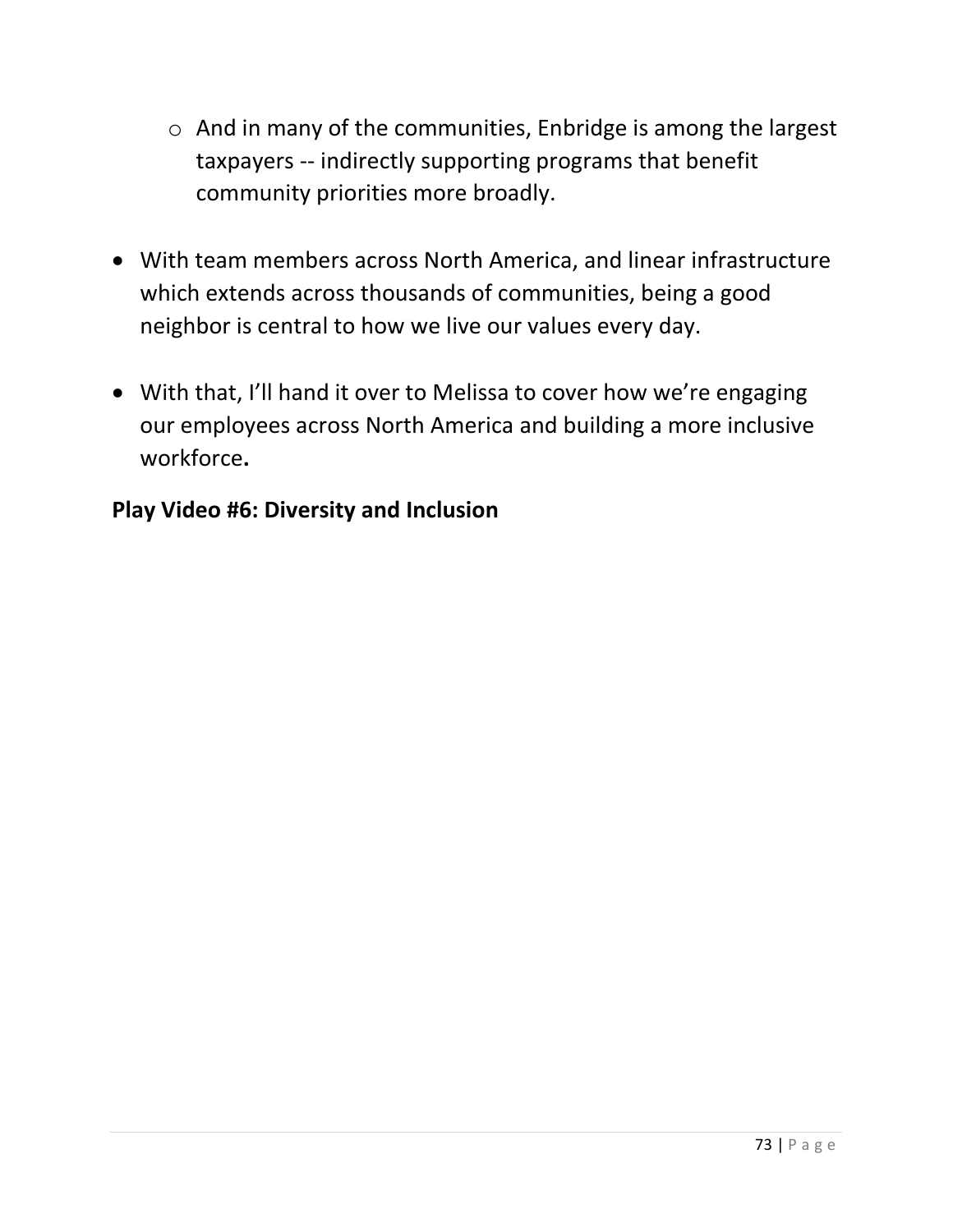- $\circ$  And in many of the communities, Enbridge is among the largest taxpayers -- indirectly supporting programs that benefit community priorities more broadly.
- With team members across North America, and linear infrastructure which extends across thousands of communities, being a good neighbor is central to how we live our values every day.
- With that, I'll hand it over to Melissa to cover how we're engaging our employees across North America and building a more inclusive workforce**.**

# **Play Video #6: Diversity and Inclusion**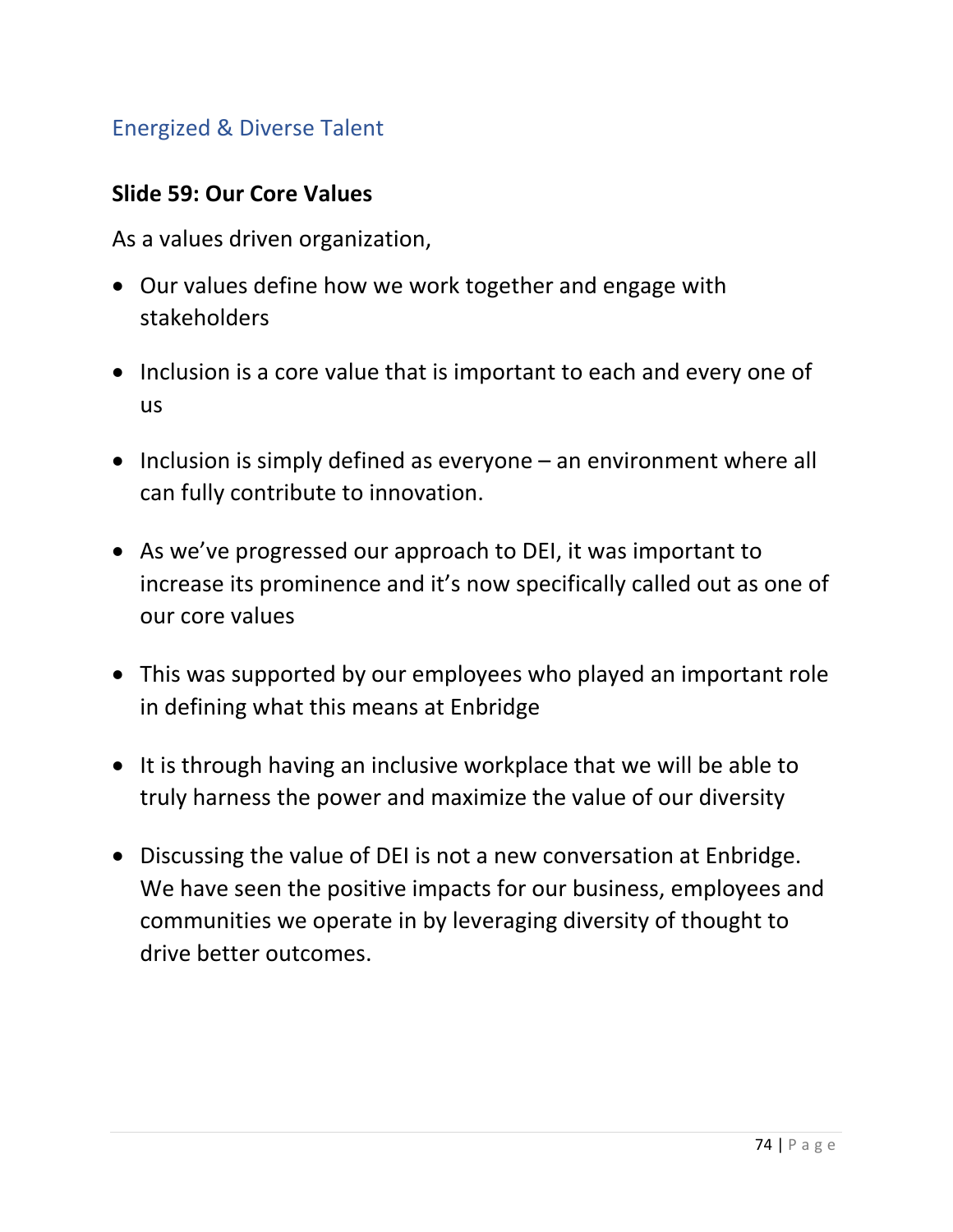## Energized & Diverse Talent

#### **Slide 59: Our Core Values**

As a values driven organization,

- Our values define how we work together and engage with stakeholders
- Inclusion is a core value that is important to each and every one of us
- Inclusion is simply defined as everyone an environment where all can fully contribute to innovation.
- As we've progressed our approach to DEI, it was important to increase its prominence and it's now specifically called out as one of our core values
- This was supported by our employees who played an important role in defining what this means at Enbridge
- It is through having an inclusive workplace that we will be able to truly harness the power and maximize the value of our diversity
- Discussing the value of DEI is not a new conversation at Enbridge. We have seen the positive impacts for our business, employees and communities we operate in by leveraging diversity of thought to drive better outcomes.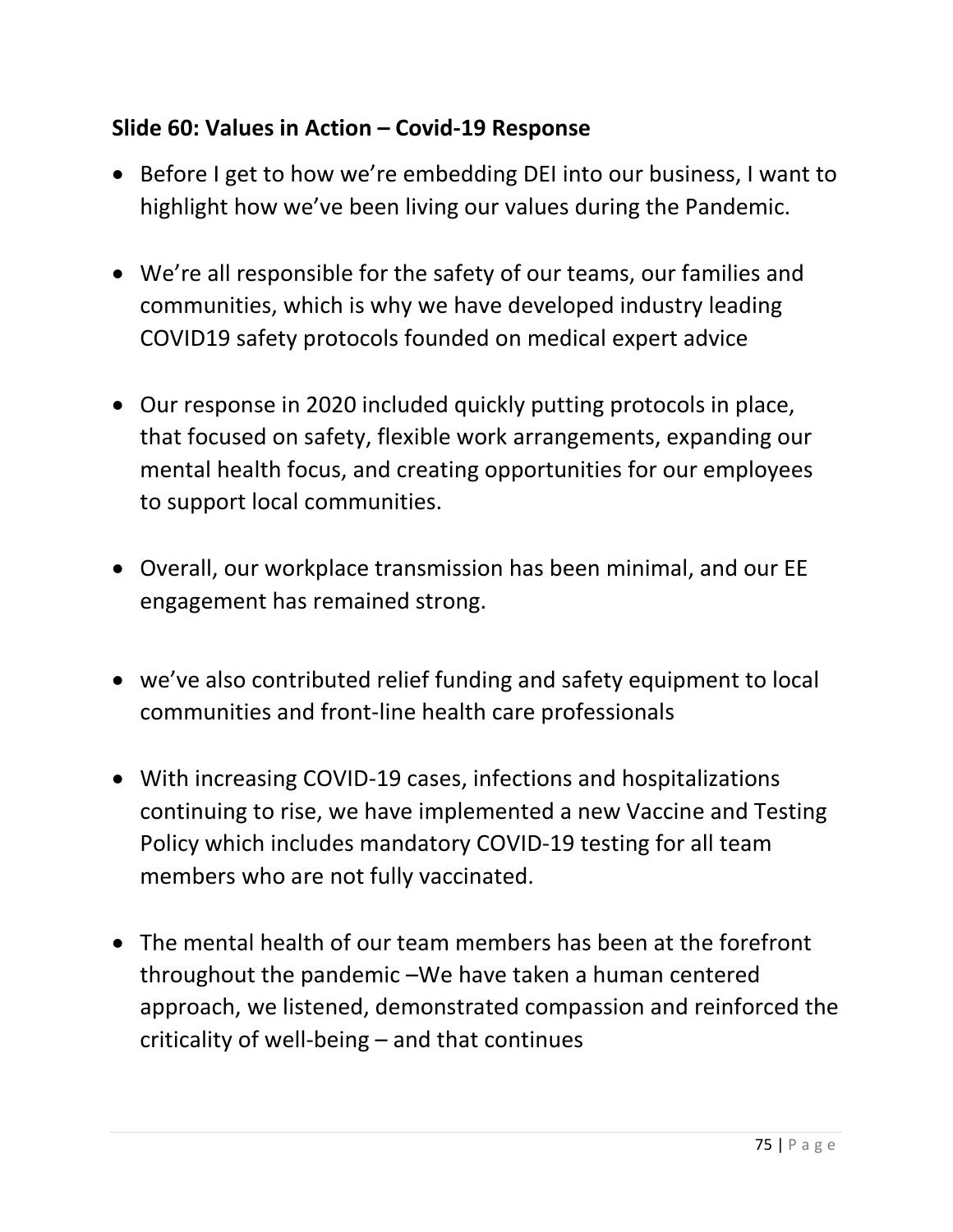# **Slide 60: Values in Action – Covid-19 Response**

- Before I get to how we're embedding DEI into our business, I want to highlight how we've been living our values during the Pandemic.
- We're all responsible for the safety of our teams, our families and communities, which is why we have developed industry leading COVID19 safety protocols founded on medical expert advice
- Our response in 2020 included quickly putting protocols in place, that focused on safety, flexible work arrangements, expanding our mental health focus, and creating opportunities for our employees to support local communities.
- Overall, our workplace transmission has been minimal, and our EE engagement has remained strong.
- we've also contributed relief funding and safety equipment to local communities and front-line health care professionals
- With increasing COVID-19 cases, infections and hospitalizations continuing to rise, we have implemented a new Vaccine and Testing Policy which includes mandatory COVID-19 testing for all team members who are not fully vaccinated.
- The mental health of our team members has been at the forefront throughout the pandemic –We have taken a human centered approach, we listened, demonstrated compassion and reinforced the criticality of well-being – and that continues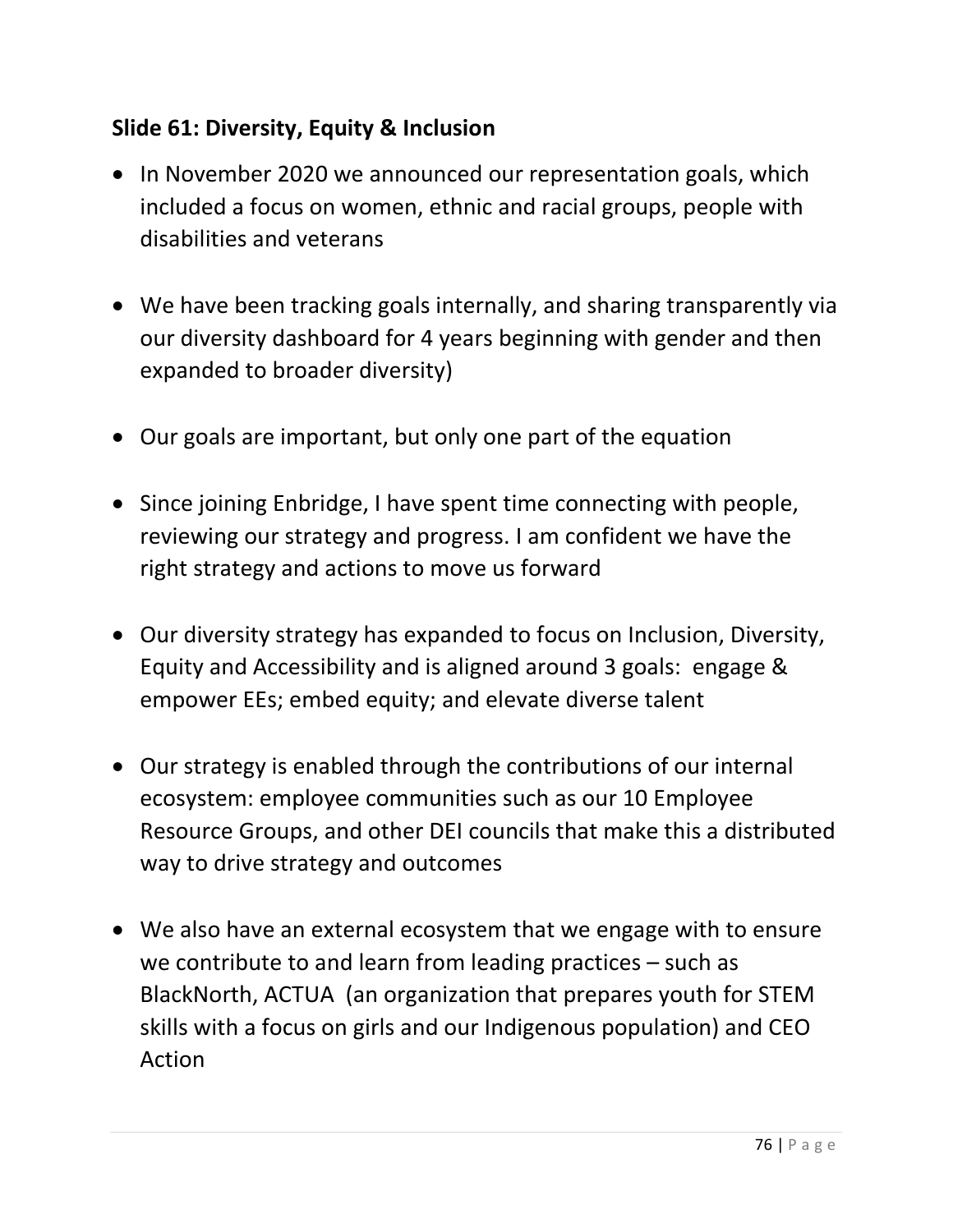# **Slide 61: Diversity, Equity & Inclusion**

- In November 2020 we announced our representation goals, which included a focus on women, ethnic and racial groups, people with disabilities and veterans
- We have been tracking goals internally, and sharing transparently via our diversity dashboard for 4 years beginning with gender and then expanded to broader diversity)
- Our goals are important, but only one part of the equation
- Since joining Enbridge, I have spent time connecting with people, reviewing our strategy and progress. I am confident we have the right strategy and actions to move us forward
- Our diversity strategy has expanded to focus on Inclusion, Diversity, Equity and Accessibility and is aligned around 3 goals: engage & empower EEs; embed equity; and elevate diverse talent
- Our strategy is enabled through the contributions of our internal ecosystem: employee communities such as our 10 Employee Resource Groups, and other DEI councils that make this a distributed way to drive strategy and outcomes
- We also have an external ecosystem that we engage with to ensure we contribute to and learn from leading practices – such as BlackNorth, ACTUA (an organization that prepares youth for STEM skills with a focus on girls and our Indigenous population) and CEO Action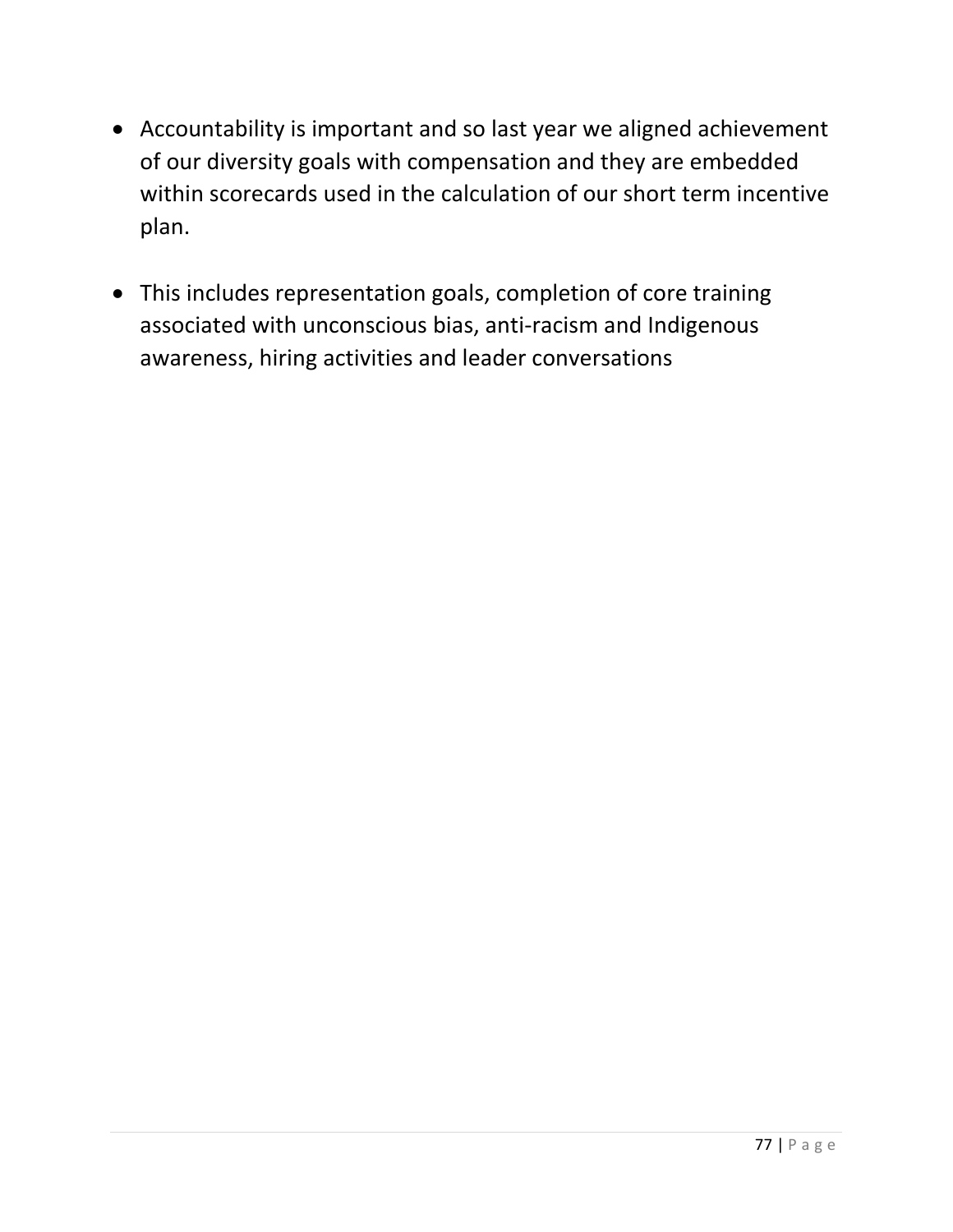- Accountability is important and so last year we aligned achievement of our diversity goals with compensation and they are embedded within scorecards used in the calculation of our short term incentive plan.
- This includes representation goals, completion of core training associated with unconscious bias, anti-racism and Indigenous awareness, hiring activities and leader conversations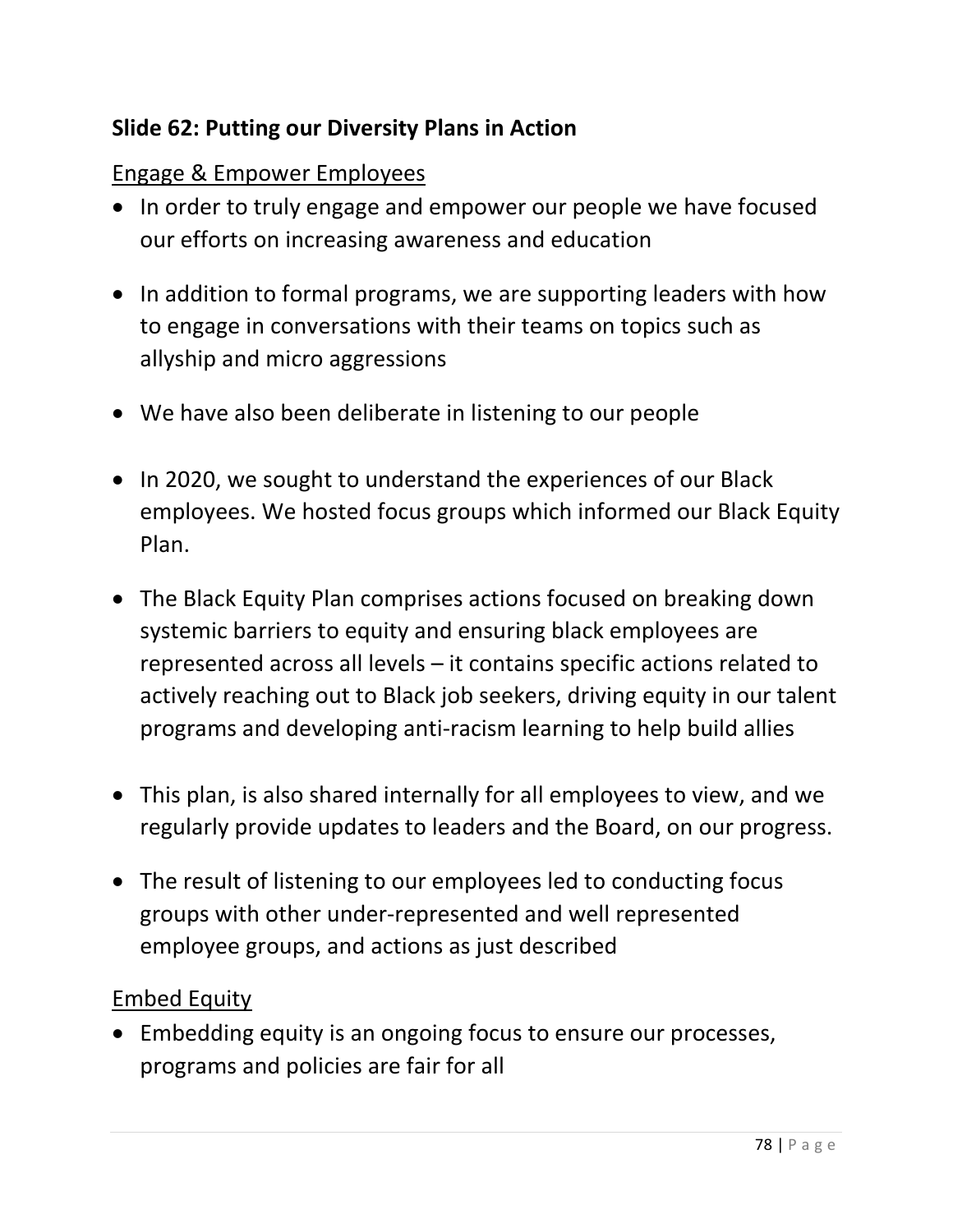## **Slide 62: Putting our Diversity Plans in Action**

#### Engage & Empower Employees

- In order to truly engage and empower our people we have focused our efforts on increasing awareness and education
- In addition to formal programs, we are supporting leaders with how to engage in conversations with their teams on topics such as allyship and micro aggressions
- We have also been deliberate in listening to our people
- In 2020, we sought to understand the experiences of our Black employees. We hosted focus groups which informed our Black Equity Plan.
- The Black Equity Plan comprises actions focused on breaking down systemic barriers to equity and ensuring black employees are represented across all levels – it contains specific actions related to actively reaching out to Black job seekers, driving equity in our talent programs and developing anti-racism learning to help build allies
- This plan, is also shared internally for all employees to view, and we regularly provide updates to leaders and the Board, on our progress.
- The result of listening to our employees led to conducting focus groups with other under-represented and well represented employee groups, and actions as just described

#### Embed Equity

• Embedding equity is an ongoing focus to ensure our processes, programs and policies are fair for all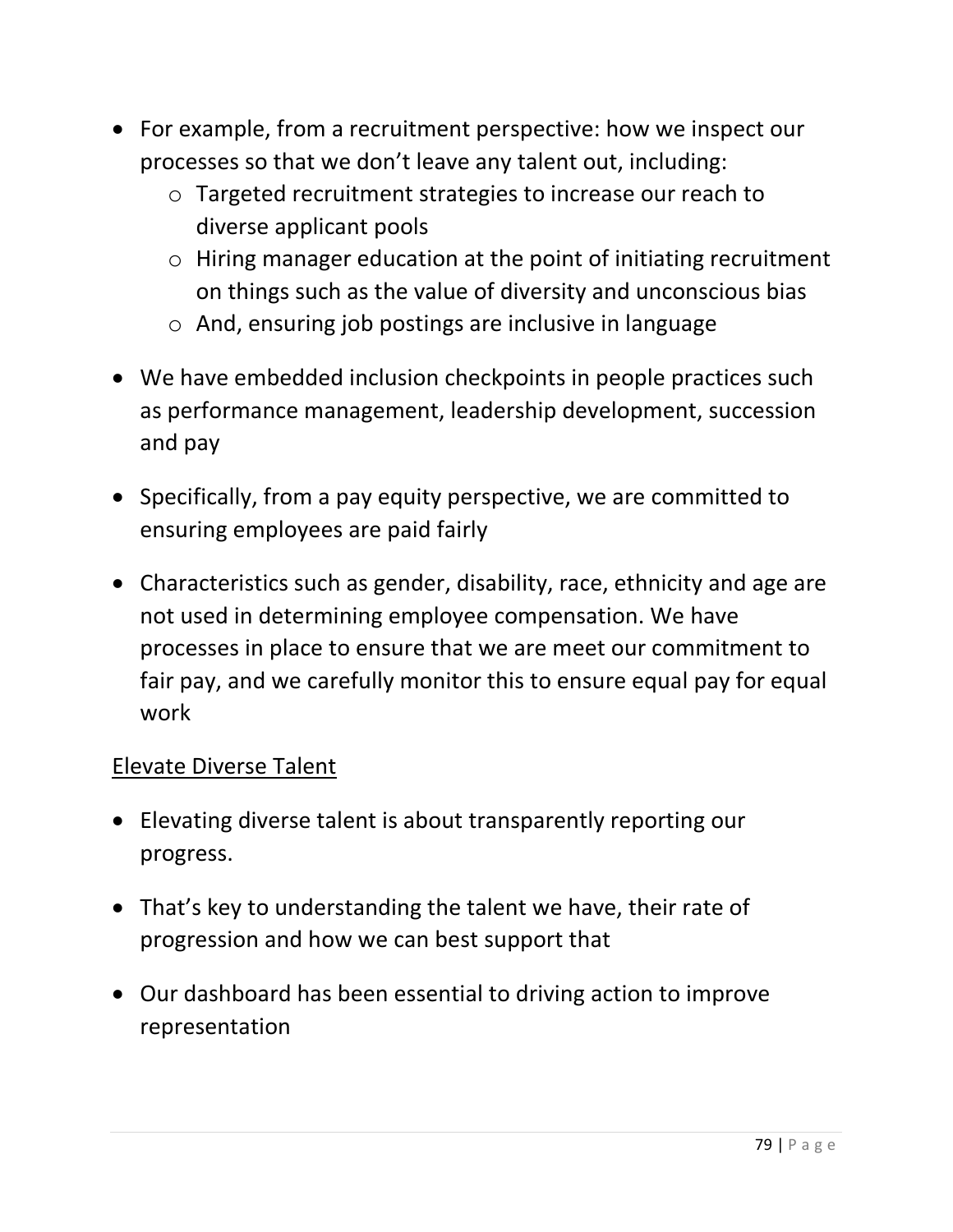- For example, from a recruitment perspective: how we inspect our processes so that we don't leave any talent out, including:
	- o Targeted recruitment strategies to increase our reach to diverse applicant pools
	- o Hiring manager education at the point of initiating recruitment on things such as the value of diversity and unconscious bias
	- o And, ensuring job postings are inclusive in language
- We have embedded inclusion checkpoints in people practices such as performance management, leadership development, succession and pay
- Specifically, from a pay equity perspective, we are committed to ensuring employees are paid fairly
- Characteristics such as gender, disability, race, ethnicity and age are not used in determining employee compensation. We have processes in place to ensure that we are meet our commitment to fair pay, and we carefully monitor this to ensure equal pay for equal work

#### Elevate Diverse Talent

- Elevating diverse talent is about transparently reporting our progress.
- That's key to understanding the talent we have, their rate of progression and how we can best support that
- Our dashboard has been essential to driving action to improve representation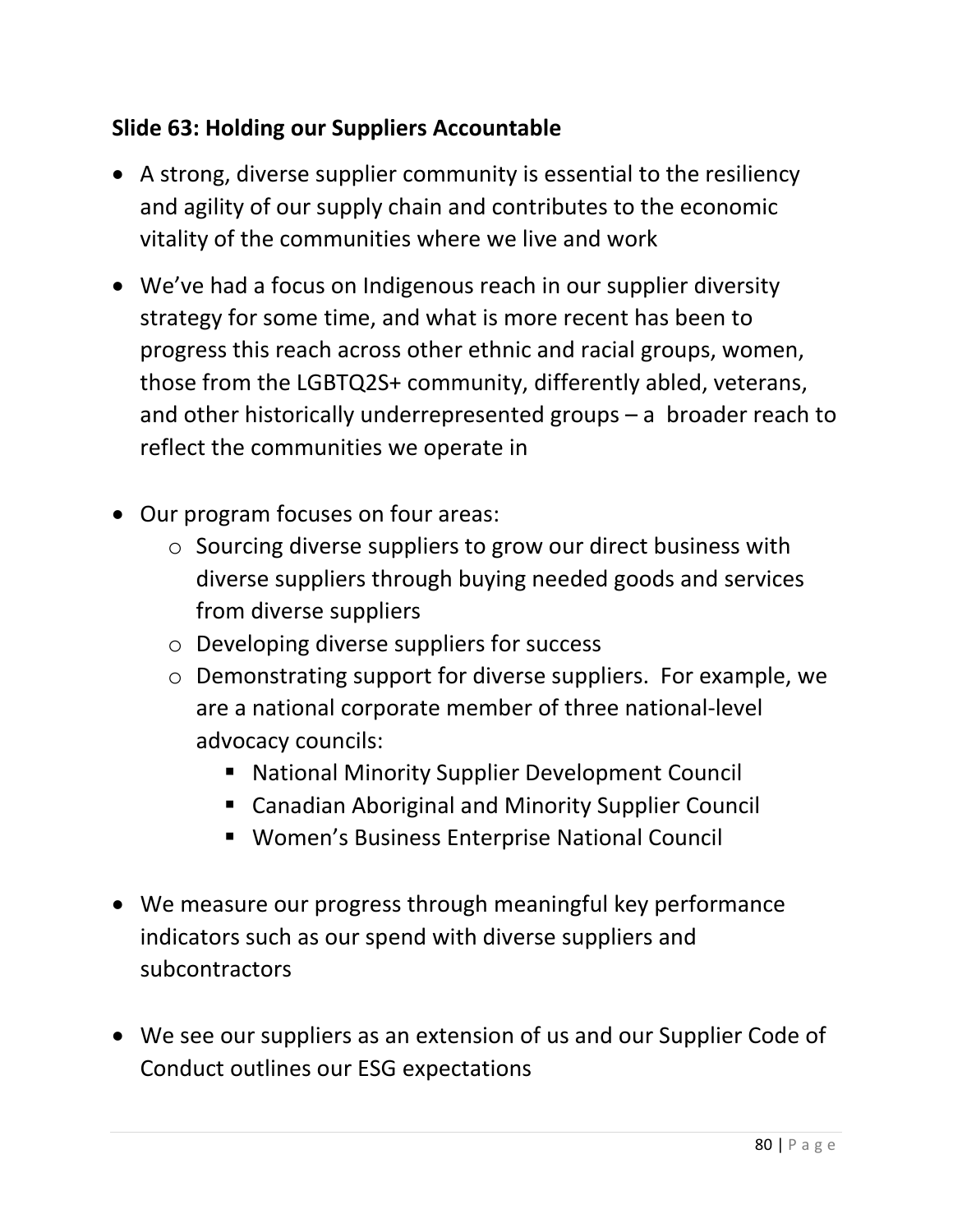# **Slide 63: Holding our Suppliers Accountable**

- A strong, diverse supplier community is essential to the resiliency and agility of our supply chain and contributes to the economic vitality of the communities where we live and work
- We've had a focus on Indigenous reach in our supplier diversity strategy for some time, and what is more recent has been to progress this reach across other ethnic and racial groups, women, those from the LGBTQ2S+ community, differently abled, veterans, and other historically underrepresented groups – a broader reach to reflect the communities we operate in
- Our program focuses on four areas:
	- o Sourcing diverse suppliers to grow our direct business with diverse suppliers through buying needed goods and services from diverse suppliers
	- o Developing diverse suppliers for success
	- o Demonstrating support for diverse suppliers. For example, we are a national corporate member of three national-level advocacy councils:
		- National Minority Supplier Development Council
		- Canadian Aboriginal and Minority Supplier Council
		- Women's Business Enterprise National Council
- We measure our progress through meaningful key performance indicators such as our spend with diverse suppliers and subcontractors
- We see our suppliers as an extension of us and our Supplier Code of Conduct outlines our ESG expectations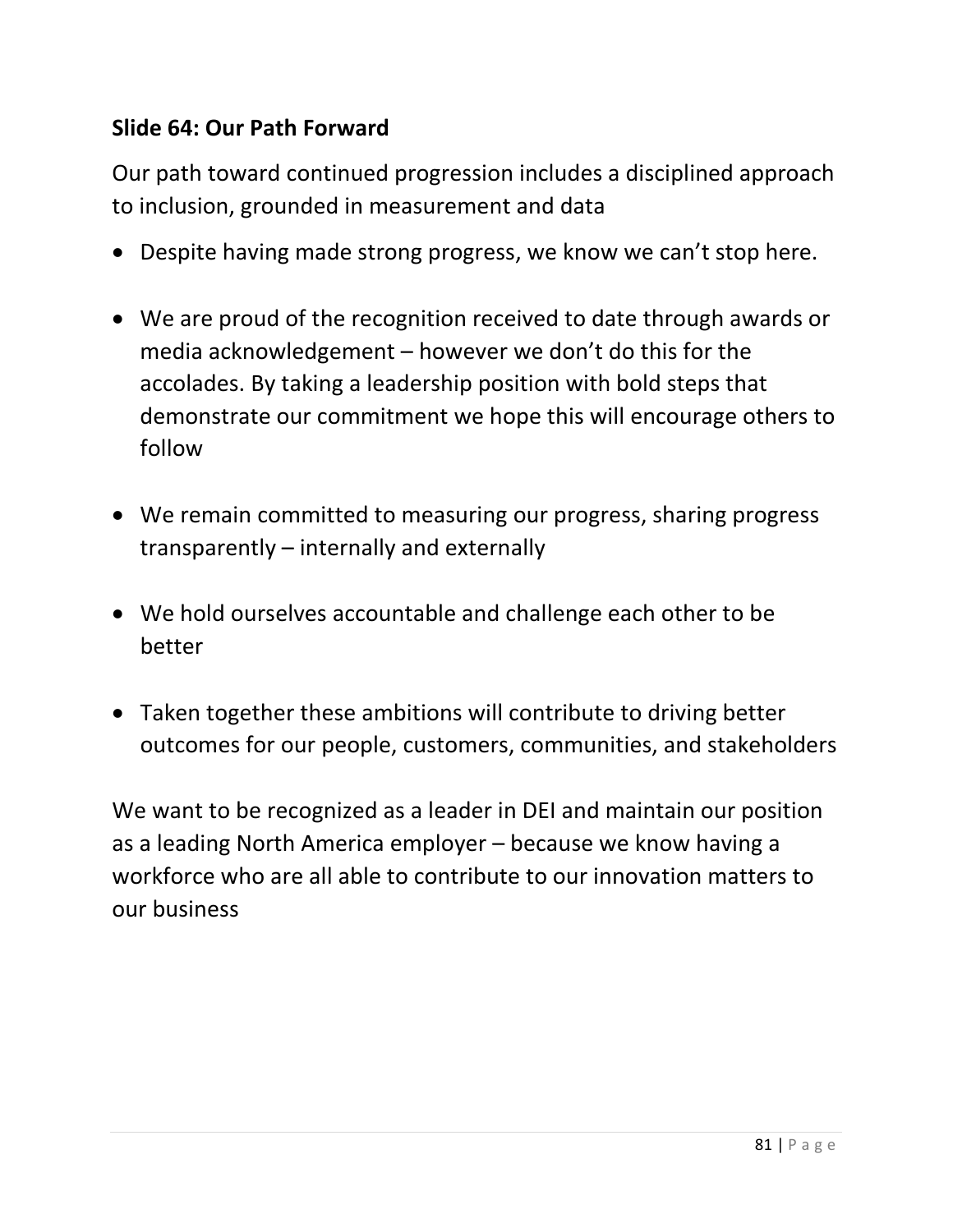### **Slide 64: Our Path Forward**

Our path toward continued progression includes a disciplined approach to inclusion, grounded in measurement and data

- Despite having made strong progress, we know we can't stop here.
- We are proud of the recognition received to date through awards or media acknowledgement – however we don't do this for the accolades. By taking a leadership position with bold steps that demonstrate our commitment we hope this will encourage others to follow
- We remain committed to measuring our progress, sharing progress transparently – internally and externally
- We hold ourselves accountable and challenge each other to be better
- Taken together these ambitions will contribute to driving better outcomes for our people, customers, communities, and stakeholders

We want to be recognized as a leader in DEI and maintain our position as a leading North America employer – because we know having a workforce who are all able to contribute to our innovation matters to our business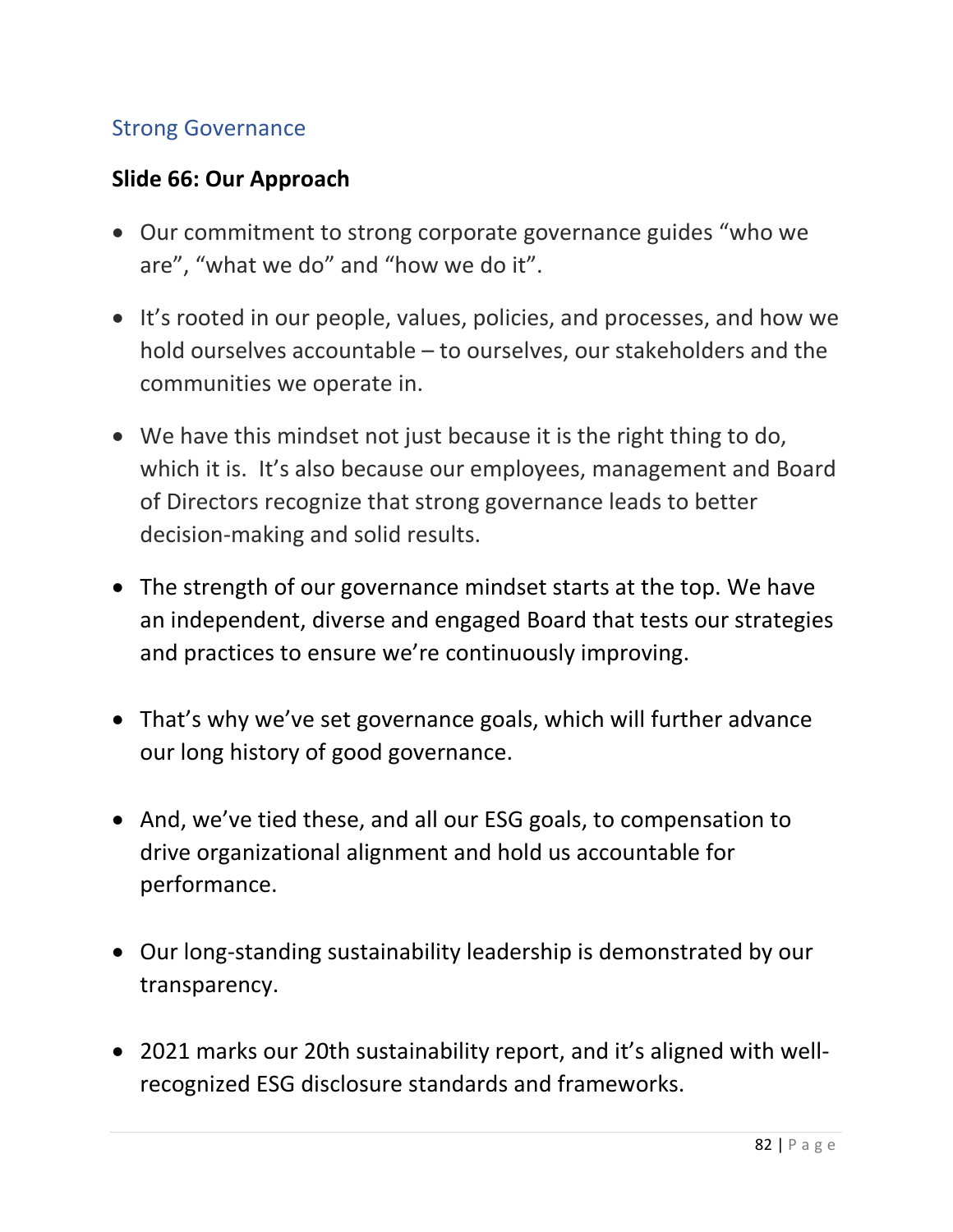### Strong Governance

#### **Slide 66: Our Approach**

- Our commitment to strong corporate governance guides "who we are", "what we do" and "how we do it".
- It's rooted in our people, values, policies, and processes, and how we hold ourselves accountable – to ourselves, our stakeholders and the communities we operate in.
- We have this mindset not just because it is the right thing to do, which it is. It's also because our employees, management and Board of Directors recognize that strong governance leads to better decision-making and solid results.
- The strength of our governance mindset starts at the top. We have an independent, diverse and engaged Board that tests our strategies and practices to ensure we're continuously improving.
- That's why we've set governance goals, which will further advance our long history of good governance.
- And, we've tied these, and all our ESG goals, to compensation to drive organizational alignment and hold us accountable for performance.
- Our long-standing sustainability leadership is demonstrated by our transparency.
- 2021 marks our 20th sustainability report, and it's aligned with wellrecognized ESG disclosure standards and frameworks.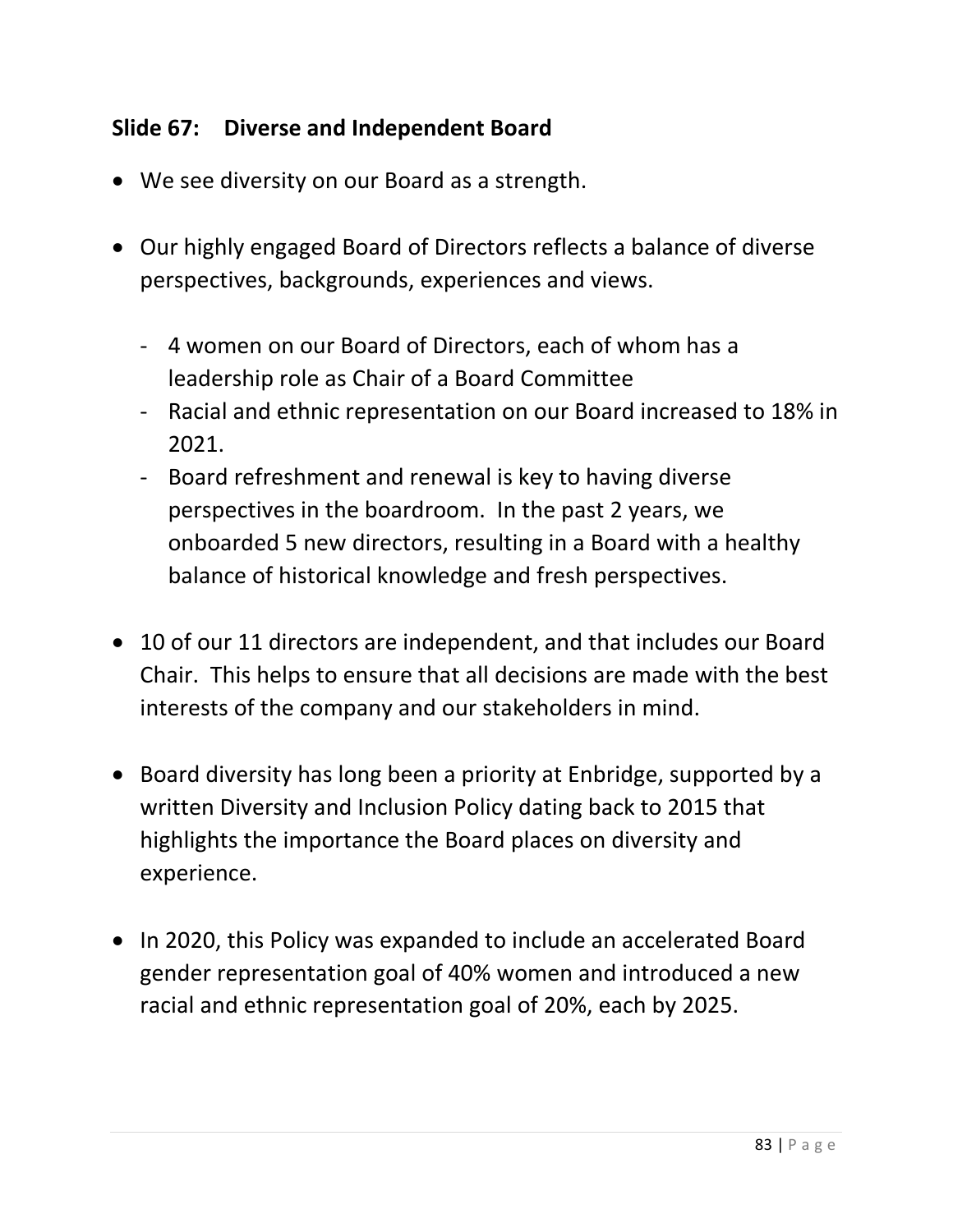# **Slide 67: Diverse and Independent Board**

- We see diversity on our Board as a strength.
- Our highly engaged Board of Directors reflects a balance of diverse perspectives, backgrounds, experiences and views.
	- 4 women on our Board of Directors, each of whom has a leadership role as Chair of a Board Committee
	- Racial and ethnic representation on our Board increased to 18% in 2021.
	- Board refreshment and renewal is key to having diverse perspectives in the boardroom. In the past 2 years, we onboarded 5 new directors, resulting in a Board with a healthy balance of historical knowledge and fresh perspectives.
- 10 of our 11 directors are independent, and that includes our Board Chair. This helps to ensure that all decisions are made with the best interests of the company and our stakeholders in mind.
- Board diversity has long been a priority at Enbridge, supported by a written Diversity and Inclusion Policy dating back to 2015 that highlights the importance the Board places on diversity and experience.
- In 2020, this Policy was expanded to include an accelerated Board gender representation goal of 40% women and introduced a new racial and ethnic representation goal of 20%, each by 2025.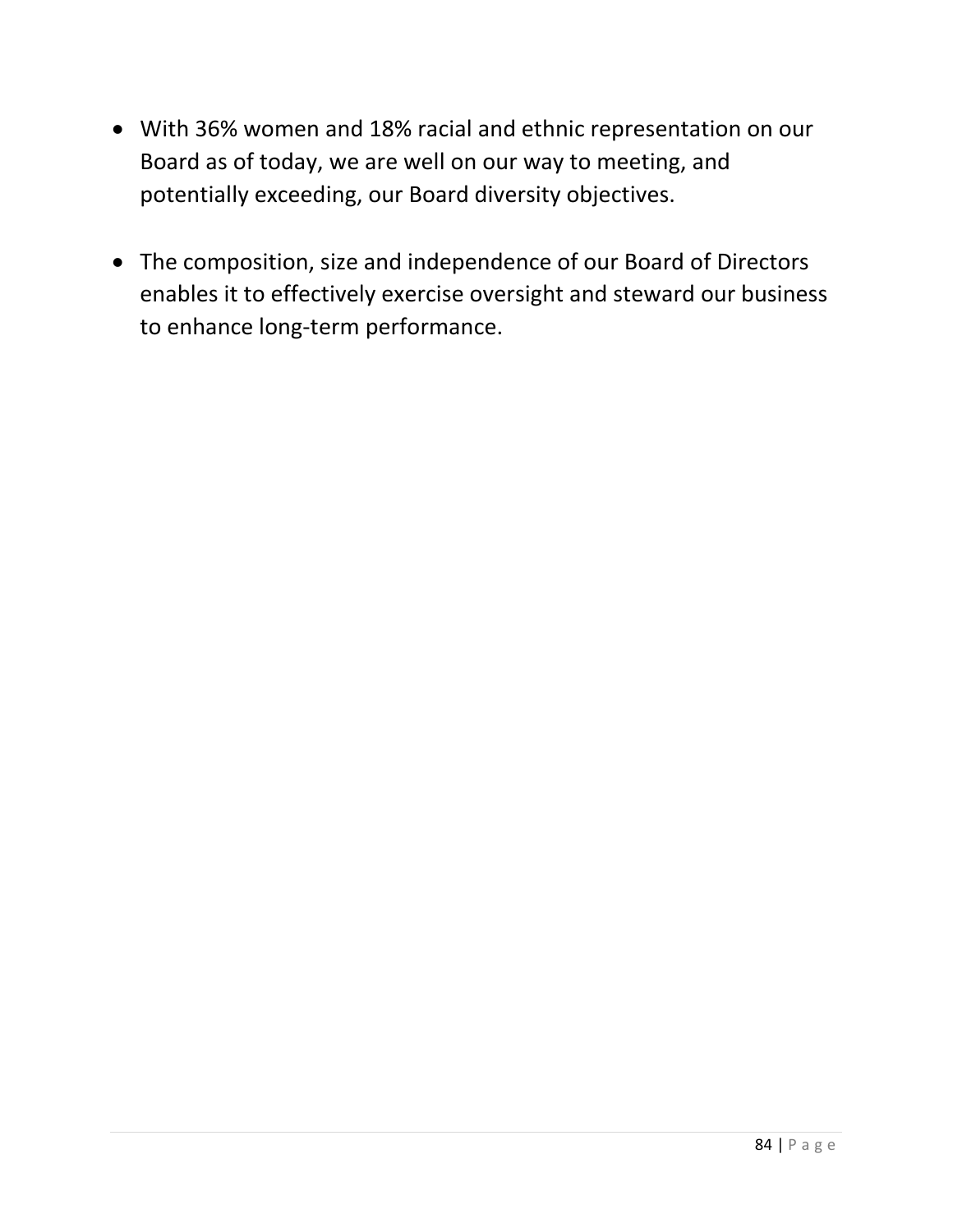- With 36% women and 18% racial and ethnic representation on our Board as of today, we are well on our way to meeting, and potentially exceeding, our Board diversity objectives.
- The composition, size and independence of our Board of Directors enables it to effectively exercise oversight and steward our business to enhance long-term performance.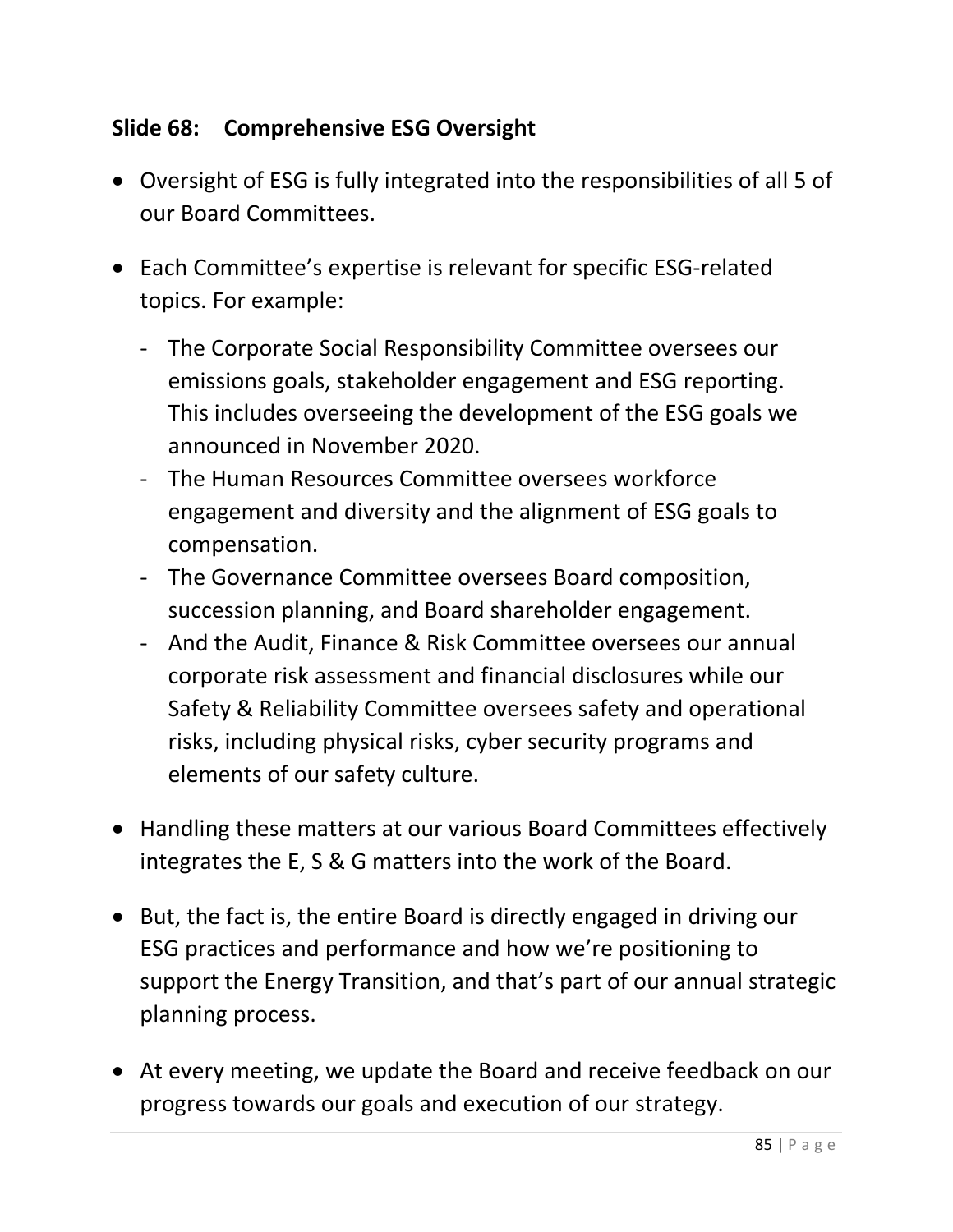# **Slide 68: Comprehensive ESG Oversight**

- Oversight of ESG is fully integrated into the responsibilities of all 5 of our Board Committees.
- Each Committee's expertise is relevant for specific ESG-related topics. For example:
	- The Corporate Social Responsibility Committee oversees our emissions goals, stakeholder engagement and ESG reporting. This includes overseeing the development of the ESG goals we announced in November 2020.
	- The Human Resources Committee oversees workforce engagement and diversity and the alignment of ESG goals to compensation.
	- The Governance Committee oversees Board composition, succession planning, and Board shareholder engagement.
	- And the Audit, Finance & Risk Committee oversees our annual corporate risk assessment and financial disclosures while our Safety & Reliability Committee oversees safety and operational risks, including physical risks, cyber security programs and elements of our safety culture.
- Handling these matters at our various Board Committees effectively integrates the E, S & G matters into the work of the Board.
- But, the fact is, the entire Board is directly engaged in driving our ESG practices and performance and how we're positioning to support the Energy Transition, and that's part of our annual strategic planning process.
- At every meeting, we update the Board and receive feedback on our progress towards our goals and execution of our strategy.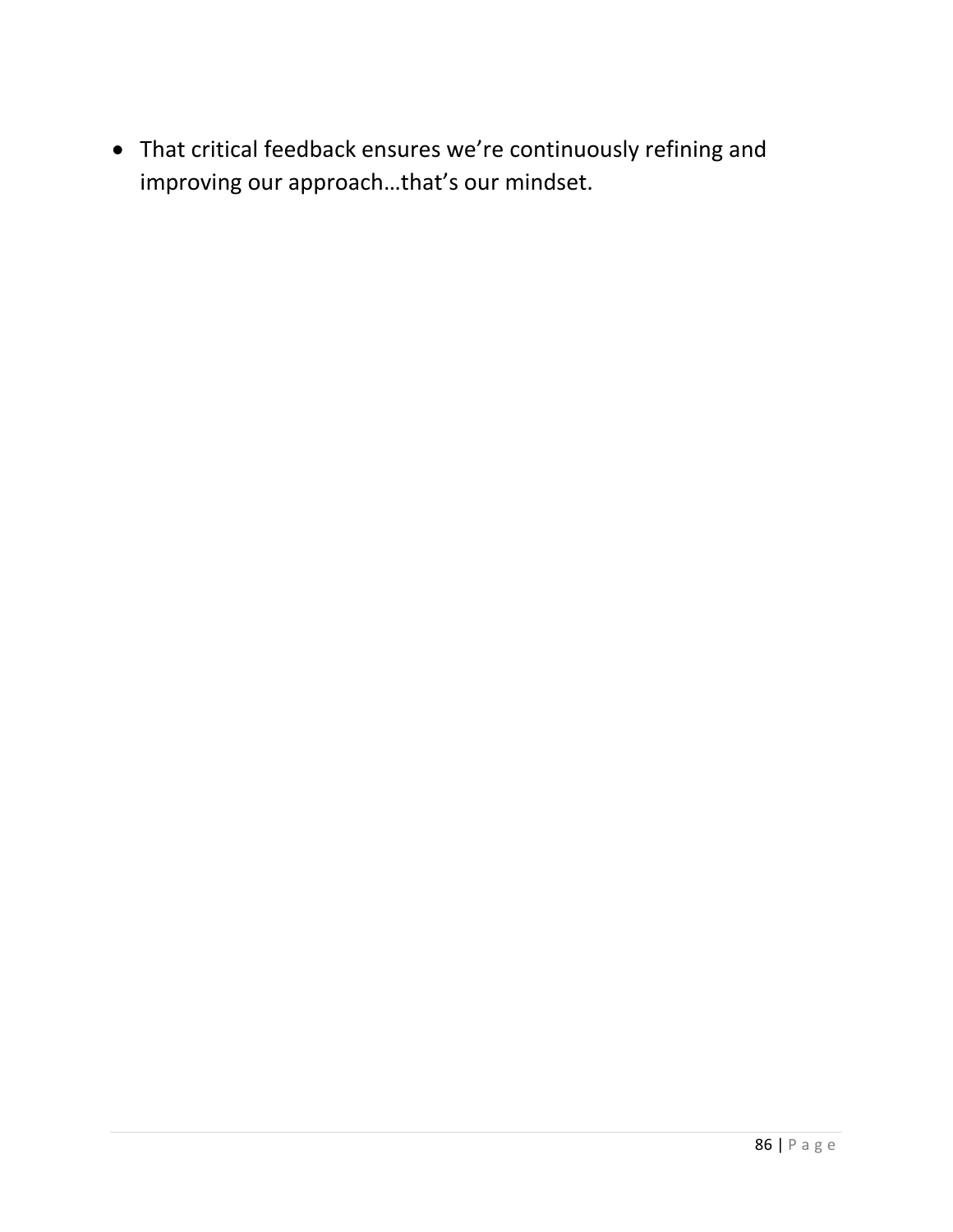• That critical feedback ensures we're continuously refining and improving our approach…that's our mindset.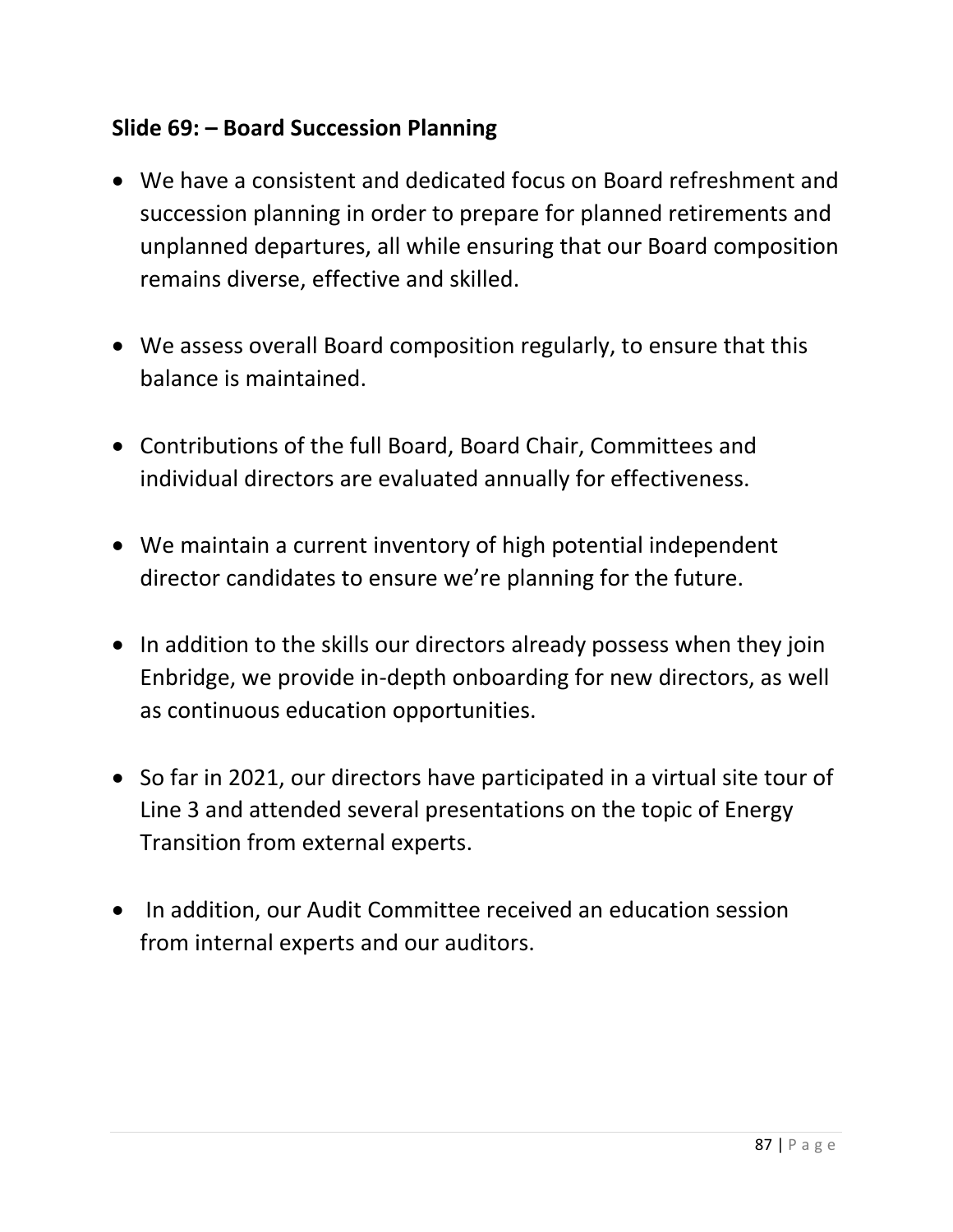### **Slide 69: – Board Succession Planning**

- We have a consistent and dedicated focus on Board refreshment and succession planning in order to prepare for planned retirements and unplanned departures, all while ensuring that our Board composition remains diverse, effective and skilled.
- We assess overall Board composition regularly, to ensure that this balance is maintained.
- Contributions of the full Board, Board Chair, Committees and individual directors are evaluated annually for effectiveness.
- We maintain a current inventory of high potential independent director candidates to ensure we're planning for the future.
- In addition to the skills our directors already possess when they join Enbridge, we provide in-depth onboarding for new directors, as well as continuous education opportunities.
- So far in 2021, our directors have participated in a virtual site tour of Line 3 and attended several presentations on the topic of Energy Transition from external experts.
- In addition, our Audit Committee received an education session from internal experts and our auditors.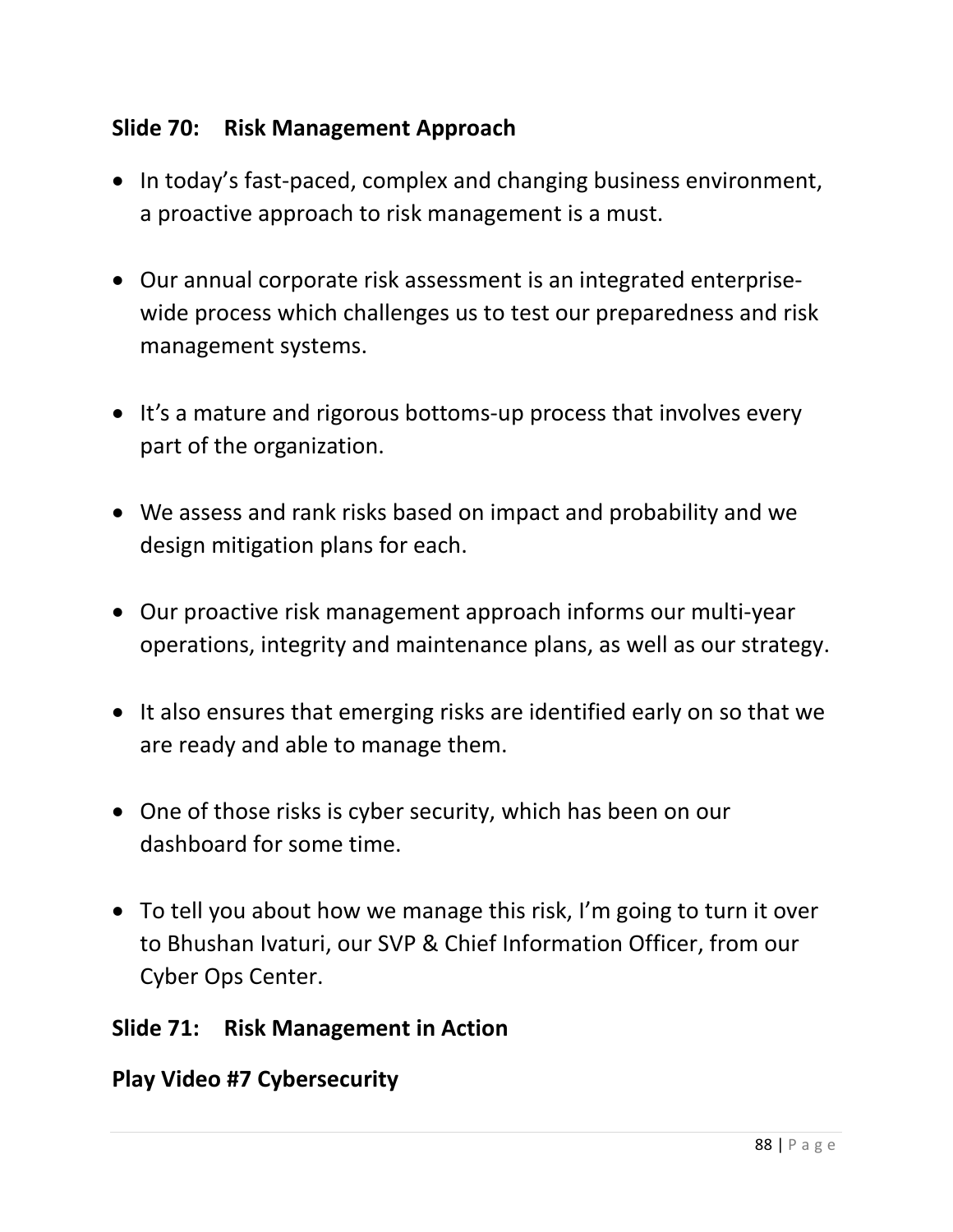### **Slide 70: Risk Management Approach**

- In today's fast-paced, complex and changing business environment, a proactive approach to risk management is a must.
- Our annual corporate risk assessment is an integrated enterprisewide process which challenges us to test our preparedness and risk management systems.
- It's a mature and rigorous bottoms-up process that involves every part of the organization.
- We assess and rank risks based on impact and probability and we design mitigation plans for each.
- Our proactive risk management approach informs our multi-year operations, integrity and maintenance plans, as well as our strategy.
- It also ensures that emerging risks are identified early on so that we are ready and able to manage them.
- One of those risks is cyber security, which has been on our dashboard for some time.
- To tell you about how we manage this risk, I'm going to turn it over to Bhushan Ivaturi, our SVP & Chief Information Officer, from our Cyber Ops Center.

### **Slide 71: Risk Management in Action**

### **Play Video #7 Cybersecurity**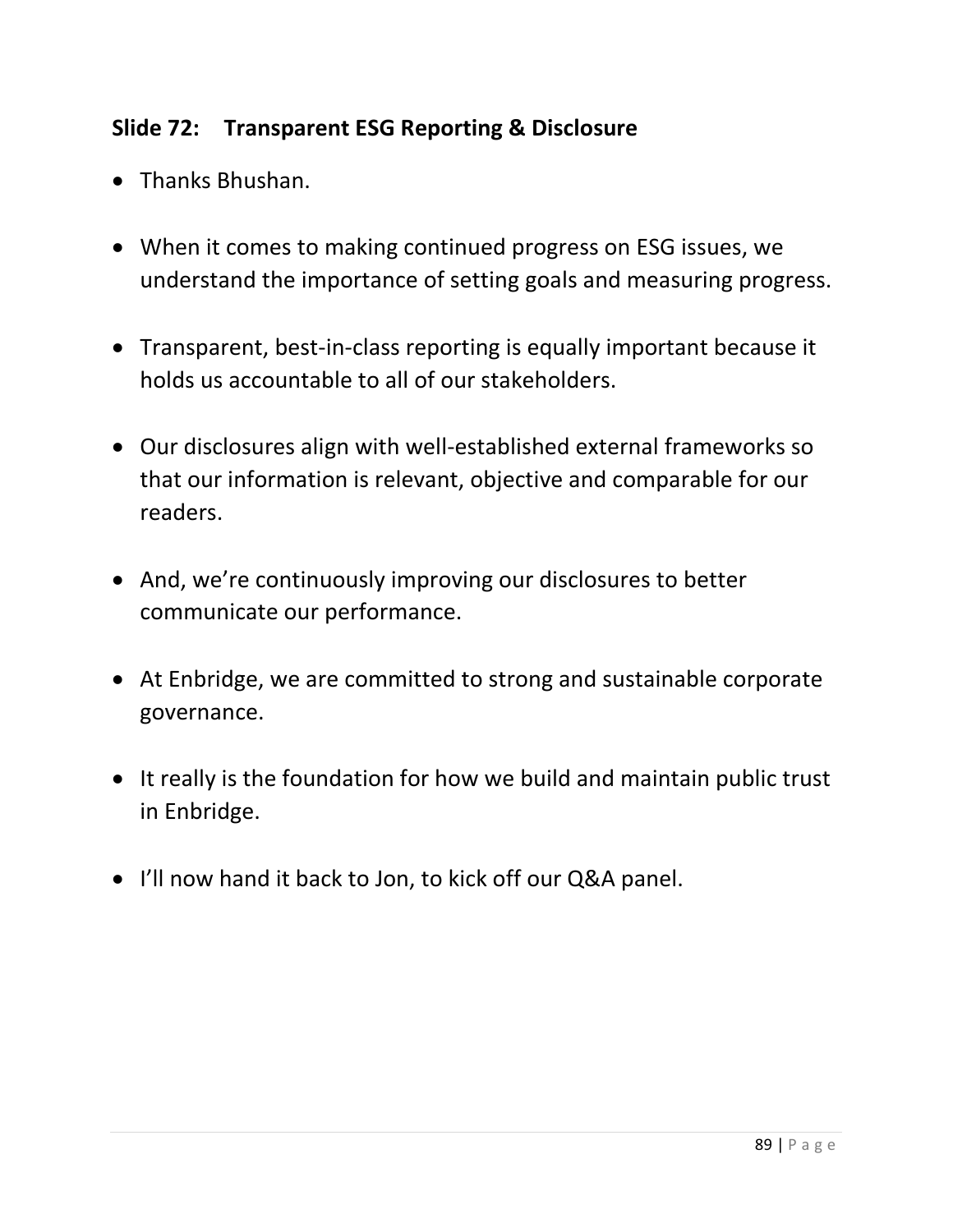# **Slide 72: Transparent ESG Reporting & Disclosure**

- Thanks Bhushan.
- When it comes to making continued progress on ESG issues, we understand the importance of setting goals and measuring progress.
- Transparent, best-in-class reporting is equally important because it holds us accountable to all of our stakeholders.
- Our disclosures align with well-established external frameworks so that our information is relevant, objective and comparable for our readers.
- And, we're continuously improving our disclosures to better communicate our performance.
- At Enbridge, we are committed to strong and sustainable corporate governance.
- It really is the foundation for how we build and maintain public trust in Enbridge.
- I'll now hand it back to Jon, to kick off our Q&A panel.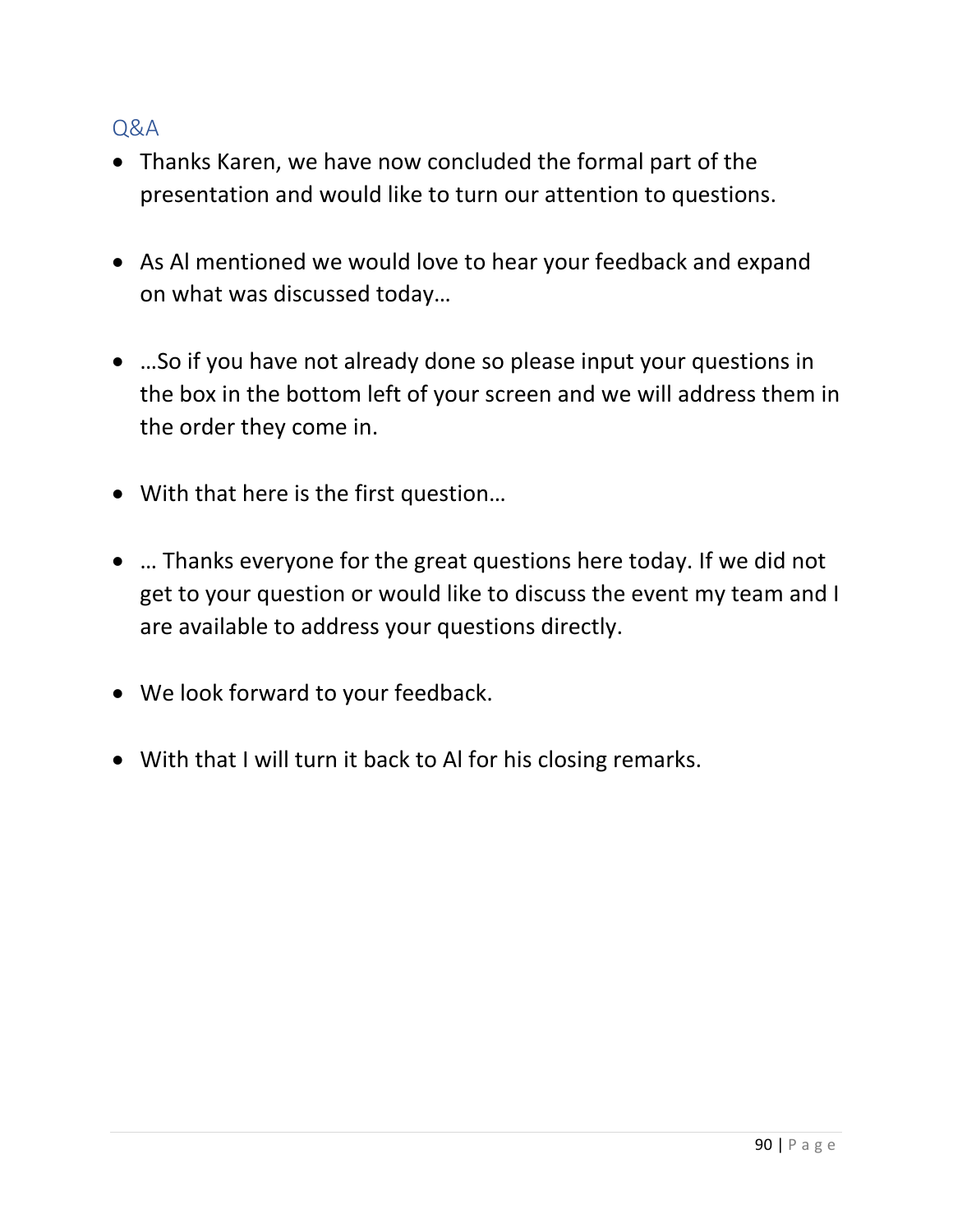#### Q&A

- Thanks Karen, we have now concluded the formal part of the presentation and would like to turn our attention to questions.
- As Al mentioned we would love to hear your feedback and expand on what was discussed today…
- …So if you have not already done so please input your questions in the box in the bottom left of your screen and we will address them in the order they come in.
- With that here is the first question…
- … Thanks everyone for the great questions here today. If we did not get to your question or would like to discuss the event my team and I are available to address your questions directly.
- We look forward to your feedback.
- With that I will turn it back to Al for his closing remarks.